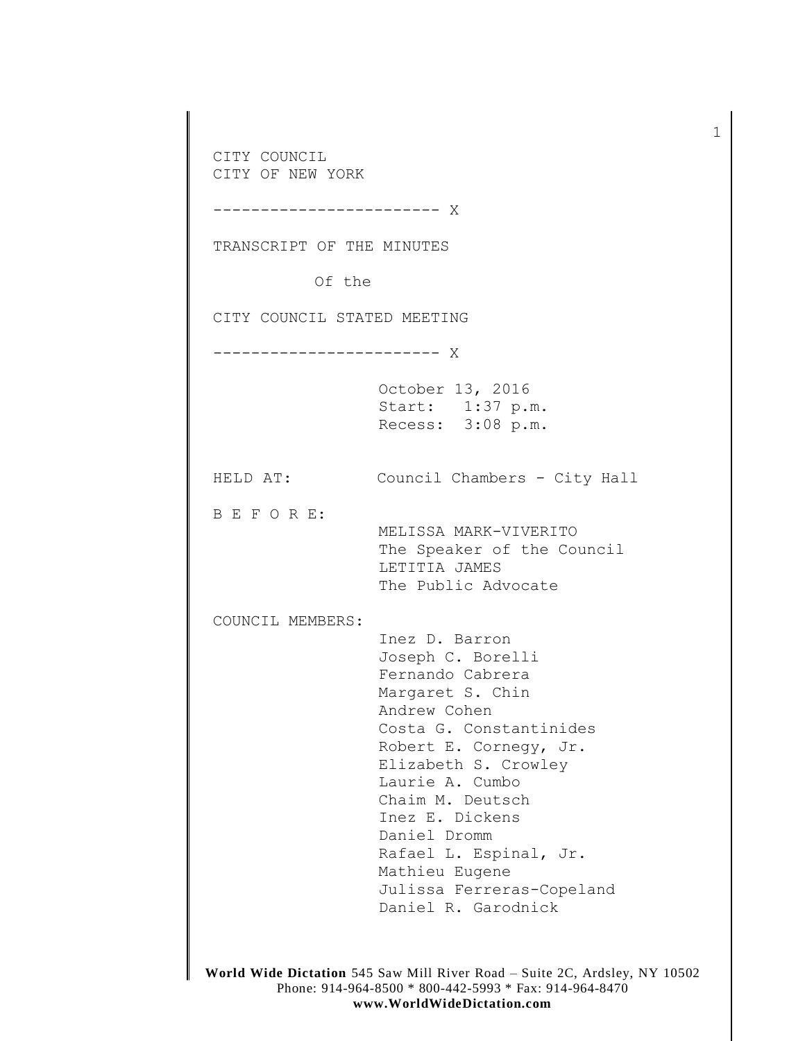CITY COUNCIL CITY OF NEW YORK ------------------------ X TRANSCRIPT OF THE MINUTES Of the CITY COUNCIL STATED MEETING ------------------------ X October 13, 2016 Start: 1:37 p.m. Recess: 3:08 p.m. HELD AT: Council Chambers - City Hall B E F O R E: MELISSA MARK-VIVERITO The Speaker of the Council LETITIA JAMES The Public Advocate COUNCIL MEMBERS: Inez D. Barron Joseph C. Borelli Fernando Cabrera Margaret S. Chin Andrew Cohen Costa G. Constantinides Robert E. Cornegy, Jr. Elizabeth S. Crowley Laurie A. Cumbo Chaim M. Deutsch Inez E. Dickens Daniel Dromm Rafael L. Espinal, Jr. Mathieu Eugene Julissa Ferreras-Copeland Daniel R. Garodnick

1

**World Wide Dictation** 545 Saw Mill River Road – Suite 2C, Ardsley, NY 10502 Phone: 914-964-8500 \* 800-442-5993 \* Fax: 914-964-8470 **www.WorldWideDictation.com**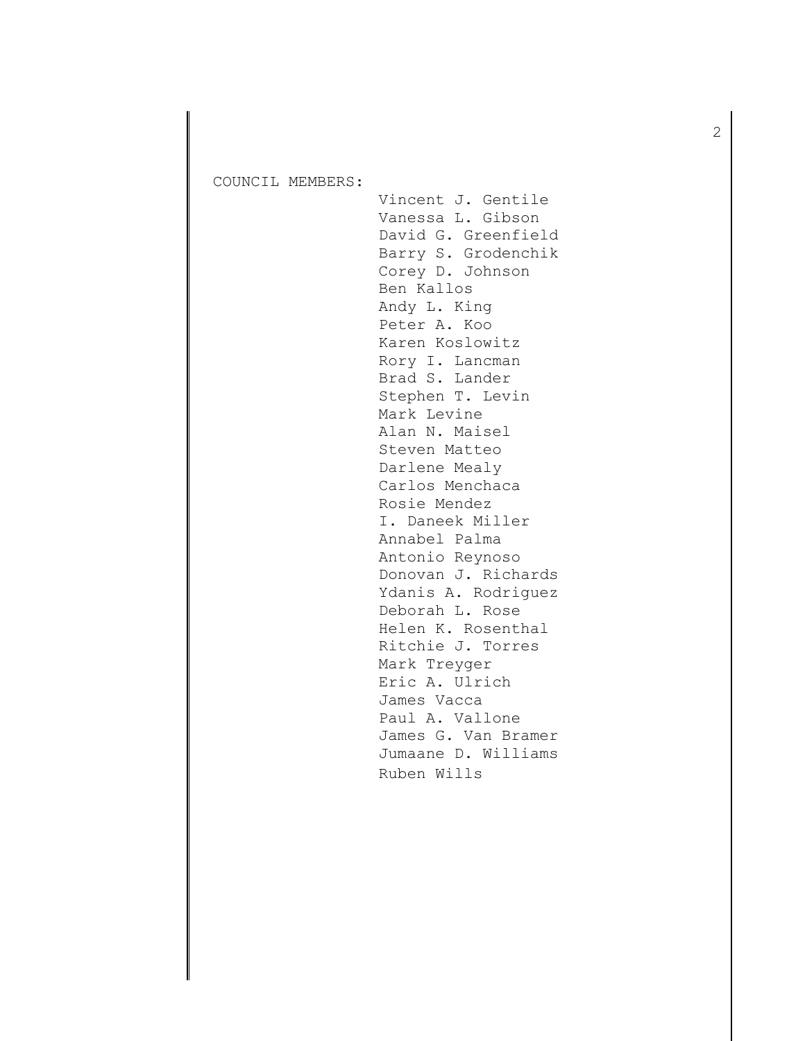COUNCIL MEMBERS:

Vincent J. Gentile Vanessa L. Gibson David G. Greenfield Barry S. Grodenchik Corey D. Johnson Ben Kallos Andy L. King Peter A. Koo Karen Koslowitz Rory I. Lancman Brad S. Lander Stephen T. Levin Mark Levine Alan N. Maisel Steven Matteo Darlene Mealy Carlos Menchaca Rosie Mendez I. Daneek Miller Annabel Palma Antonio Reynoso Donovan J. Richards Ydanis A. Rodriguez Deborah L. Rose Helen K. Rosenthal Ritchie J. Torres Mark Treyger Eric A. Ulrich James Vacca Paul A. Vallone James G. Van Bramer Jumaane D. Williams Ruben Wills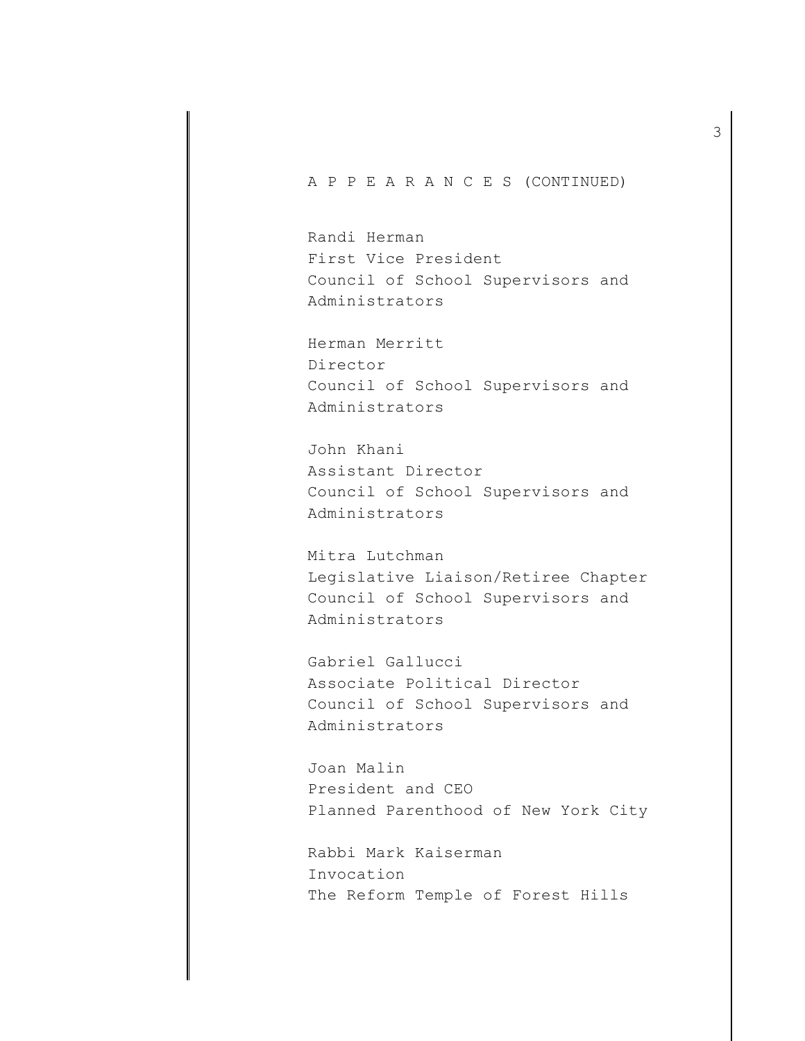A P P E A R A N C E S (CONTINUED)

Randi Herman First Vice President Council of School Supervisors and Administrators

Herman Merritt Director Council of School Supervisors and Administrators

John Khani Assistant Director Council of School Supervisors and Administrators

Mitra Lutchman Legislative Liaison/Retiree Chapter Council of School Supervisors and Administrators

Gabriel Gallucci Associate Political Director Council of School Supervisors and Administrators

Joan Malin President and CEO Planned Parenthood of New York City

Rabbi Mark Kaiserman Invocation The Reform Temple of Forest Hills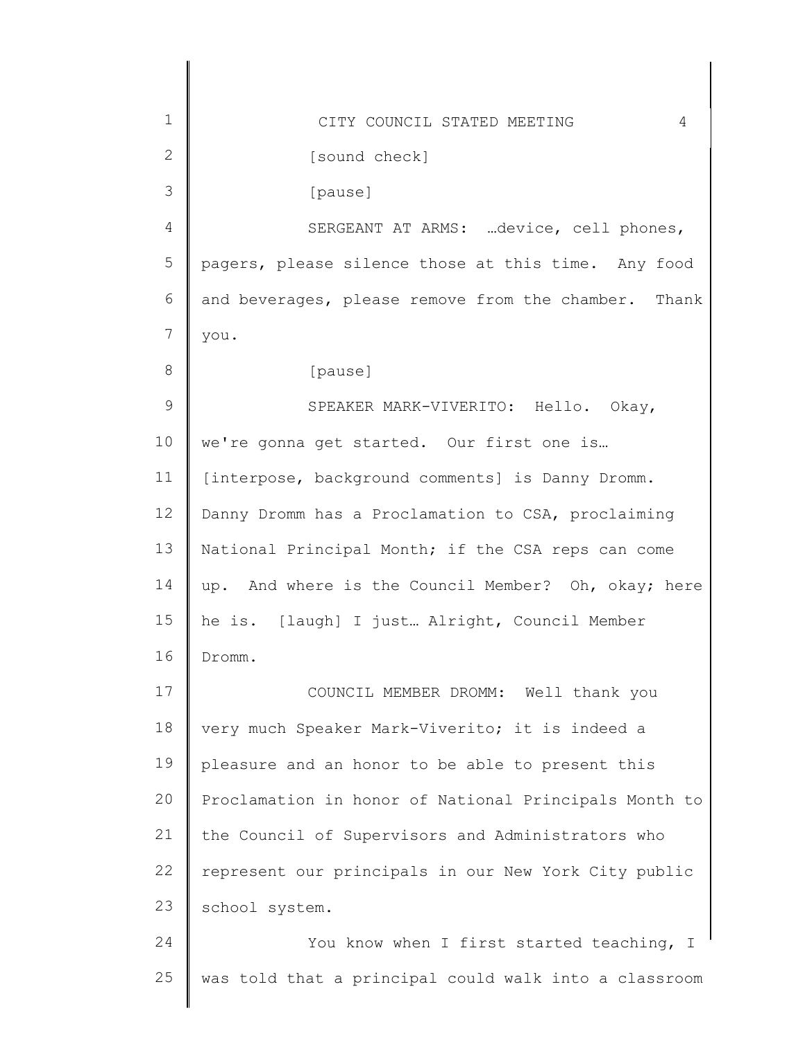| $\mathbf{1}$    | CITY COUNCIL STATED MEETING<br>4                      |
|-----------------|-------------------------------------------------------|
| 2               | [sound check]                                         |
| 3               | [pause]                                               |
| 4               | SERGEANT AT ARMS: device, cell phones,                |
| 5               | pagers, please silence those at this time. Any food   |
| 6               | and beverages, please remove from the chamber. Thank  |
| $7\phantom{.0}$ | you.                                                  |
| 8               | [pause]                                               |
| 9               | SPEAKER MARK-VIVERITO: Hello. Okay,                   |
| 10              | we're gonna get started. Our first one is             |
| 11              | [interpose, background comments] is Danny Dromm.      |
| 12              | Danny Dromm has a Proclamation to CSA, proclaiming    |
| 13              | National Principal Month; if the CSA reps can come    |
| 14              | up. And where is the Council Member? Oh, okay; here   |
| 15              | he is. [laugh] I just Alright, Council Member         |
| 16              | Dromm.                                                |
| 17              | COUNCIL MEMBER DROMM: Well thank you                  |
| 18              | very much Speaker Mark-Viverito; it is indeed a       |
| 19              | pleasure and an honor to be able to present this      |
| 20              | Proclamation in honor of National Principals Month to |
| 21              | the Council of Supervisors and Administrators who     |
| 22              | represent our principals in our New York City public  |
| 23              | school system.                                        |
| 24              | You know when I first started teaching, I             |
| 25              | was told that a principal could walk into a classroom |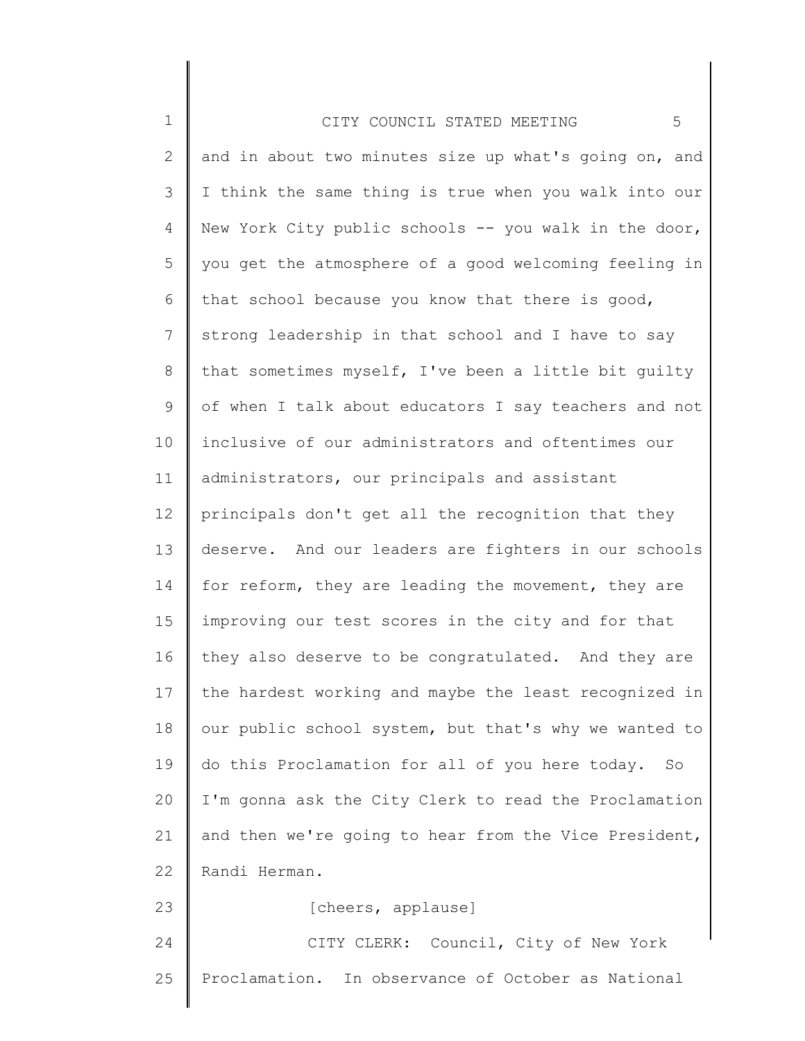| $\mathbf 1$     | 5<br>CITY COUNCIL STATED MEETING                      |
|-----------------|-------------------------------------------------------|
| 2               | and in about two minutes size up what's going on, and |
| 3               | I think the same thing is true when you walk into our |
| 4               | New York City public schools -- you walk in the door, |
| 5               | you get the atmosphere of a good welcoming feeling in |
| 6               | that school because you know that there is good,      |
| $7\phantom{.0}$ | strong leadership in that school and I have to say    |
| 8               | that sometimes myself, I've been a little bit quilty  |
| 9               | of when I talk about educators I say teachers and not |
| 10              | inclusive of our administrators and oftentimes our    |
| 11              | administrators, our principals and assistant          |
| 12              | principals don't get all the recognition that they    |
| 13              | deserve. And our leaders are fighters in our schools  |
| 14              | for reform, they are leading the movement, they are   |
| 15              | improving our test scores in the city and for that    |
| 16              | they also deserve to be congratulated. And they are   |
| 17              | the hardest working and maybe the least recognized in |
| 18              | our public school system, but that's why we wanted to |
| 19              | do this Proclamation for all of you here today.<br>SO |
| 20              | I'm gonna ask the City Clerk to read the Proclamation |
| 21              | and then we're going to hear from the Vice President, |
| 22              | Randi Herman.                                         |
| 23              | [cheers, applause]                                    |
| 24              | CITY CLERK: Council, City of New York                 |
| 25              | Proclamation. In observance of October as National    |

∥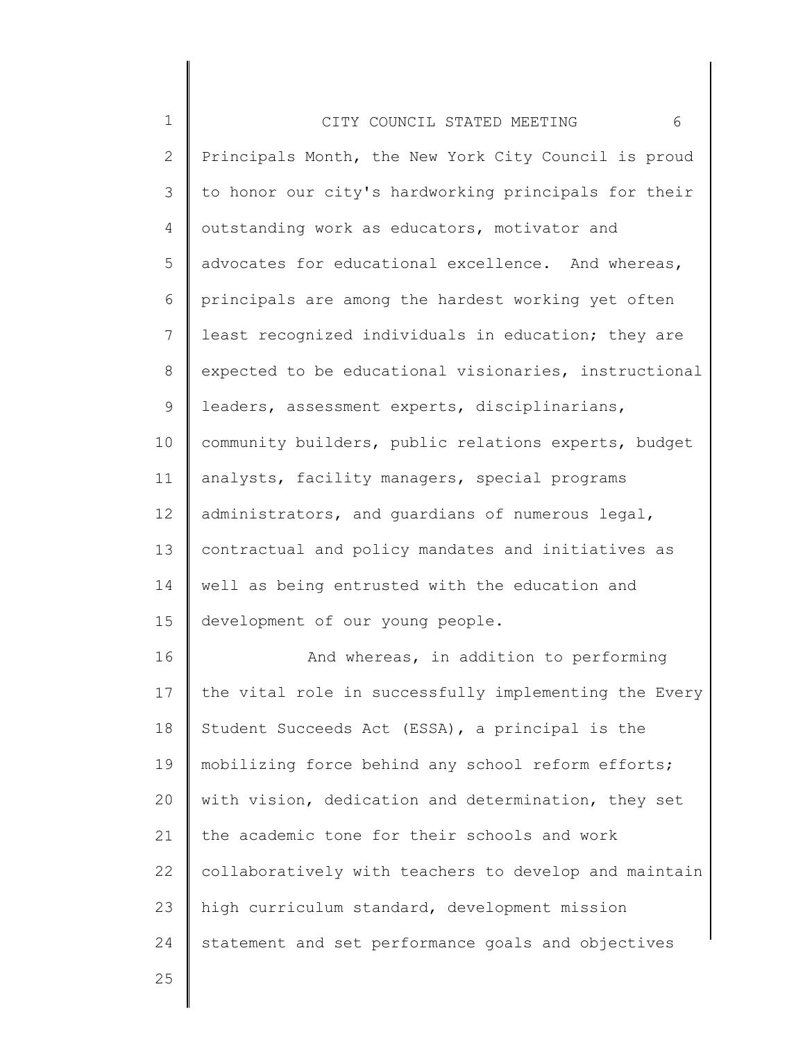| $\mathbf 1$ | 6<br>CITY COUNCIL STATED MEETING                      |
|-------------|-------------------------------------------------------|
| 2           | Principals Month, the New York City Council is proud  |
| 3           | to honor our city's hardworking principals for their  |
| 4           | outstanding work as educators, motivator and          |
| 5           | advocates for educational excellence. And whereas,    |
| 6           | principals are among the hardest working yet often    |
| 7           | least recognized individuals in education; they are   |
| 8           | expected to be educational visionaries, instructional |
| 9           | leaders, assessment experts, disciplinarians,         |
| 10          | community builders, public relations experts, budget  |
| 11          | analysts, facility managers, special programs         |
| 12          | administrators, and guardians of numerous legal,      |
| 13          | contractual and policy mandates and initiatives as    |
| 14          | well as being entrusted with the education and        |
| 15          | development of our young people.                      |
| 16          | And whereas, in addition to performing                |
| 17          | the vital role in successfully implementing the Every |
| 18          | Student Succeeds Act (ESSA), a principal is the       |
| 19          | mobilizing force behind any school reform efforts;    |
| 20          | with vision, dedication and determination, they set   |
| 21          | the academic tone for their schools and work          |
| 22          | collaboratively with teachers to develop and maintain |
| 23          | high curriculum standard, development mission         |
| 24          | statement and set performance goals and objectives    |
| 25          |                                                       |

║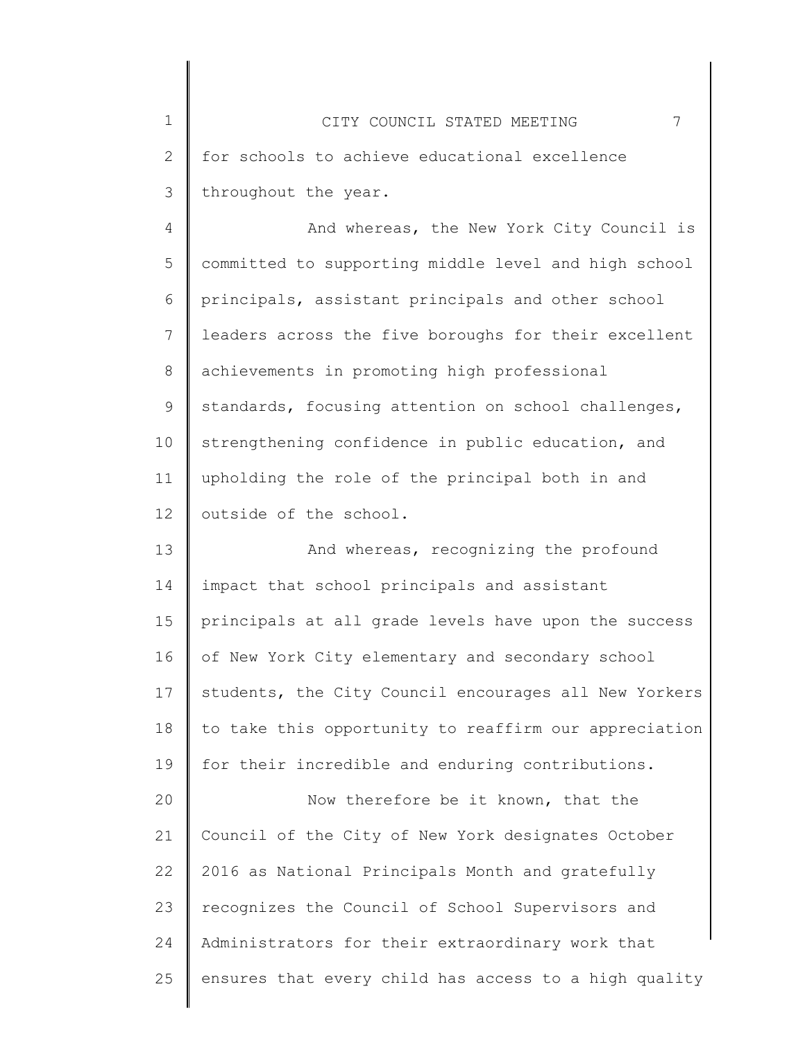1 2 3 CITY COUNCIL STATED MEETING 7 for schools to achieve educational excellence throughout the year.

4 5 6 7 8 9 10 11 12 And whereas, the New York City Council is committed to supporting middle level and high school principals, assistant principals and other school leaders across the five boroughs for their excellent achievements in promoting high professional standards, focusing attention on school challenges, strengthening confidence in public education, and upholding the role of the principal both in and outside of the school.

13 14 15 16 17 18 19 And whereas, recognizing the profound impact that school principals and assistant principals at all grade levels have upon the success of New York City elementary and secondary school students, the City Council encourages all New Yorkers to take this opportunity to reaffirm our appreciation for their incredible and enduring contributions.

20 21 22 23 24 25 Now therefore be it known, that the Council of the City of New York designates October 2016 as National Principals Month and gratefully recognizes the Council of School Supervisors and Administrators for their extraordinary work that ensures that every child has access to a high quality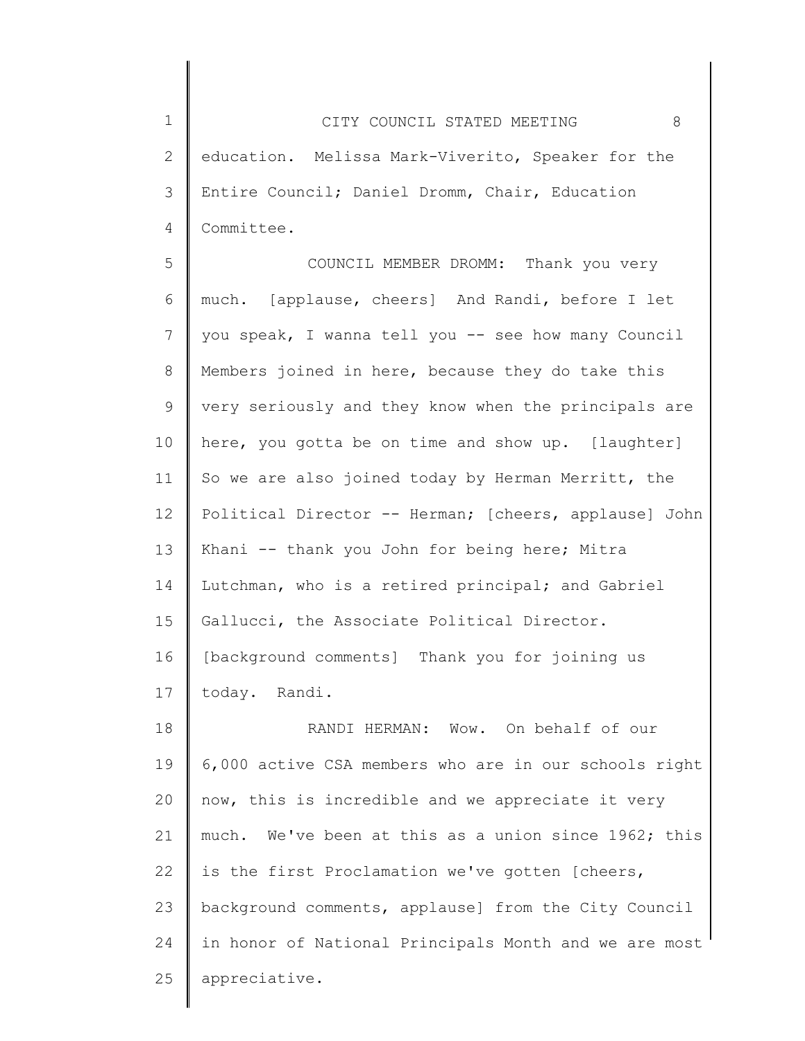1 2 3 4 CITY COUNCIL STATED MEETING 8 education. Melissa Mark-Viverito, Speaker for the Entire Council; Daniel Dromm, Chair, Education Committee.

5 6 7 8 9 10 11 12 13 14 15 16 17 COUNCIL MEMBER DROMM: Thank you very much. [applause, cheers] And Randi, before I let you speak, I wanna tell you -- see how many Council Members joined in here, because they do take this very seriously and they know when the principals are here, you gotta be on time and show up. [laughter] So we are also joined today by Herman Merritt, the Political Director -- Herman; [cheers, applause] John Khani -- thank you John for being here; Mitra Lutchman, who is a retired principal; and Gabriel Gallucci, the Associate Political Director. [background comments] Thank you for joining us today. Randi.

18 19 20 21 22 23 24 25 RANDI HERMAN: Wow. On behalf of our 6,000 active CSA members who are in our schools right now, this is incredible and we appreciate it very much. We've been at this as a union since 1962; this is the first Proclamation we've gotten [cheers, background comments, applause] from the City Council in honor of National Principals Month and we are most appreciative.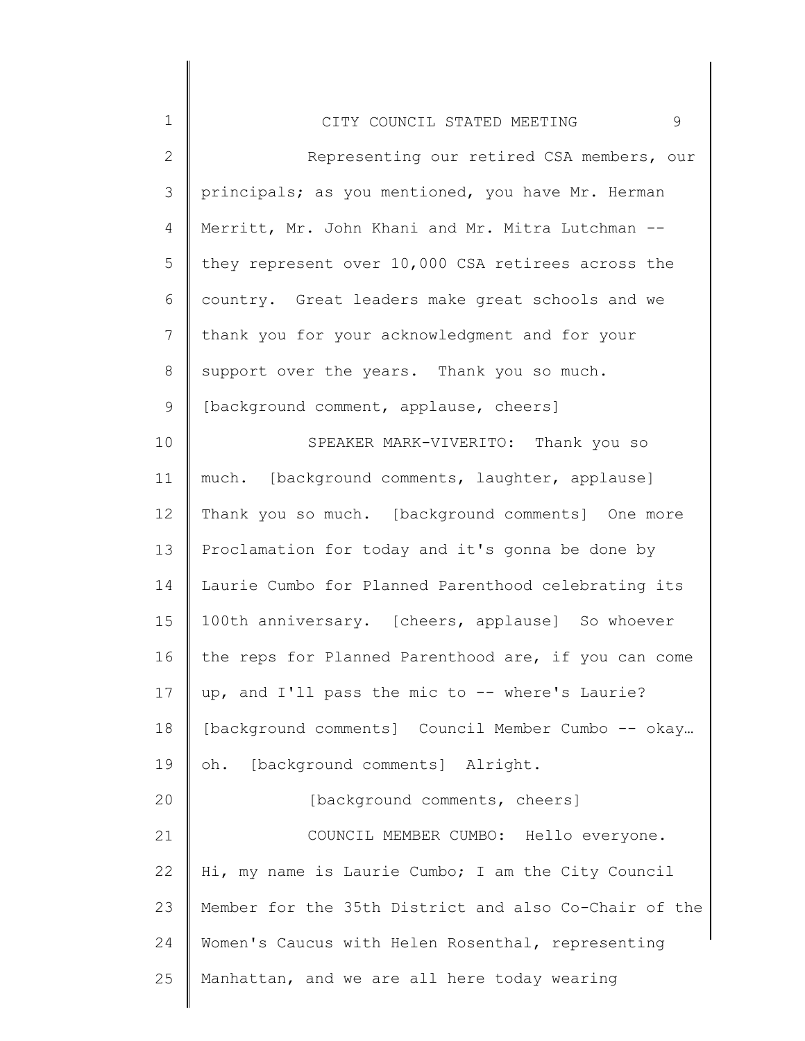| $\mathbf{2}$   | Representing our retired CSA members, our             |
|----------------|-------------------------------------------------------|
| 3              | principals; as you mentioned, you have Mr. Herman     |
| 4              | Merritt, Mr. John Khani and Mr. Mitra Lutchman --     |
| 5              | they represent over 10,000 CSA retirees across the    |
| 6              | country. Great leaders make great schools and we      |
| $7\phantom{.}$ | thank you for your acknowledgment and for your        |
| $8\,$          | support over the years. Thank you so much.            |
| 9              | [background comment, applause, cheers]                |
| 10             | SPEAKER MARK-VIVERITO: Thank you so                   |
| 11             | much. [background comments, laughter, applause]       |
| 12             | Thank you so much. [background comments] One more     |
| 13             | Proclamation for today and it's gonna be done by      |
| 14             | Laurie Cumbo for Planned Parenthood celebrating its   |
| 15             | 100th anniversary. [cheers, applause] So whoever      |
| 16             | the reps for Planned Parenthood are, if you can come  |
| 17             | up, and I'll pass the mic to -- where's Laurie?       |
| 18             | [background comments] Council Member Cumbo -- okay    |
| 19             | oh. [background comments] Alright.                    |
| 20             | [background comments, cheers]                         |
| 21             | COUNCIL MEMBER CUMBO: Hello everyone.                 |
| 22             | Hi, my name is Laurie Cumbo; I am the City Council    |
| 23             | Member for the 35th District and also Co-Chair of the |
| 24             | Women's Caucus with Helen Rosenthal, representing     |
| 25             | Manhattan, and we are all here today wearing          |
|                |                                                       |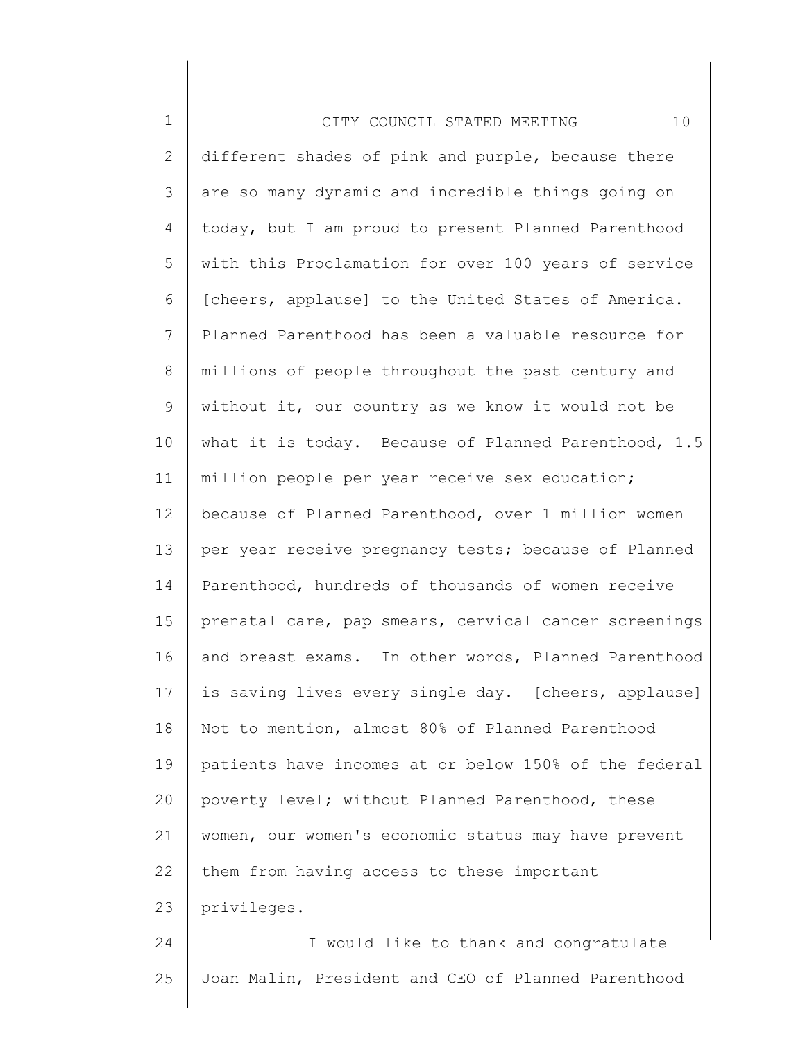| $\mathbf 1$    | 10<br>CITY COUNCIL STATED MEETING                     |
|----------------|-------------------------------------------------------|
| $\overline{2}$ | different shades of pink and purple, because there    |
| 3              | are so many dynamic and incredible things going on    |
| 4              | today, but I am proud to present Planned Parenthood   |
| 5              | with this Proclamation for over 100 years of service  |
| 6              | [cheers, applause] to the United States of America.   |
| 7              | Planned Parenthood has been a valuable resource for   |
| 8              | millions of people throughout the past century and    |
| 9              | without it, our country as we know it would not be    |
| 10             | what it is today. Because of Planned Parenthood, 1.5  |
| 11             | million people per year receive sex education;        |
| 12             | because of Planned Parenthood, over 1 million women   |
| 13             | per year receive pregnancy tests; because of Planned  |
| 14             | Parenthood, hundreds of thousands of women receive    |
| 15             | prenatal care, pap smears, cervical cancer screenings |
| 16             | and breast exams. In other words, Planned Parenthood  |
| 17             | is saving lives every single day. [cheers, applause]  |
| 18             | Not to mention, almost 80% of Planned Parenthood      |
| 19             | patients have incomes at or below 150% of the federal |
| 20             | poverty level; without Planned Parenthood, these      |
| 21             | women, our women's economic status may have prevent   |
| 22             | them from having access to these important            |
| 23             | privileges.                                           |
| 24             | I would like to thank and congratulate                |
| 25             | Joan Malin, President and CEO of Planned Parenthood   |
|                |                                                       |

∥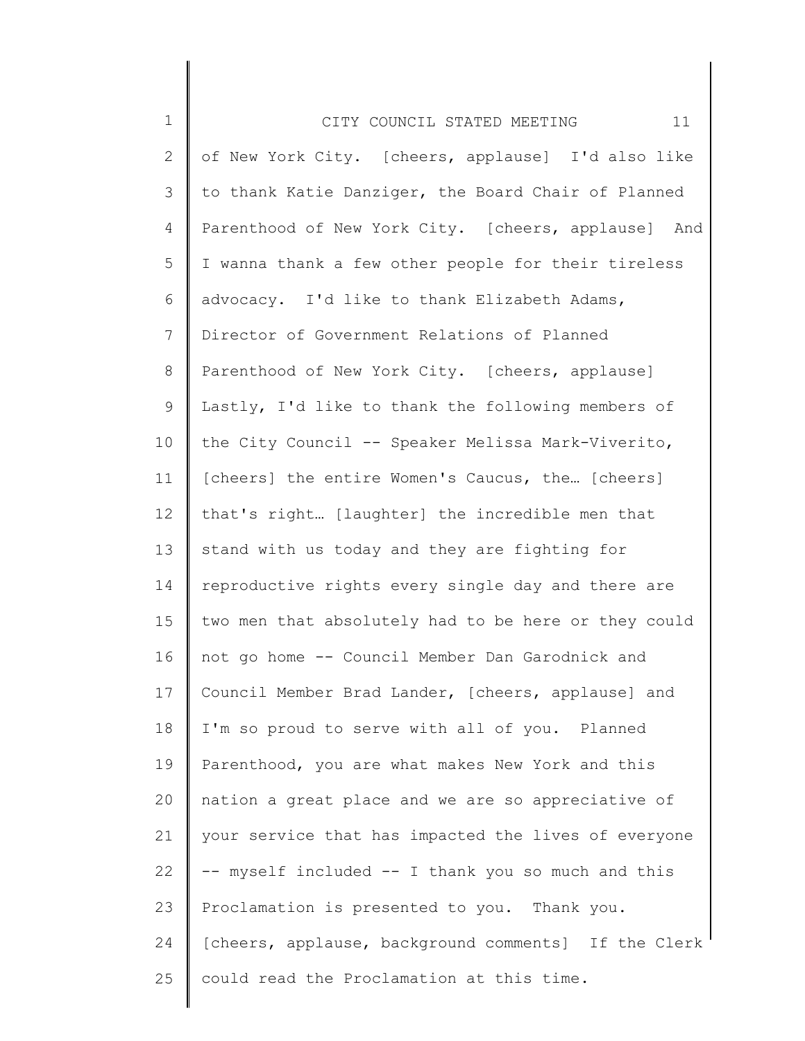| $\mathbf 1$     | 11<br>CITY COUNCIL STATED MEETING                    |
|-----------------|------------------------------------------------------|
| 2               | of New York City. [cheers, applause] I'd also like   |
| 3               | to thank Katie Danziger, the Board Chair of Planned  |
| 4               | Parenthood of New York City. [cheers, applause] And  |
| 5               | I wanna thank a few other people for their tireless  |
| 6               | advocacy. I'd like to thank Elizabeth Adams,         |
| $7\phantom{.0}$ | Director of Government Relations of Planned          |
| 8               | Parenthood of New York City. [cheers, applause]      |
| $\mathsf 9$     | Lastly, I'd like to thank the following members of   |
| 10              | the City Council -- Speaker Melissa Mark-Viverito,   |
| 11              | [cheers] the entire Women's Caucus, the [cheers]     |
| 12              | that's right [laughter] the incredible men that      |
| 13              | stand with us today and they are fighting for        |
| 14              | reproductive rights every single day and there are   |
| 15 <sub>1</sub> | two men that absolutely had to be here or they could |
| 16              | not go home -- Council Member Dan Garodnick and      |
| 17              | Council Member Brad Lander, [cheers, applause] and   |
| 18              | I'm so proud to serve with all of you. Planned       |
| 19              | Parenthood, you are what makes New York and this     |
| 20              | nation a great place and we are so appreciative of   |
| 21              | your service that has impacted the lives of everyone |
| 22              | -- myself included -- I thank you so much and this   |
| 23              | Proclamation is presented to you. Thank you.         |
| 24              | [cheers, applause, background comments] If the Clerk |
| 25              | could read the Proclamation at this time.            |
|                 |                                                      |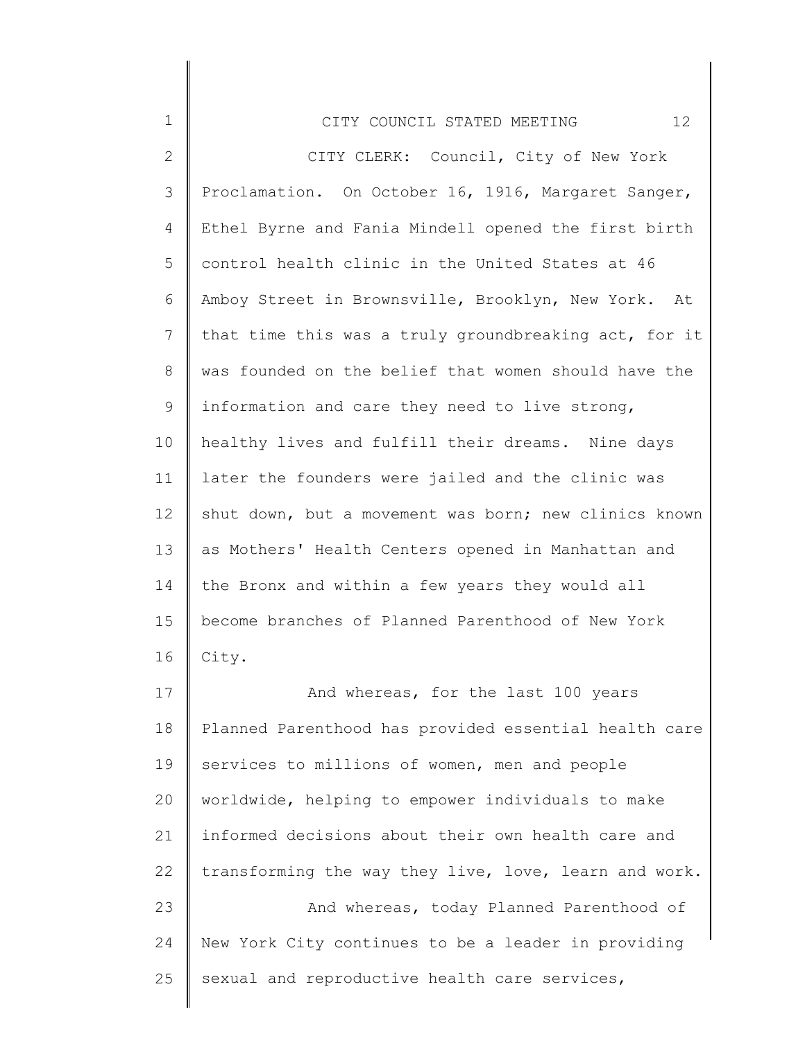| $\mathbf 1$   | 12 <sup>°</sup><br>CITY COUNCIL STATED MEETING        |
|---------------|-------------------------------------------------------|
| $\mathbf{2}$  | CITY CLERK: Council, City of New York                 |
| $\mathcal{S}$ | Proclamation. On October 16, 1916, Margaret Sanger,   |
| 4             | Ethel Byrne and Fania Mindell opened the first birth  |
| 5             | control health clinic in the United States at 46      |
| 6             | Amboy Street in Brownsville, Brooklyn, New York. At   |
| 7             | that time this was a truly groundbreaking act, for it |
| 8             | was founded on the belief that women should have the  |
| 9             | information and care they need to live strong,        |
| 10            | healthy lives and fulfill their dreams. Nine days     |
| 11            | later the founders were jailed and the clinic was     |
| 12            | shut down, but a movement was born; new clinics known |
| 13            | as Mothers' Health Centers opened in Manhattan and    |
| 14            | the Bronx and within a few years they would all       |
| 15            | become branches of Planned Parenthood of New York     |
| 16            | City.                                                 |
| 17            | And whereas, for the last 100 years                   |
| 18            | Planned Parenthood has provided essential health care |
| 19            | services to millions of women, men and people         |
| 20            | worldwide, helping to empower individuals to make     |
| 21            | informed decisions about their own health care and    |
| 22            | transforming the way they live, love, learn and work. |
| 23            | And whereas, today Planned Parenthood of              |
| 24            | New York City continues to be a leader in providing   |

25 sexual and reproductive health care services,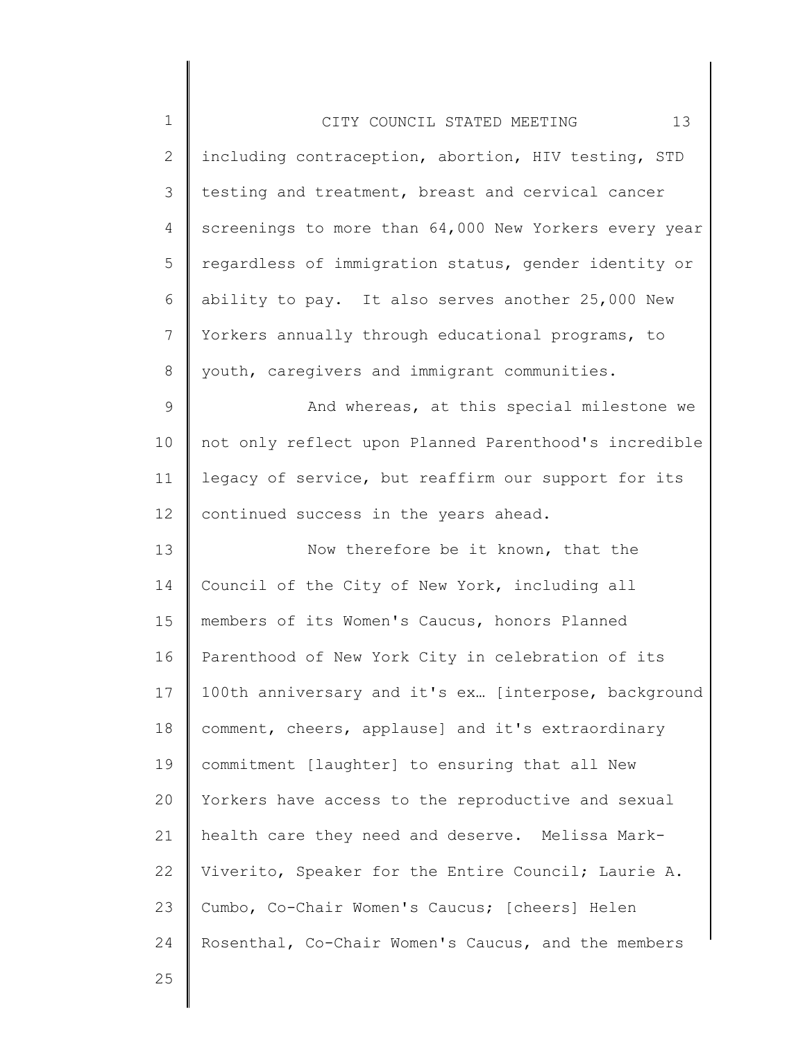| $\mathbf 1$     | 13<br>CITY COUNCIL STATED MEETING                     |
|-----------------|-------------------------------------------------------|
| $\mathbf{2}$    | including contraception, abortion, HIV testing, STD   |
| 3               | testing and treatment, breast and cervical cancer     |
| 4               | screenings to more than 64,000 New Yorkers every year |
| 5               | regardless of immigration status, gender identity or  |
| 6               | ability to pay. It also serves another 25,000 New     |
| $7\phantom{.}$  | Yorkers annually through educational programs, to     |
| 8               | youth, caregivers and immigrant communities.          |
| $\mathsf 9$     | And whereas, at this special milestone we             |
| 10              | not only reflect upon Planned Parenthood's incredible |
| 11              | legacy of service, but reaffirm our support for its   |
| 12 <sup>°</sup> | continued success in the years ahead.                 |
| 13              | Now therefore be it known, that the                   |
| 14              | Council of the City of New York, including all        |
| 15              | members of its Women's Caucus, honors Planned         |
| 16              | Parenthood of New York City in celebration of its     |
| 17              | 100th anniversary and it's ex [interpose, background  |
| 18              | comment, cheers, applause] and it's extraordinary     |
| 19              | commitment [laughter] to ensuring that all New        |
| 20              | Yorkers have access to the reproductive and sexual    |
| 21              | health care they need and deserve. Melissa Mark-      |
| 22              | Viverito, Speaker for the Entire Council; Laurie A.   |
| 23              | Cumbo, Co-Chair Women's Caucus; [cheers] Helen        |
| 24              | Rosenthal, Co-Chair Women's Caucus, and the members   |
| 25              |                                                       |

 $\mathsf I$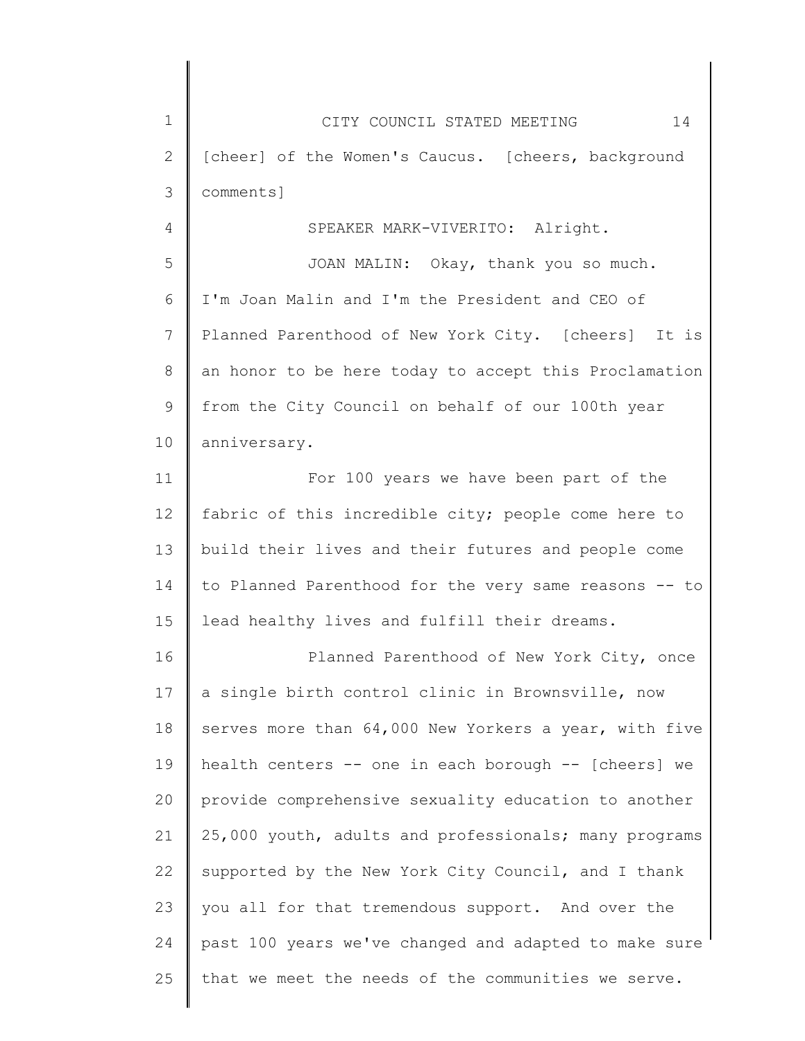1 2 3 4 5 6 7 8 9 10 11 12 13 14 15 16 17 18 19 20 21 22 23 24 25 CITY COUNCIL STATED MEETING 14 [cheer] of the Women's Caucus. [cheers, background comments] SPEAKER MARK-VIVERITO: Alright. JOAN MALIN: Okay, thank you so much. I'm Joan Malin and I'm the President and CEO of Planned Parenthood of New York City. [cheers] It is an honor to be here today to accept this Proclamation from the City Council on behalf of our 100th year anniversary. For 100 years we have been part of the fabric of this incredible city; people come here to build their lives and their futures and people come to Planned Parenthood for the very same reasons -- to lead healthy lives and fulfill their dreams. Planned Parenthood of New York City, once a single birth control clinic in Brownsville, now serves more than 64,000 New Yorkers a year, with five health centers -- one in each borough -- [cheers] we provide comprehensive sexuality education to another 25,000 youth, adults and professionals; many programs supported by the New York City Council, and I thank you all for that tremendous support. And over the past 100 years we've changed and adapted to make sure that we meet the needs of the communities we serve.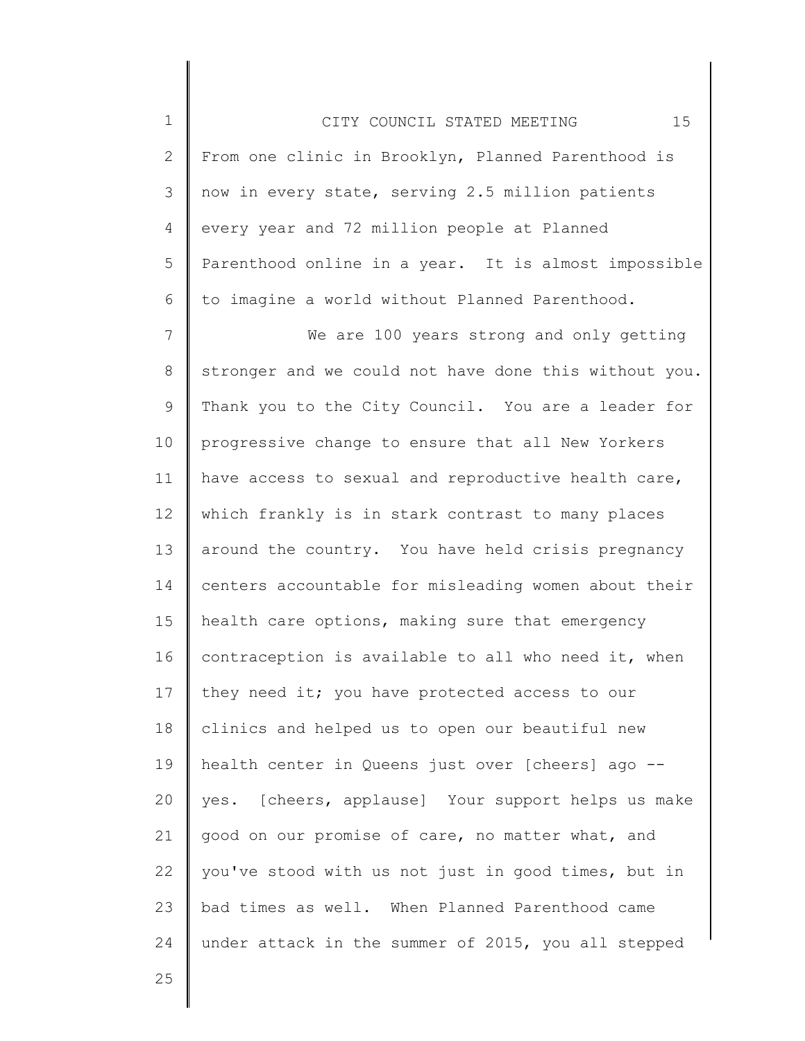1 2 3 4 5 6 CITY COUNCIL STATED MEETING 15 From one clinic in Brooklyn, Planned Parenthood is now in every state, serving 2.5 million patients every year and 72 million people at Planned Parenthood online in a year. It is almost impossible to imagine a world without Planned Parenthood.

7 8 9 10 11 12 13 14 15 16 17 18 19 20 21 22 23 24 We are 100 years strong and only getting stronger and we could not have done this without you. Thank you to the City Council. You are a leader for progressive change to ensure that all New Yorkers have access to sexual and reproductive health care, which frankly is in stark contrast to many places around the country. You have held crisis pregnancy centers accountable for misleading women about their health care options, making sure that emergency contraception is available to all who need it, when they need it; you have protected access to our clinics and helped us to open our beautiful new health center in Queens just over [cheers] ago - yes. [cheers, applause] Your support helps us make good on our promise of care, no matter what, and you've stood with us not just in good times, but in bad times as well. When Planned Parenthood came under attack in the summer of 2015, you all stepped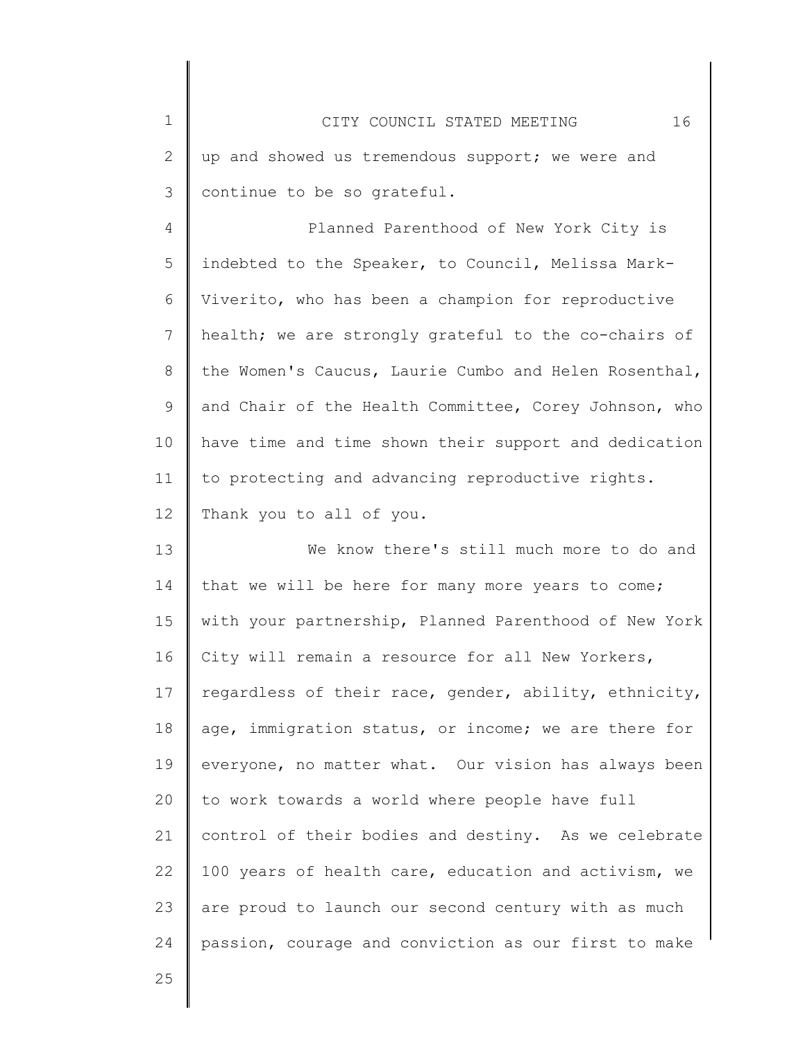| $\mathbf 1$     | 16<br>CITY COUNCIL STATED MEETING                     |
|-----------------|-------------------------------------------------------|
| $\mathbf{2}$    | up and showed us tremendous support; we were and      |
| 3               | continue to be so grateful.                           |
| 4               | Planned Parenthood of New York City is                |
| 5               | indebted to the Speaker, to Council, Melissa Mark-    |
| 6               | Viverito, who has been a champion for reproductive    |
| $7\phantom{.0}$ | health; we are strongly grateful to the co-chairs of  |
| 8               | the Women's Caucus, Laurie Cumbo and Helen Rosenthal, |
| 9               | and Chair of the Health Committee, Corey Johnson, who |
| 10              | have time and time shown their support and dedication |
| 11              | to protecting and advancing reproductive rights.      |
| 12              | Thank you to all of you.                              |
| 13              | We know there's still much more to do and             |
| 14              | that we will be here for many more years to come;     |
| 15              | with your partnership, Planned Parenthood of New York |
| 16              | City will remain a resource for all New Yorkers,      |
| 17              | regardless of their race, gender, ability, ethnicity, |
| 18              | age, immigration status, or income; we are there for  |
| 19              | everyone, no matter what. Our vision has always been  |
| 20              | to work towards a world where people have full        |
| 21              | control of their bodies and destiny. As we celebrate  |
| 22              | 100 years of health care, education and activism, we  |
| 23              | are proud to launch our second century with as much   |
| 24              | passion, courage and conviction as our first to make  |
| つら              |                                                       |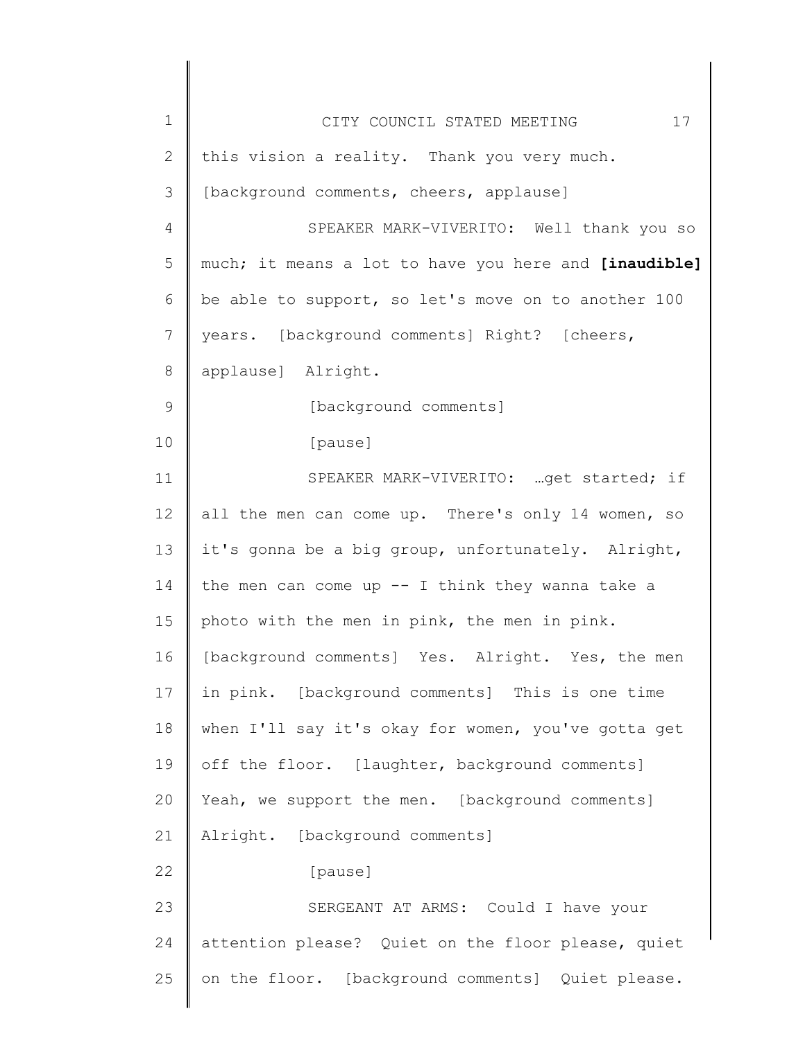| $\mathbf 1$   | 17<br>CITY COUNCIL STATED MEETING                     |
|---------------|-------------------------------------------------------|
| $\mathbf{2}$  | this vision a reality. Thank you very much.           |
| 3             | [background comments, cheers, applause]               |
| 4             | SPEAKER MARK-VIVERITO: Well thank you so              |
| 5             | much; it means a lot to have you here and [inaudible] |
| 6             | be able to support, so let's move on to another 100   |
| 7             | years. [background comments] Right? [cheers,          |
| $\,8\,$       | applause] Alright.                                    |
| $\mathcal{G}$ | [background comments]                                 |
| 10            | [pause]                                               |
| 11            | SPEAKER MARK-VIVERITO:  get started; if               |
| 12            | all the men can come up. There's only 14 women, so    |
| 13            | it's gonna be a big group, unfortunately. Alright,    |
| 14            | the men can come up $--$ I think they wanna take a    |
| 15            | photo with the men in pink, the men in pink.          |
| 16            | [background comments] Yes. Alright. Yes, the men      |
| 17            | in pink. [background comments] This is one time       |
| 18            | when I'll say it's okay for women, you've gotta get   |
| 19            | off the floor. [laughter, background comments]        |
| 20            | Yeah, we support the men. [background comments]       |
| 21            | Alright. [background comments]                        |
| 22            | [pause]                                               |
| 23            | SERGEANT AT ARMS: Could I have your                   |
| 24            | attention please? Quiet on the floor please, quiet    |
| 25            | on the floor. [background comments] Quiet please.     |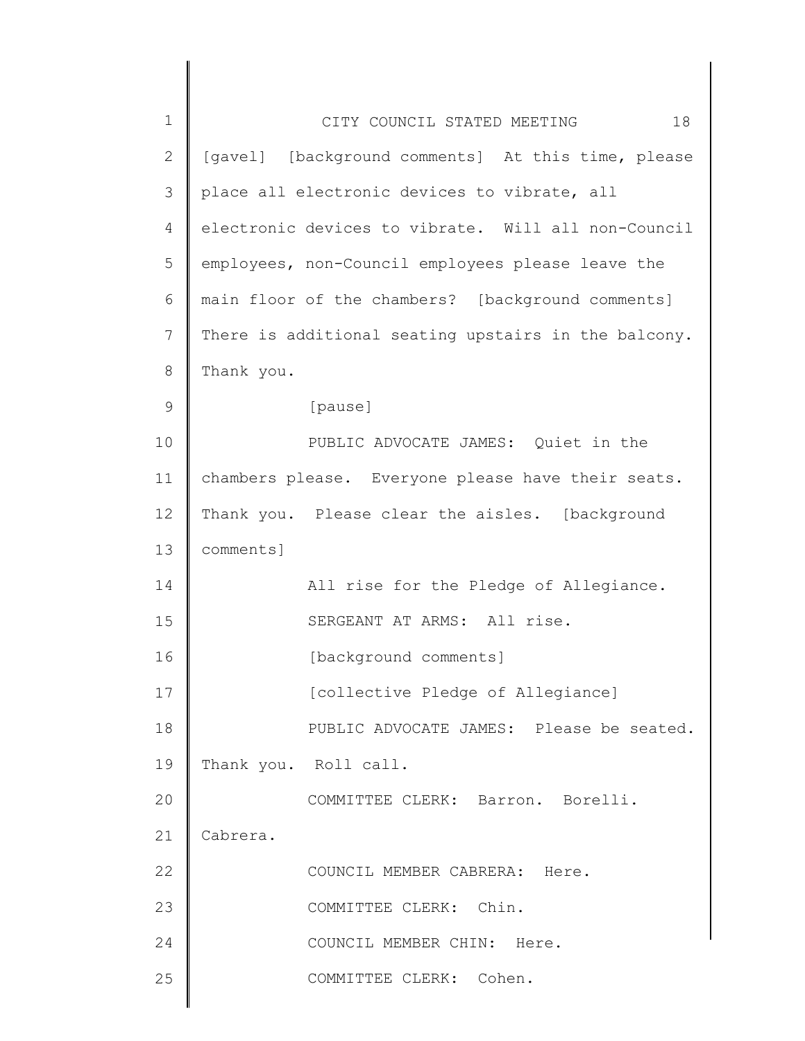| 1             | 18<br>CITY COUNCIL STATED MEETING                    |
|---------------|------------------------------------------------------|
| $\mathbf{2}$  | [gavel] [background comments] At this time, please   |
| 3             | place all electronic devices to vibrate, all         |
| 4             | electronic devices to vibrate. Will all non-Council  |
| 5             | employees, non-Council employees please leave the    |
| 6             | main floor of the chambers? [background comments]    |
| 7             | There is additional seating upstairs in the balcony. |
| 8             | Thank you.                                           |
| $\mathcal{G}$ | [pause]                                              |
| 10            | PUBLIC ADVOCATE JAMES: Quiet in the                  |
| 11            | chambers please. Everyone please have their seats.   |
| 12            | Thank you. Please clear the aisles. [background      |
| 13            | comments]                                            |
| 14            | All rise for the Pledge of Allegiance.               |
| 15            | SERGEANT AT ARMS: All rise.                          |
| 16            | [background comments]                                |
| 17            | [collective Pledge of Allegiance]                    |
| 18            | PUBLIC ADVOCATE JAMES: Please be seated.             |
| 19            | Thank you. Roll call.                                |
| 20            | COMMITTEE CLERK: Barron. Borelli.                    |
| 21            | Cabrera.                                             |
| 22            | COUNCIL MEMBER CABRERA: Here.                        |
| 23            | COMMITTEE CLERK: Chin.                               |
| 24            | COUNCIL MEMBER CHIN: Here.                           |
| 25            | COMMITTEE CLERK: Cohen.                              |
|               |                                                      |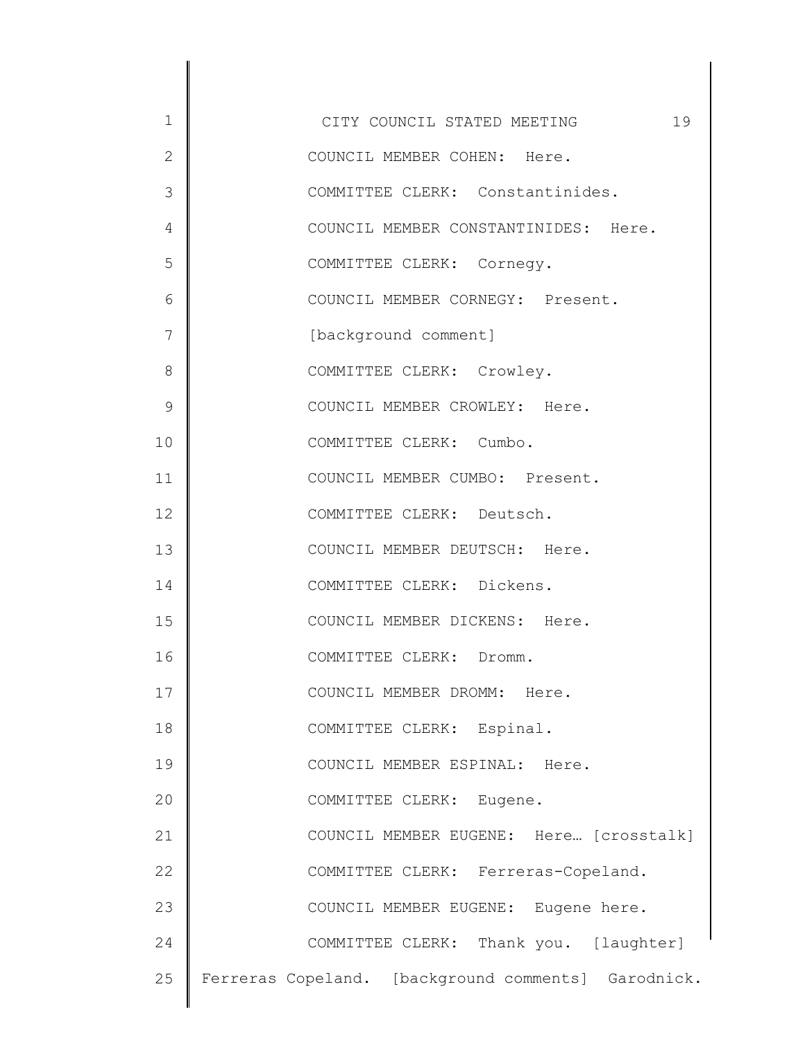| $\mathbf 1$   | 19<br>CITY COUNCIL STATED MEETING                   |
|---------------|-----------------------------------------------------|
| $\mathbf{2}$  | COUNCIL MEMBER COHEN: Here.                         |
| 3             | COMMITTEE CLERK: Constantinides.                    |
| 4             | COUNCIL MEMBER CONSTANTINIDES: Here.                |
| 5             | COMMITTEE CLERK: Cornegy.                           |
| 6             | COUNCIL MEMBER CORNEGY: Present.                    |
| 7             | [background comment]                                |
| 8             | COMMITTEE CLERK: Crowley.                           |
| $\mathcal{G}$ | COUNCIL MEMBER CROWLEY: Here.                       |
| 10            | COMMITTEE CLERK: Cumbo.                             |
| 11            | COUNCIL MEMBER CUMBO: Present.                      |
| 12            | COMMITTEE CLERK: Deutsch.                           |
| 13            | COUNCIL MEMBER DEUTSCH: Here.                       |
| 14            | COMMITTEE CLERK: Dickens.                           |
| 15            | COUNCIL MEMBER DICKENS: Here.                       |
| 16            | COMMITTEE CLERK: Dromm.                             |
| 17            | COUNCIL MEMBER DROMM: Here.                         |
| 18            | COMMITTEE CLERK: Espinal.                           |
| 19            | COUNCIL MEMBER ESPINAL: Here.                       |
| 20            | COMMITTEE CLERK: Eugene.                            |
| 21            | COUNCIL MEMBER EUGENE: Here [crosstalk]             |
| 22            | COMMITTEE CLERK: Ferreras-Copeland.                 |
| 23            | COUNCIL MEMBER EUGENE: Eugene here.                 |
| 24            | COMMITTEE CLERK: Thank you. [laughter]              |
| 25            | Ferreras Copeland. [background comments] Garodnick. |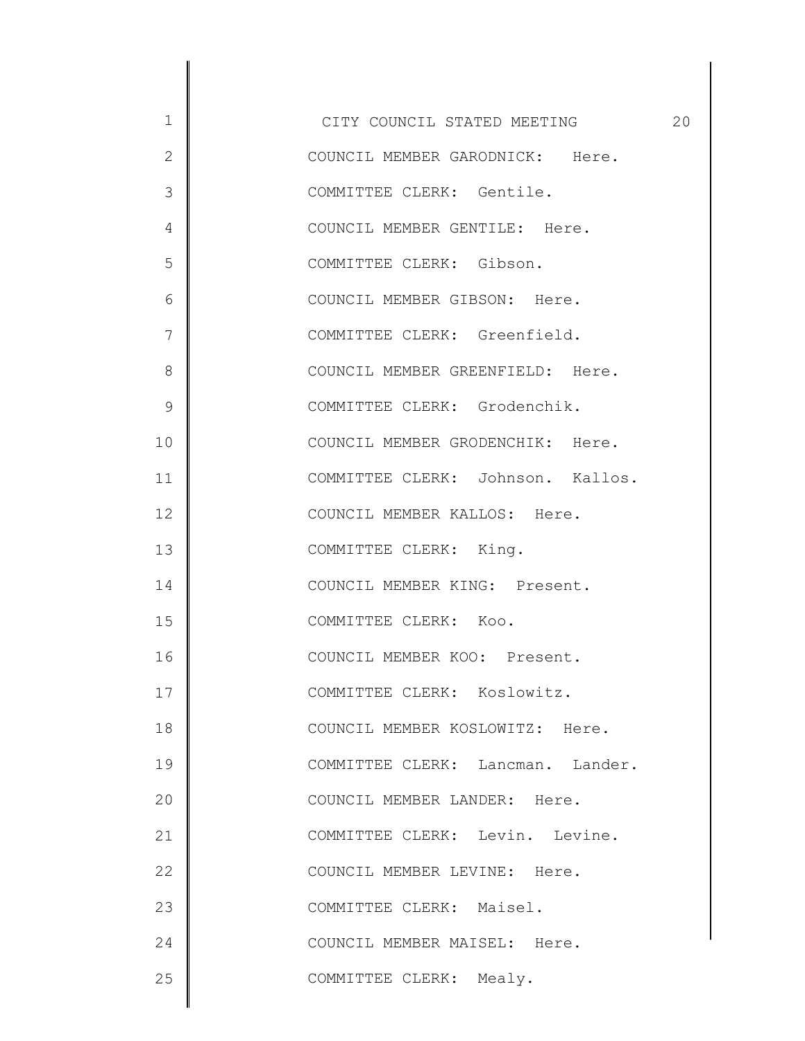1 2 3 4 5 6 7 8 9 10 11 12 13 14 15 16 17 18 19 20 21 22 23 24 25 CITY COUNCIL STATED MEETING 20 COUNCIL MEMBER GARODNICK: Here. COMMITTEE CLERK: Gentile. COUNCIL MEMBER GENTILE: Here. COMMITTEE CLERK: Gibson. COUNCIL MEMBER GIBSON: Here. COMMITTEE CLERK: Greenfield. COUNCIL MEMBER GREENFIELD: Here. COMMITTEE CLERK: Grodenchik. COUNCIL MEMBER GRODENCHIK: Here. COMMITTEE CLERK: Johnson. Kallos. COUNCIL MEMBER KALLOS: Here. COMMITTEE CLERK: King. COUNCIL MEMBER KING: Present. COMMITTEE CLERK: Koo. COUNCIL MEMBER KOO: Present. COMMITTEE CLERK: Koslowitz. COUNCIL MEMBER KOSLOWITZ: Here. COMMITTEE CLERK: Lancman. Lander. COUNCIL MEMBER LANDER: Here. COMMITTEE CLERK: Levin. Levine. COUNCIL MEMBER LEVINE: Here. COMMITTEE CLERK: Maisel. COUNCIL MEMBER MAISEL: Here. COMMITTEE CLERK: Mealy.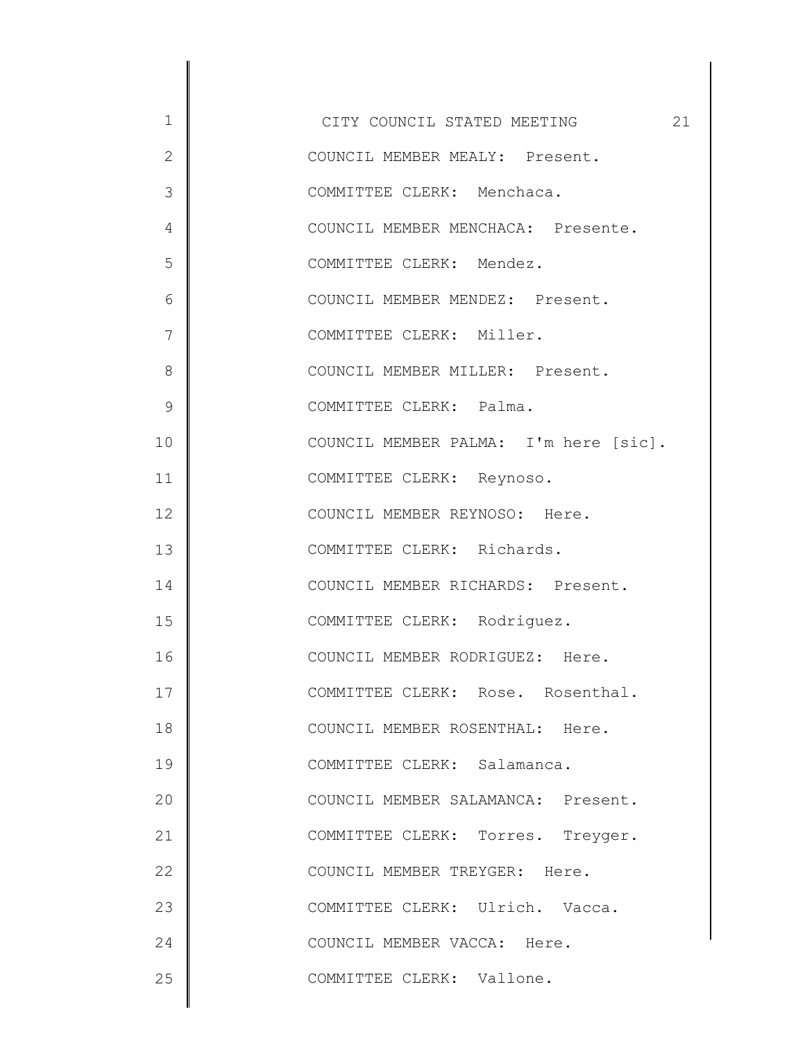1 2 3 4 5 6 7 8 9 10 11 12 13 14 15 16 17 18 19 20 21 22 23 24 25 CITY COUNCIL STATED MEETING 21 COUNCIL MEMBER MEALY: Present. COMMITTEE CLERK: Menchaca. COUNCIL MEMBER MENCHACA: Presente. COMMITTEE CLERK: Mendez. COUNCIL MEMBER MENDEZ: Present. COMMITTEE CLERK: Miller. COUNCIL MEMBER MILLER: Present. COMMITTEE CLERK: Palma. COUNCIL MEMBER PALMA: I'm here [sic]. COMMITTEE CLERK: Reynoso. COUNCIL MEMBER REYNOSO: Here. COMMITTEE CLERK: Richards. COUNCIL MEMBER RICHARDS: Present. COMMITTEE CLERK: Rodriguez. COUNCIL MEMBER RODRIGUEZ: Here. COMMITTEE CLERK: Rose. Rosenthal. COUNCIL MEMBER ROSENTHAL: Here. COMMITTEE CLERK: Salamanca. COUNCIL MEMBER SALAMANCA: Present. COMMITTEE CLERK: Torres. Treyger. COUNCIL MEMBER TREYGER: Here. COMMITTEE CLERK: Ulrich. Vacca. COUNCIL MEMBER VACCA: Here. COMMITTEE CLERK: Vallone.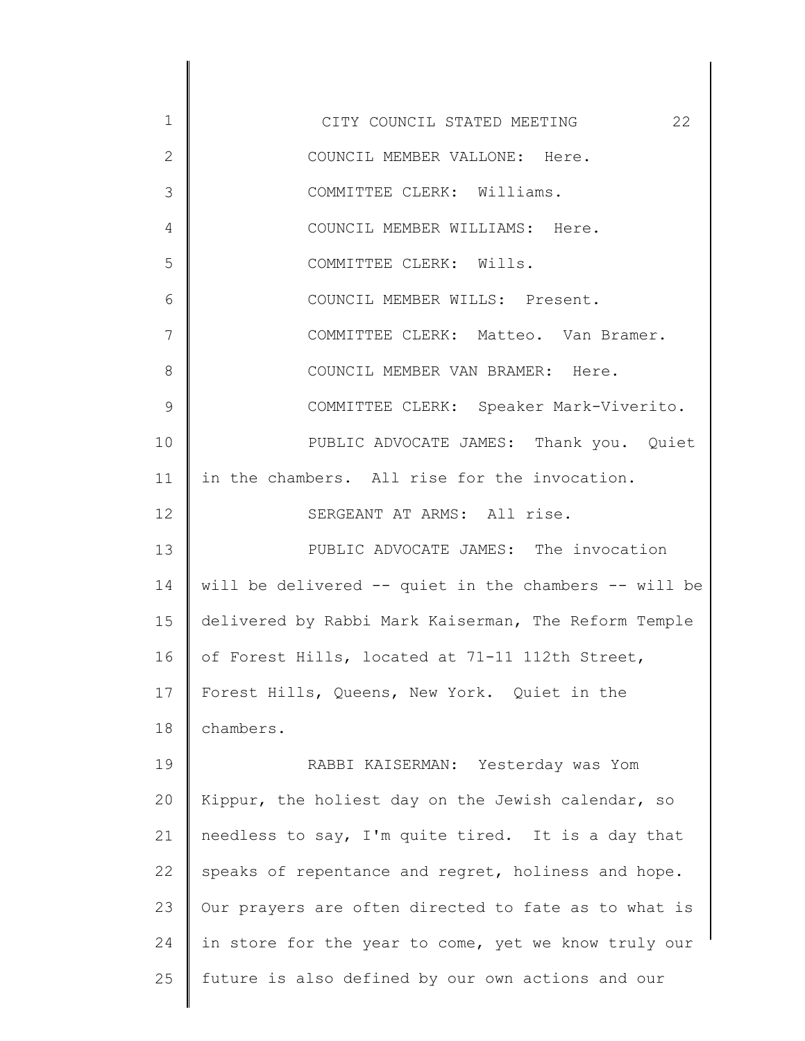1 2 3 4 5 6 7 8 9 10 11 12 13 14 15 16 17 18 19 20 21 22 23 24 25 CITY COUNCIL STATED MEETING 22 COUNCIL MEMBER VALLONE: Here. COMMITTEE CLERK: Williams. COUNCIL MEMBER WILLIAMS: Here. COMMITTEE CLERK: Wills. COUNCIL MEMBER WILLS: Present. COMMITTEE CLERK: Matteo. Van Bramer. COUNCIL MEMBER VAN BRAMER: Here. COMMITTEE CLERK: Speaker Mark-Viverito. PUBLIC ADVOCATE JAMES: Thank you. Quiet in the chambers. All rise for the invocation. SERGEANT AT ARMS: All rise. PUBLIC ADVOCATE JAMES: The invocation will be delivered -- quiet in the chambers -- will be delivered by Rabbi Mark Kaiserman, The Reform Temple of Forest Hills, located at 71-11 112th Street, Forest Hills, Queens, New York. Quiet in the chambers. RABBI KAISERMAN: Yesterday was Yom Kippur, the holiest day on the Jewish calendar, so needless to say, I'm quite tired. It is a day that speaks of repentance and regret, holiness and hope. Our prayers are often directed to fate as to what is in store for the year to come, yet we know truly our future is also defined by our own actions and our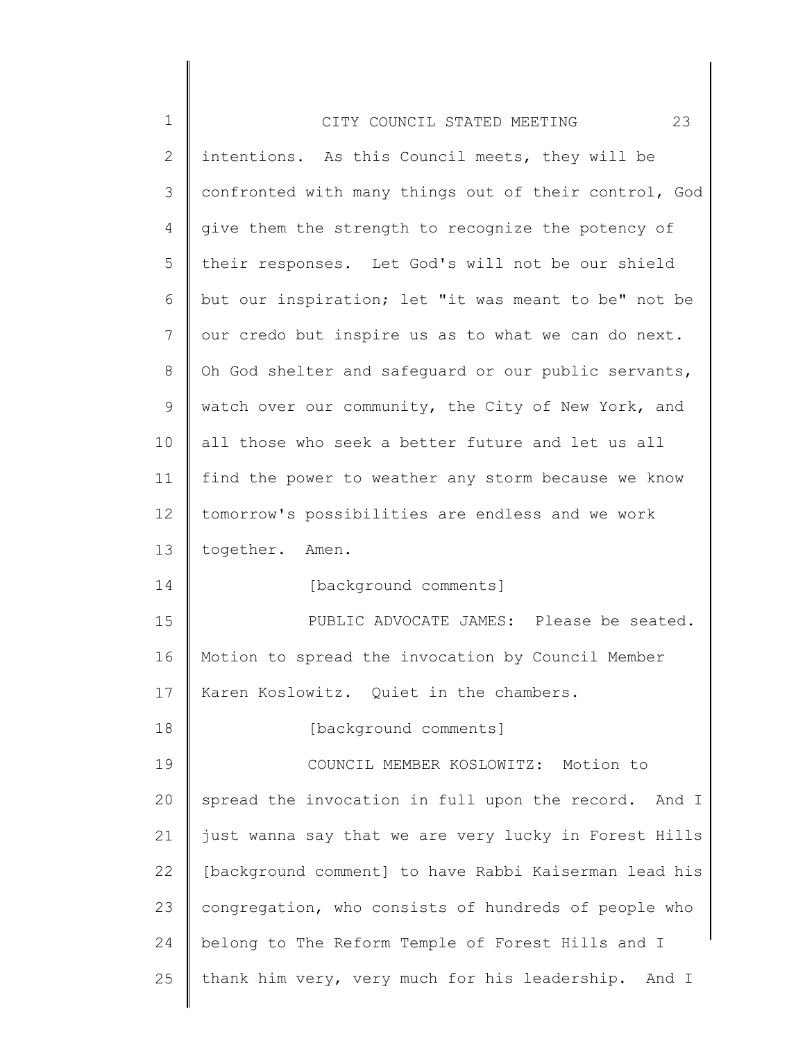| $\mathbf 1$    | 23<br>CITY COUNCIL STATED MEETING                     |
|----------------|-------------------------------------------------------|
| $\overline{2}$ | intentions. As this Council meets, they will be       |
| 3              | confronted with many things out of their control, God |
| 4              | give them the strength to recognize the potency of    |
| 5              | their responses. Let God's will not be our shield     |
| 6              | but our inspiration; let "it was meant to be" not be  |
| 7              | our credo but inspire us as to what we can do next.   |
| 8              | Oh God shelter and safequard or our public servants,  |
| 9              | watch over our community, the City of New York, and   |
| 10             | all those who seek a better future and let us all     |
| 11             | find the power to weather any storm because we know   |
| 12             | tomorrow's possibilities are endless and we work      |
| 13             | together. Amen.                                       |
| 14             | [background comments]                                 |
| 15             | PUBLIC ADVOCATE JAMES: Please be seated.              |
| 16             | Motion to spread the invocation by Council Member     |
| 17             | Karen Koslowitz. Quiet in the chambers.               |
| 18             | [background comments]                                 |
| 19             | COUNCIL MEMBER KOSLOWITZ: Motion to                   |
| 20             | spread the invocation in full upon the record. And I  |
| 21             | just wanna say that we are very lucky in Forest Hills |
| 22             | [background comment] to have Rabbi Kaiserman lead his |
| 23             | congregation, who consists of hundreds of people who  |
| 24             | belong to The Reform Temple of Forest Hills and I     |
| 25             | thank him very, very much for his leadership. And I   |
|                |                                                       |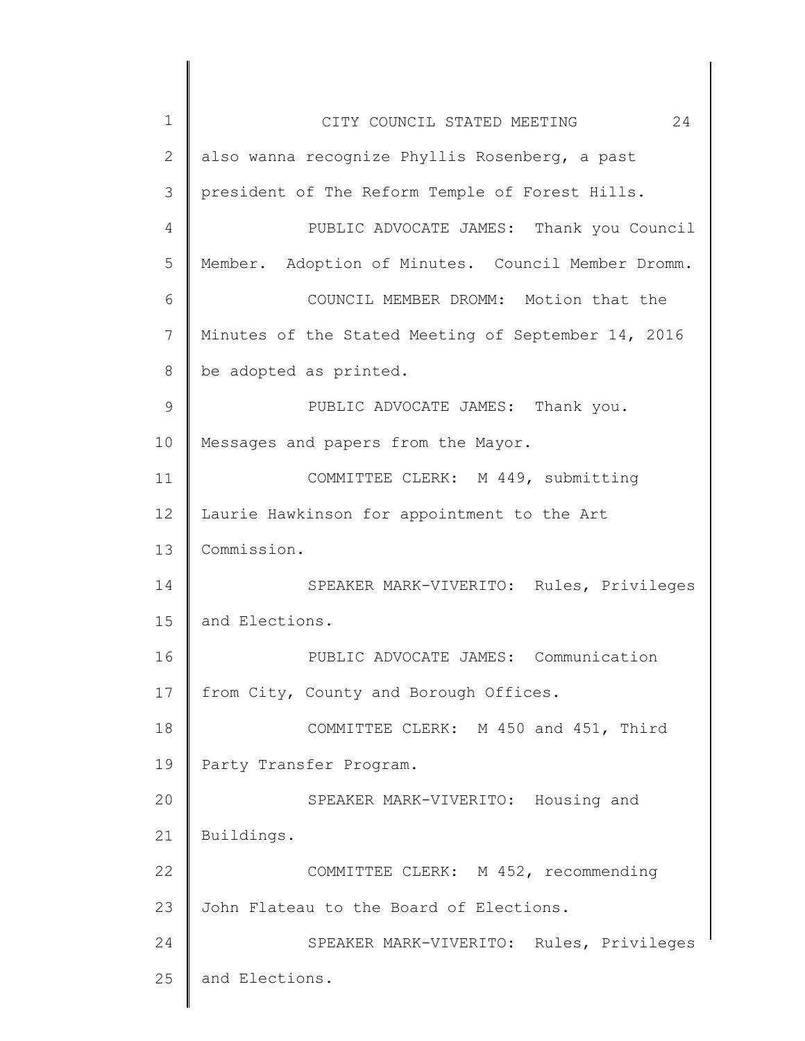| $\mathbf 1$    | 24<br>CITY COUNCIL STATED MEETING                   |
|----------------|-----------------------------------------------------|
| $\overline{2}$ | also wanna recognize Phyllis Rosenberg, a past      |
| 3              | president of The Reform Temple of Forest Hills.     |
| 4              | PUBLIC ADVOCATE JAMES: Thank you Council            |
| 5              | Member. Adoption of Minutes. Council Member Dromm.  |
| 6              | COUNCIL MEMBER DROMM: Motion that the               |
| 7              | Minutes of the Stated Meeting of September 14, 2016 |
| 8              | be adopted as printed.                              |
| $\mathcal{G}$  | PUBLIC ADVOCATE JAMES: Thank you.                   |
| 10             | Messages and papers from the Mayor.                 |
| 11             | COMMITTEE CLERK: M 449, submitting                  |
| 12             | Laurie Hawkinson for appointment to the Art         |
| 13             | Commission.                                         |
| 14             | SPEAKER MARK-VIVERITO: Rules, Privileges            |
| 15             | and Elections.                                      |
| 16             | PUBLIC ADVOCATE JAMES: Communication                |
| 17             | from City, County and Borough Offices.              |
| 18             | COMMITTEE CLERK: M 450 and 451, Third               |
| 19             | Party Transfer Program.                             |
| 20             | SPEAKER MARK-VIVERITO: Housing and                  |
| 21             | Buildings.                                          |
| 22             | COMMITTEE CLERK: M 452, recommending                |
| 23             | John Flateau to the Board of Elections.             |
| 24             | SPEAKER MARK-VIVERITO: Rules, Privileges            |
| 25             | and Elections.                                      |
|                |                                                     |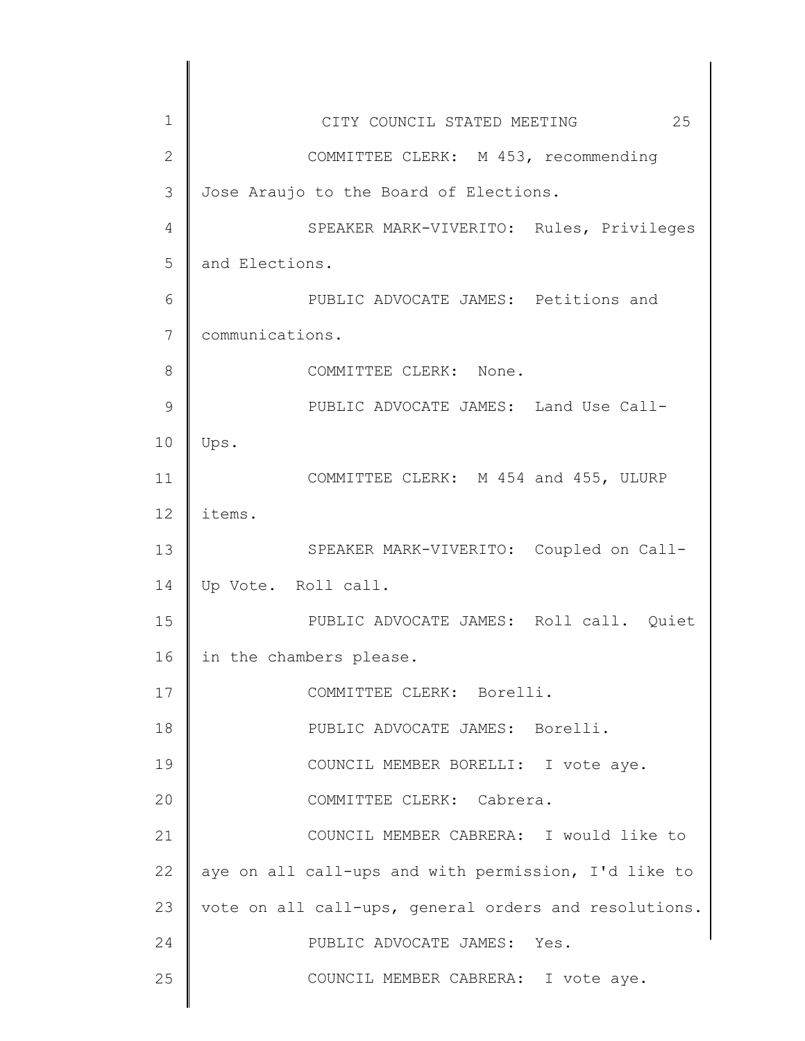| $\mathbf 1$     | 25<br>CITY COUNCIL STATED MEETING                     |
|-----------------|-------------------------------------------------------|
| $\mathbf{2}$    | COMMITTEE CLERK: M 453, recommending                  |
| 3               | Jose Araujo to the Board of Elections.                |
| 4               | SPEAKER MARK-VIVERITO: Rules, Privileges              |
| 5               | and Elections.                                        |
| 6               | PUBLIC ADVOCATE JAMES: Petitions and                  |
| 7               | communications.                                       |
| 8               | COMMITTEE CLERK: None.                                |
| 9               | PUBLIC ADVOCATE JAMES: Land Use Call-                 |
| 10              | Ups.                                                  |
| 11              | COMMITTEE CLERK: M 454 and 455, ULURP                 |
| 12 <sup>°</sup> | items.                                                |
| 13              | SPEAKER MARK-VIVERITO: Coupled on Call-               |
| 14              | Up Vote. Roll call.                                   |
| 15              | PUBLIC ADVOCATE JAMES: Roll call. Quiet               |
| 16              | in the chambers please.                               |
| 17              | COMMITTEE CLERK: Borelli.                             |
| 18              | PUBLIC ADVOCATE JAMES: Borelli.                       |
| 19              | COUNCIL MEMBER BORELLI: I vote aye.                   |
| 20              | COMMITTEE CLERK: Cabrera.                             |
| 21              | COUNCIL MEMBER CABRERA: I would like to               |
| 22              | aye on all call-ups and with permission, I'd like to  |
| 23              | vote on all call-ups, general orders and resolutions. |
| 24              | PUBLIC ADVOCATE JAMES: Yes.                           |
| 25              | COUNCIL MEMBER CABRERA: I vote aye.                   |
|                 |                                                       |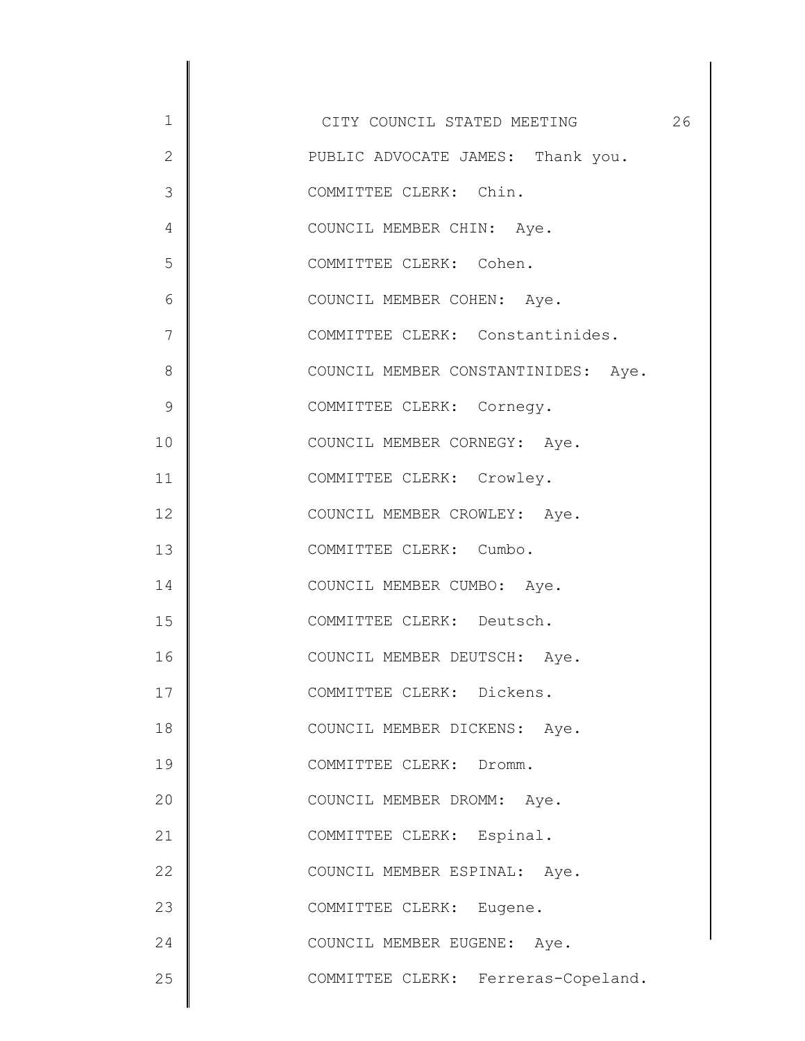1 2 3 4 5 6 7 8 9 10 11 12 13 14 15 16 17 18 19 20 21 22 23 24 25 CITY COUNCIL STATED MEETING 26 PUBLIC ADVOCATE JAMES: Thank you. COMMITTEE CLERK: Chin. COUNCIL MEMBER CHIN: Aye. COMMITTEE CLERK: Cohen. COUNCIL MEMBER COHEN: Aye. COMMITTEE CLERK: Constantinides. COUNCIL MEMBER CONSTANTINIDES: Aye. COMMITTEE CLERK: Cornegy. COUNCIL MEMBER CORNEGY: Aye. COMMITTEE CLERK: Crowley. COUNCIL MEMBER CROWLEY: Aye. COMMITTEE CLERK: Cumbo. COUNCIL MEMBER CUMBO: Aye. COMMITTEE CLERK: Deutsch. COUNCIL MEMBER DEUTSCH: Aye. COMMITTEE CLERK: Dickens. COUNCIL MEMBER DICKENS: Aye. COMMITTEE CLERK: Dromm. COUNCIL MEMBER DROMM: Aye. COMMITTEE CLERK: Espinal. COUNCIL MEMBER ESPINAL: Aye. COMMITTEE CLERK: Eugene. COUNCIL MEMBER EUGENE: Aye. COMMITTEE CLERK: Ferreras-Copeland.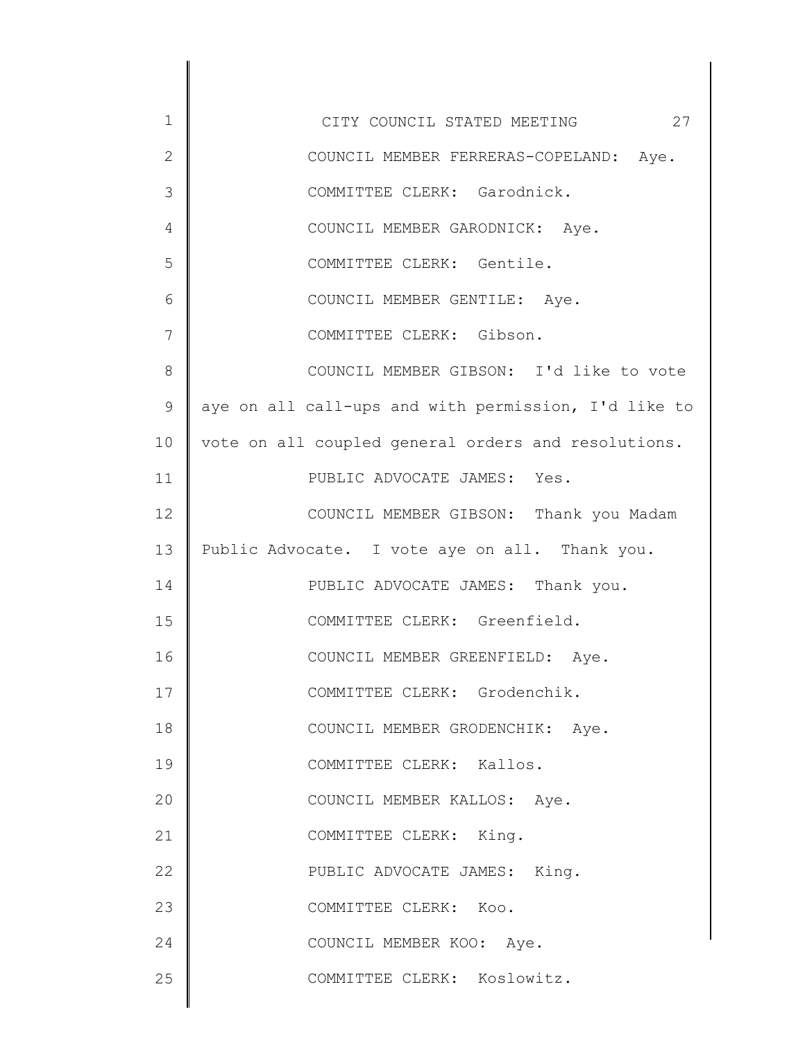| $\mathbf 1$  | CITY COUNCIL STATED MEETING 27                       |
|--------------|------------------------------------------------------|
| $\mathbf{2}$ | COUNCIL MEMBER FERRERAS-COPELAND: Aye.               |
| 3            | COMMITTEE CLERK: Garodnick.                          |
| 4            | COUNCIL MEMBER GARODNICK: Aye.                       |
| 5            | COMMITTEE CLERK: Gentile.                            |
| 6            | COUNCIL MEMBER GENTILE: Aye.                         |
| 7            | COMMITTEE CLERK: Gibson.                             |
| 8            | COUNCIL MEMBER GIBSON: I'd like to vote              |
| $\mathsf{S}$ | aye on all call-ups and with permission, I'd like to |
| 10           | vote on all coupled general orders and resolutions.  |
| 11           | PUBLIC ADVOCATE JAMES: Yes.                          |
| 12           | COUNCIL MEMBER GIBSON: Thank you Madam               |
| 13           | Public Advocate. I vote aye on all. Thank you.       |
| 14           | PUBLIC ADVOCATE JAMES: Thank you.                    |
| 15           | COMMITTEE CLERK: Greenfield.                         |
| 16           | COUNCIL MEMBER GREENFIELD: Aye.                      |
| 17           | COMMITTEE CLERK: Grodenchik.                         |
| 18           | COUNCIL MEMBER GRODENCHIK: Aye.                      |
| 19           | COMMITTEE CLERK: Kallos.                             |
| 20           | COUNCIL MEMBER KALLOS: Aye.                          |
| 21           | COMMITTEE CLERK: King.                               |
| 22           | PUBLIC ADVOCATE JAMES: King.                         |
| 23           | COMMITTEE CLERK: Koo.                                |
| 24           | COUNCIL MEMBER KOO: Aye.                             |
| 25           | COMMITTEE CLERK: Koslowitz.                          |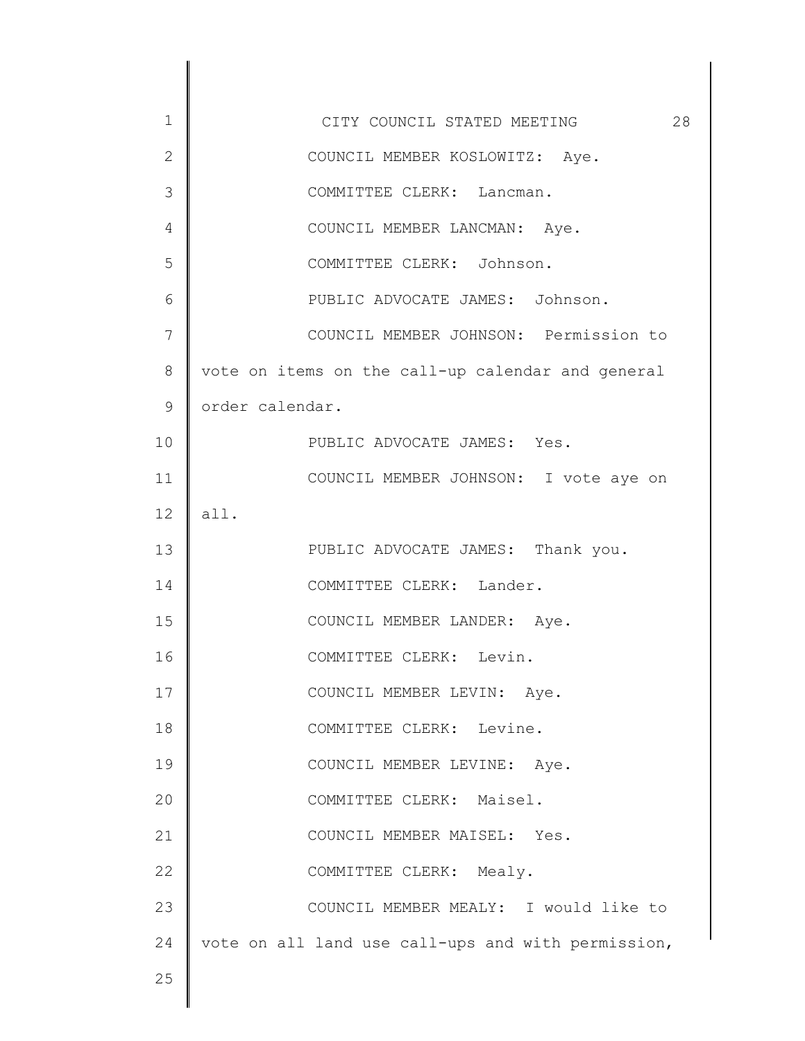| $\mathbf 1$ | CITY COUNCIL STATED MEETING<br>28                  |
|-------------|----------------------------------------------------|
| 2           | COUNCIL MEMBER KOSLOWITZ: Aye.                     |
| 3           | COMMITTEE CLERK: Lancman.                          |
| 4           | COUNCIL MEMBER LANCMAN: Aye.                       |
| 5           | COMMITTEE CLERK: Johnson.                          |
| 6           | PUBLIC ADVOCATE JAMES: Johnson.                    |
| 7           | COUNCIL MEMBER JOHNSON: Permission to              |
| 8           | vote on items on the call-up calendar and general  |
| $\mathsf 9$ | order calendar.                                    |
| 10          | PUBLIC ADVOCATE JAMES: Yes.                        |
| 11          | COUNCIL MEMBER JOHNSON: I vote aye on              |
| 12          | all.                                               |
| 13          | PUBLIC ADVOCATE JAMES: Thank you.                  |
| 14          | COMMITTEE CLERK: Lander.                           |
| 15          | COUNCIL MEMBER LANDER: Aye.                        |
| 16          | COMMITTEE CLERK: Levin.                            |
| 17          | COUNCIL MEMBER LEVIN: Aye.                         |
| 18          | COMMITTEE CLERK: Levine.                           |
| 19          | COUNCIL MEMBER LEVINE: Aye.                        |
| 20          | COMMITTEE CLERK: Maisel.                           |
| 21          | COUNCIL MEMBER MAISEL: Yes.                        |
| 22          | COMMITTEE CLERK: Mealy.                            |
| 23          | COUNCIL MEMBER MEALY: I would like to              |
| 24          | vote on all land use call-ups and with permission, |
| 25          |                                                    |
|             |                                                    |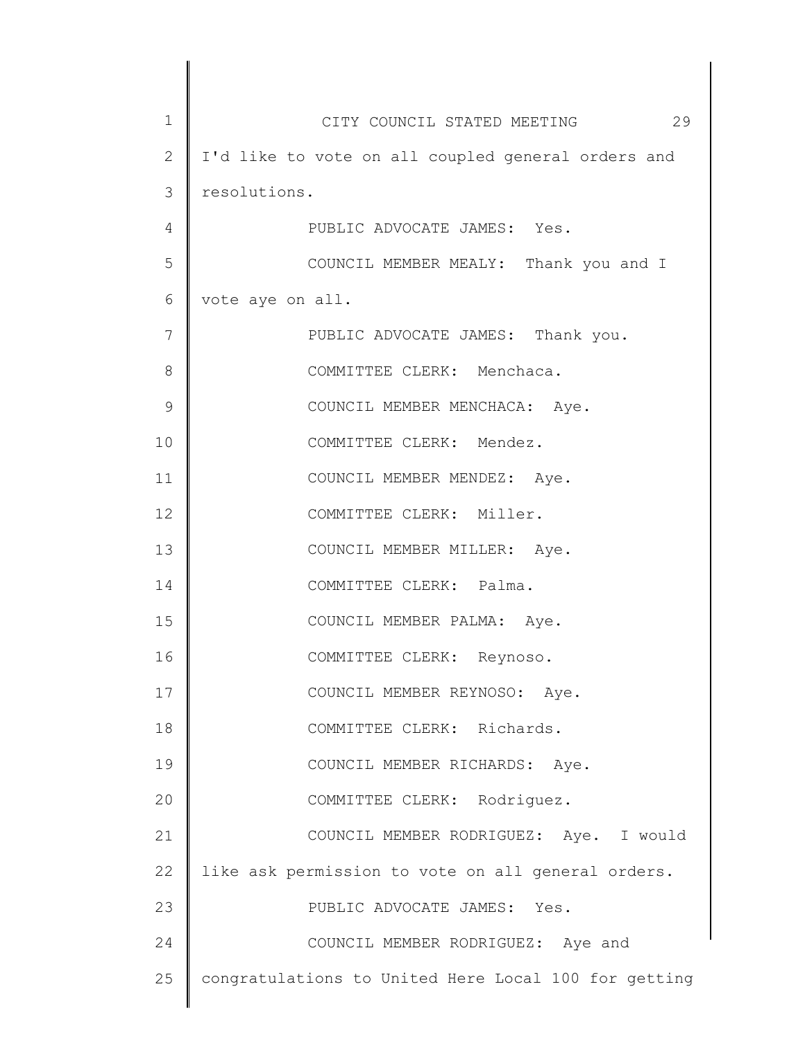| $\mathbf 1$  | CITY COUNCIL STATED MEETING 29                       |
|--------------|------------------------------------------------------|
| $\mathbf{2}$ | I'd like to vote on all coupled general orders and   |
| 3            | resolutions.                                         |
| 4            | PUBLIC ADVOCATE JAMES: Yes.                          |
| 5            | COUNCIL MEMBER MEALY: Thank you and I                |
| 6            | vote aye on all.                                     |
| 7            | PUBLIC ADVOCATE JAMES: Thank you.                    |
| 8            | COMMITTEE CLERK: Menchaca.                           |
| 9            | COUNCIL MEMBER MENCHACA: Aye.                        |
| 10           | COMMITTEE CLERK: Mendez.                             |
| 11           | COUNCIL MEMBER MENDEZ: Aye.                          |
| 12           | COMMITTEE CLERK: Miller.                             |
| 13           | COUNCIL MEMBER MILLER: Aye.                          |
| 14           | COMMITTEE CLERK: Palma.                              |
| 15           | COUNCIL MEMBER PALMA: Aye.                           |
| 16           | COMMITTEE CLERK: Reynoso.                            |
| 17           | COUNCIL MEMBER REYNOSO: Aye.                         |
| 18           | COMMITTEE CLERK: Richards.                           |
| 19           | COUNCIL MEMBER RICHARDS: Aye.                        |
| 20           | COMMITTEE CLERK: Rodriguez.                          |
| 21           | COUNCIL MEMBER RODRIGUEZ: Aye. I would               |
| 22           | like ask permission to vote on all general orders.   |
| 23           | PUBLIC ADVOCATE JAMES: Yes.                          |
| 24           | COUNCIL MEMBER RODRIGUEZ: Aye and                    |
| 25           | congratulations to United Here Local 100 for getting |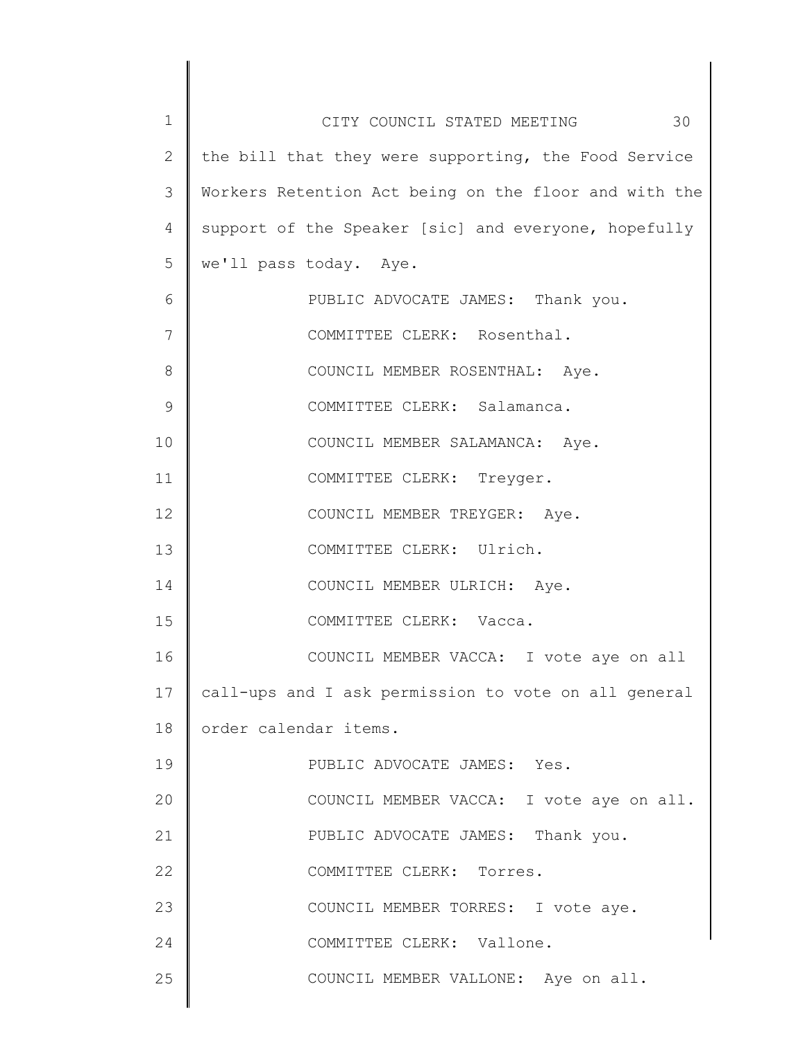| 1              | 30<br>CITY COUNCIL STATED MEETING                     |
|----------------|-------------------------------------------------------|
| $\overline{2}$ | the bill that they were supporting, the Food Service  |
| 3              | Workers Retention Act being on the floor and with the |
| 4              | support of the Speaker [sic] and everyone, hopefully  |
| 5              | we'll pass today. Aye.                                |
| 6              | PUBLIC ADVOCATE JAMES: Thank you.                     |
| 7              | COMMITTEE CLERK: Rosenthal.                           |
| 8              | COUNCIL MEMBER ROSENTHAL: Aye.                        |
| 9              | COMMITTEE CLERK: Salamanca.                           |
| 10             | COUNCIL MEMBER SALAMANCA: Aye.                        |
| 11             | COMMITTEE CLERK: Treyger.                             |
| 12             | COUNCIL MEMBER TREYGER: Aye.                          |
| 13             | COMMITTEE CLERK: Ulrich.                              |
| 14             | COUNCIL MEMBER ULRICH: Aye.                           |
| 15             | COMMITTEE CLERK: Vacca.                               |
| 16             | COUNCIL MEMBER VACCA: I vote aye on all               |
| 17             | call-ups and I ask permission to vote on all general  |
| 18             | order calendar items.                                 |
| 19             | PUBLIC ADVOCATE JAMES: Yes.                           |
| 20             | COUNCIL MEMBER VACCA: I vote aye on all.              |
| 21             | PUBLIC ADVOCATE JAMES: Thank you.                     |
| 22             | COMMITTEE CLERK: Torres.                              |
| 23             | COUNCIL MEMBER TORRES: I vote aye.                    |
| 24             | COMMITTEE CLERK: Vallone.                             |
| 25             | COUNCIL MEMBER VALLONE: Aye on all.                   |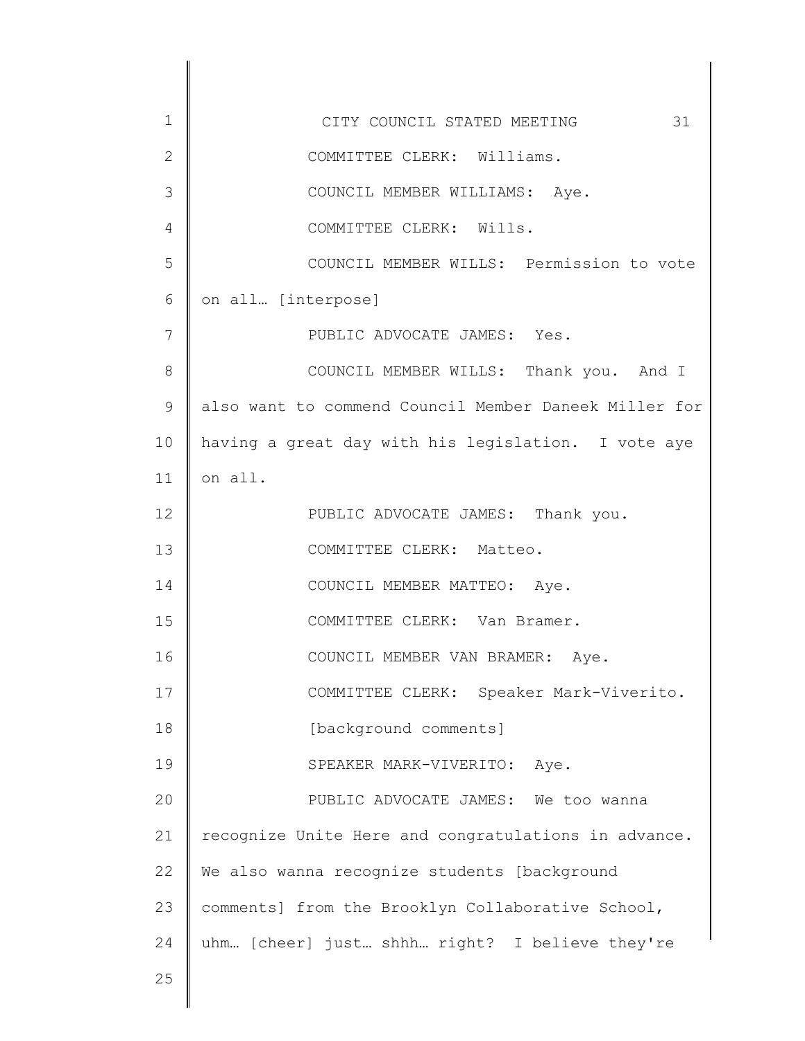| $\mathbf 1$    | 31<br>CITY COUNCIL STATED MEETING                     |
|----------------|-------------------------------------------------------|
| $\overline{2}$ | COMMITTEE CLERK: Williams.                            |
| 3              | COUNCIL MEMBER WILLIAMS: Aye.                         |
| 4              | COMMITTEE CLERK: Wills.                               |
| 5              | COUNCIL MEMBER WILLS: Permission to vote              |
| 6              | on all [interpose]                                    |
| 7              | PUBLIC ADVOCATE JAMES: Yes.                           |
| 8              | COUNCIL MEMBER WILLS: Thank you. And I                |
| $\mathsf 9$    | also want to commend Council Member Daneek Miller for |
| 10             | having a great day with his legislation. I vote aye   |
| 11             | on all.                                               |
| 12             | PUBLIC ADVOCATE JAMES: Thank you.                     |
| 13             | COMMITTEE CLERK: Matteo.                              |
| 14             | COUNCIL MEMBER MATTEO: Aye.                           |
| 15             | COMMITTEE CLERK: Van Bramer.                          |
| 16             | COUNCIL MEMBER VAN BRAMER:<br>Aye.                    |
| 17             | COMMITTEE CLERK: Speaker Mark-Viverito.               |
| 18             | [background comments]                                 |
| 19             | SPEAKER MARK-VIVERITO:<br>Aye.                        |
| 20             | PUBLIC ADVOCATE JAMES: We too wanna                   |
| 21             | recognize Unite Here and congratulations in advance.  |
| 22             | We also wanna recognize students [background          |
| 23             | comments] from the Brooklyn Collaborative School,     |
| 24             | uhm [cheer] just shhh right? I believe they're        |
| 25             |                                                       |
|                |                                                       |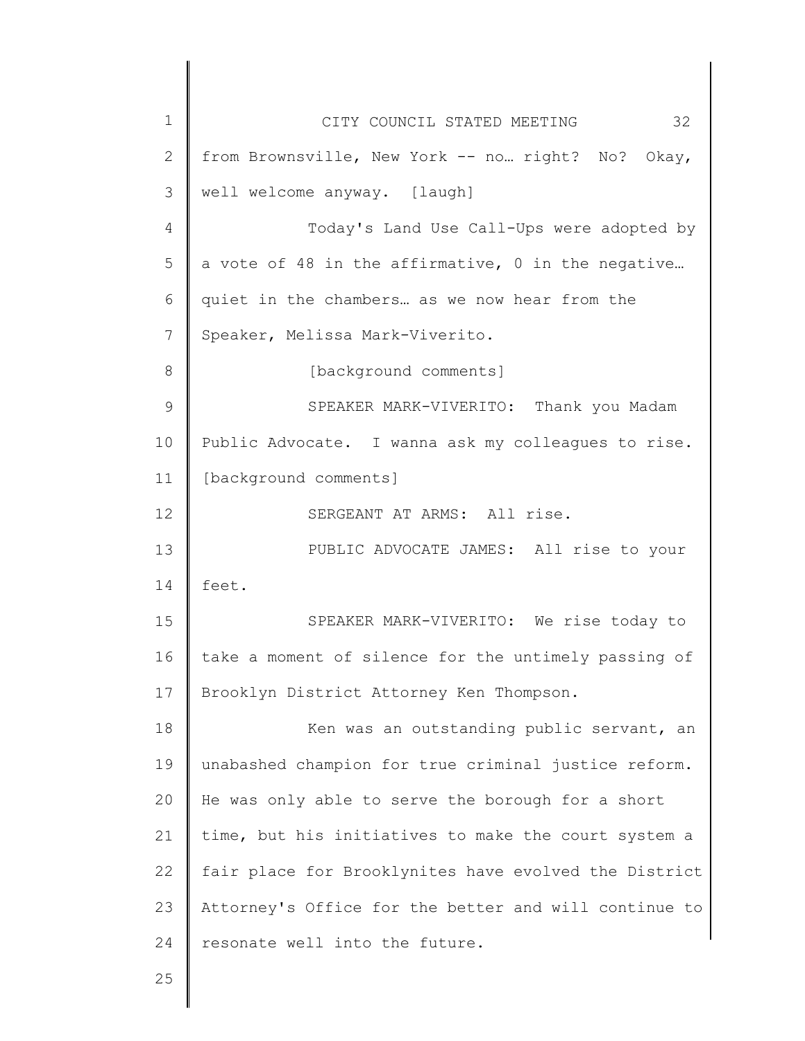| $\mathbf 1$    | 32<br>CITY COUNCIL STATED MEETING                     |
|----------------|-------------------------------------------------------|
| $\overline{2}$ | from Brownsville, New York -- no right? No? Okay,     |
| 3              | well welcome anyway. [laugh]                          |
| $\overline{4}$ | Today's Land Use Call-Ups were adopted by             |
| 5              | a vote of 48 in the affirmative, 0 in the negative    |
| 6              | quiet in the chambers as we now hear from the         |
| 7              | Speaker, Melissa Mark-Viverito.                       |
| 8              | [background comments]                                 |
| 9              | SPEAKER MARK-VIVERITO: Thank you Madam                |
| 10             | Public Advocate. I wanna ask my colleagues to rise.   |
| 11             | [background comments]                                 |
| 12             | SERGEANT AT ARMS: All rise.                           |
| 13             | PUBLIC ADVOCATE JAMES: All rise to your               |
| 14             | feet.                                                 |
| 15             | SPEAKER MARK-VIVERITO: We rise today to               |
| 16             | take a moment of silence for the untimely passing of  |
| 17             | Brooklyn District Attorney Ken Thompson.              |
| 18             | Ken was an outstanding public servant, an             |
| 19             | unabashed champion for true criminal justice reform.  |
| 20             | He was only able to serve the borough for a short     |
| 21             | time, but his initiatives to make the court system a  |
| 22             | fair place for Brooklynites have evolved the District |
| 23             | Attorney's Office for the better and will continue to |
| 24             | resonate well into the future.                        |
| 25             |                                                       |
|                |                                                       |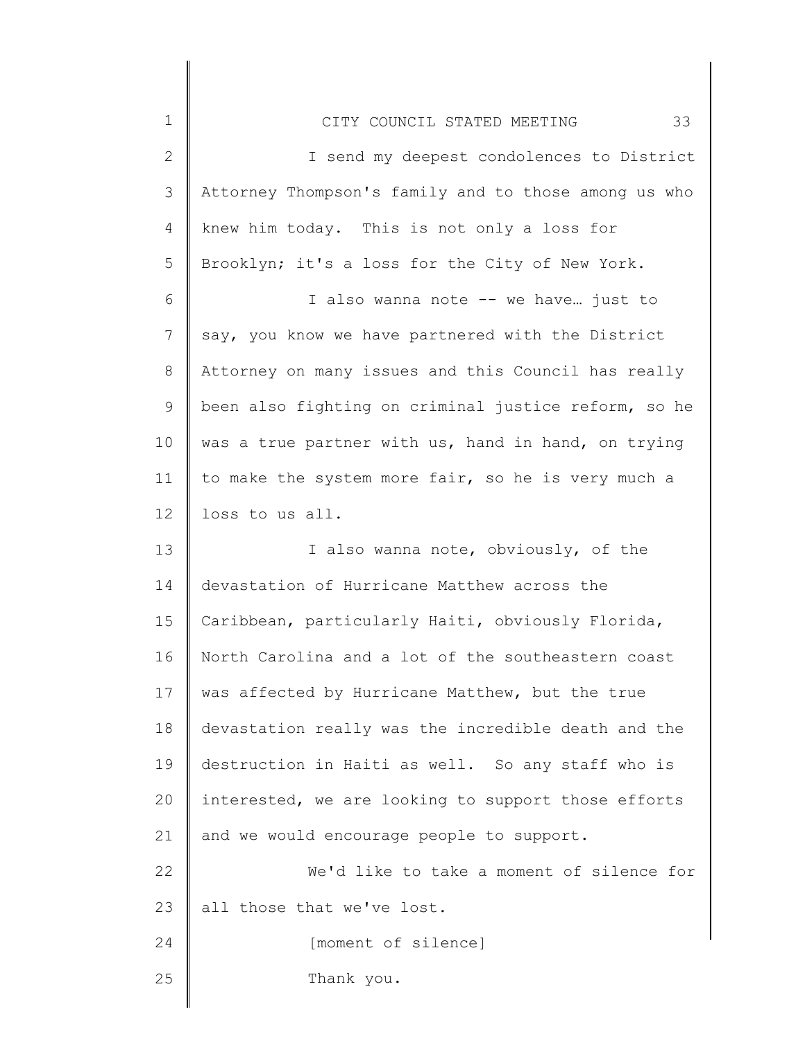| $\mathbf 1$  | 33<br>CITY COUNCIL STATED MEETING                    |
|--------------|------------------------------------------------------|
| $\mathbf{2}$ | I send my deepest condolences to District            |
| 3            | Attorney Thompson's family and to those among us who |
| 4            | knew him today. This is not only a loss for          |
| 5            | Brooklyn; it's a loss for the City of New York.      |
| 6            | I also wanna note -- we have just to                 |
| 7            | say, you know we have partnered with the District    |
| $8\,$        | Attorney on many issues and this Council has really  |
| $\mathsf 9$  | been also fighting on criminal justice reform, so he |
| 10           | was a true partner with us, hand in hand, on trying  |
| 11           | to make the system more fair, so he is very much a   |
| 12           | loss to us all.                                      |
| 13           | I also wanna note, obviously, of the                 |
| 14           | devastation of Hurricane Matthew across the          |
| 15           | Caribbean, particularly Haiti, obviously Florida,    |
| 16           | North Carolina and a lot of the southeastern coast   |
| 17           | was affected by Hurricane Matthew, but the true      |
| 18           | devastation really was the incredible death and the  |
| 19           | destruction in Haiti as well. So any staff who is    |
| 20           | interested, we are looking to support those efforts  |
| 21           | and we would encourage people to support.            |
| 22           | We'd like to take a moment of silence for            |
| 23           | all those that we've lost.                           |
| 24           | [moment of silence]                                  |
| 25           | Thank you.                                           |
|              |                                                      |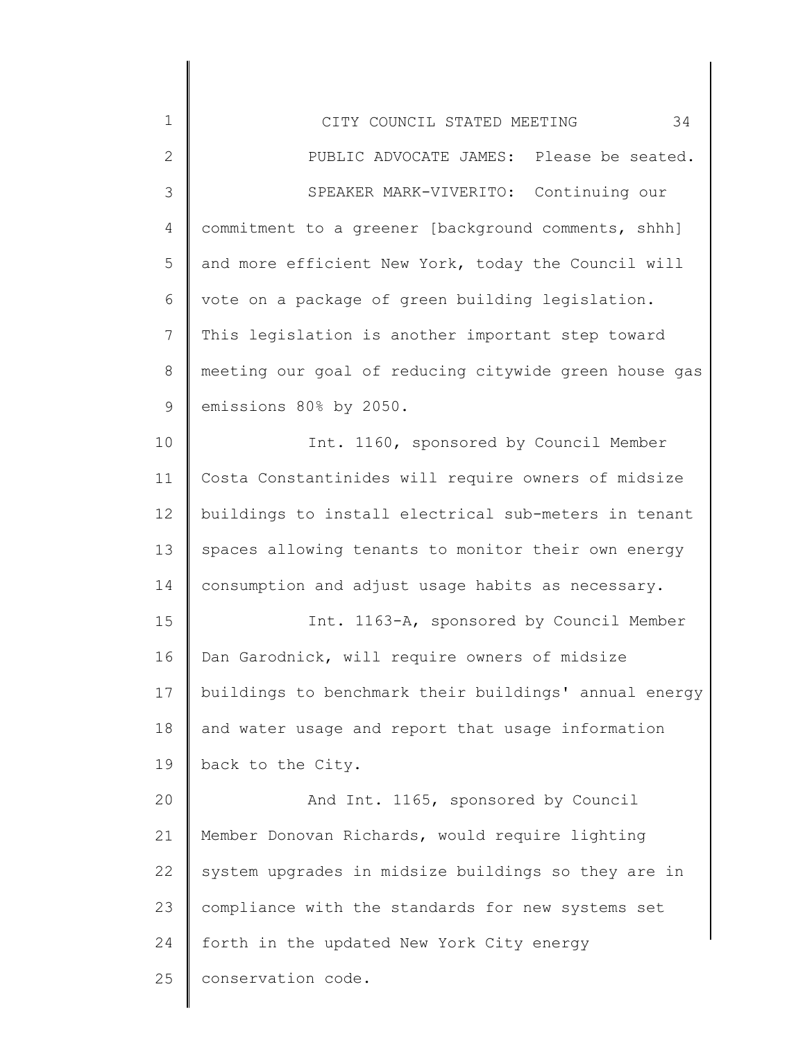| 1            | 34<br>CITY COUNCIL STATED MEETING                     |
|--------------|-------------------------------------------------------|
| $\mathbf{2}$ | PUBLIC ADVOCATE JAMES: Please be seated.              |
| 3            | SPEAKER MARK-VIVERITO: Continuing our                 |
| 4            | commitment to a greener [background comments, shhh]   |
| 5            | and more efficient New York, today the Council will   |
| 6            | vote on a package of green building legislation.      |
| 7            | This legislation is another important step toward     |
| 8            | meeting our goal of reducing citywide green house gas |
| 9            | emissions 80% by 2050.                                |
| 10           | Int. 1160, sponsored by Council Member                |
| 11           | Costa Constantinides will require owners of midsize   |
| 12           | buildings to install electrical sub-meters in tenant  |
| 13           | spaces allowing tenants to monitor their own energy   |
| 14           | consumption and adjust usage habits as necessary.     |
| 15           | Int. 1163-A, sponsored by Council Member              |
| 16           | Dan Garodnick, will require owners of midsize         |
| 17           | buildings to benchmark their buildings' annual energy |
| 18           | and water usage and report that usage information     |
| 19           | back to the City.                                     |
| 20           | And Int. 1165, sponsored by Council                   |
| 21           | Member Donovan Richards, would require lighting       |
| 22           | system upgrades in midsize buildings so they are in   |
| 23           | compliance with the standards for new systems set     |
| 24           | forth in the updated New York City energy             |
| 25           | conservation code.                                    |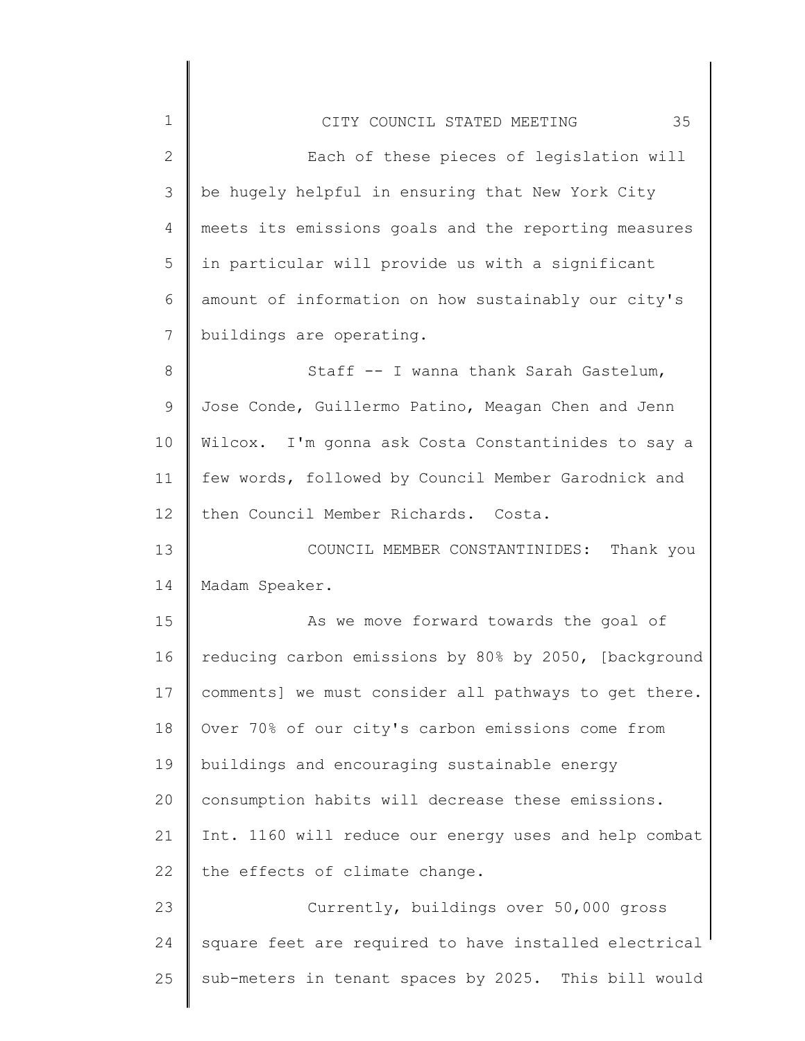| $\mathbf 1$    | 35<br>CITY COUNCIL STATED MEETING                     |
|----------------|-------------------------------------------------------|
| $\mathbf{2}$   | Each of these pieces of legislation will              |
| 3              | be hugely helpful in ensuring that New York City      |
| $\overline{4}$ | meets its emissions goals and the reporting measures  |
| 5              | in particular will provide us with a significant      |
| 6              | amount of information on how sustainably our city's   |
| $\overline{7}$ | buildings are operating.                              |
| 8              | Staff -- I wanna thank Sarah Gastelum,                |
| $\mathsf 9$    | Jose Conde, Guillermo Patino, Meagan Chen and Jenn    |
| 10             | Wilcox. I'm gonna ask Costa Constantinides to say a   |
| 11             | few words, followed by Council Member Garodnick and   |
| 12             | then Council Member Richards. Costa.                  |
| 13             | COUNCIL MEMBER CONSTANTINIDES:<br>Thank you           |
| 14             | Madam Speaker.                                        |
| 15             | As we move forward towards the goal of                |
| 16             | reducing carbon emissions by 80% by 2050, [background |
| 17             | comments] we must consider all pathways to get there. |
| 18             | Over 70% of our city's carbon emissions come from     |
| 19             | buildings and encouraging sustainable energy          |
| 20             | consumption habits will decrease these emissions.     |
| 21             | Int. 1160 will reduce our energy uses and help combat |
| 22             | the effects of climate change.                        |
| 23             | Currently, buildings over 50,000 gross                |
| 24             | square feet are required to have installed electrical |
| 25             | sub-meters in tenant spaces by 2025. This bill would  |
|                |                                                       |

║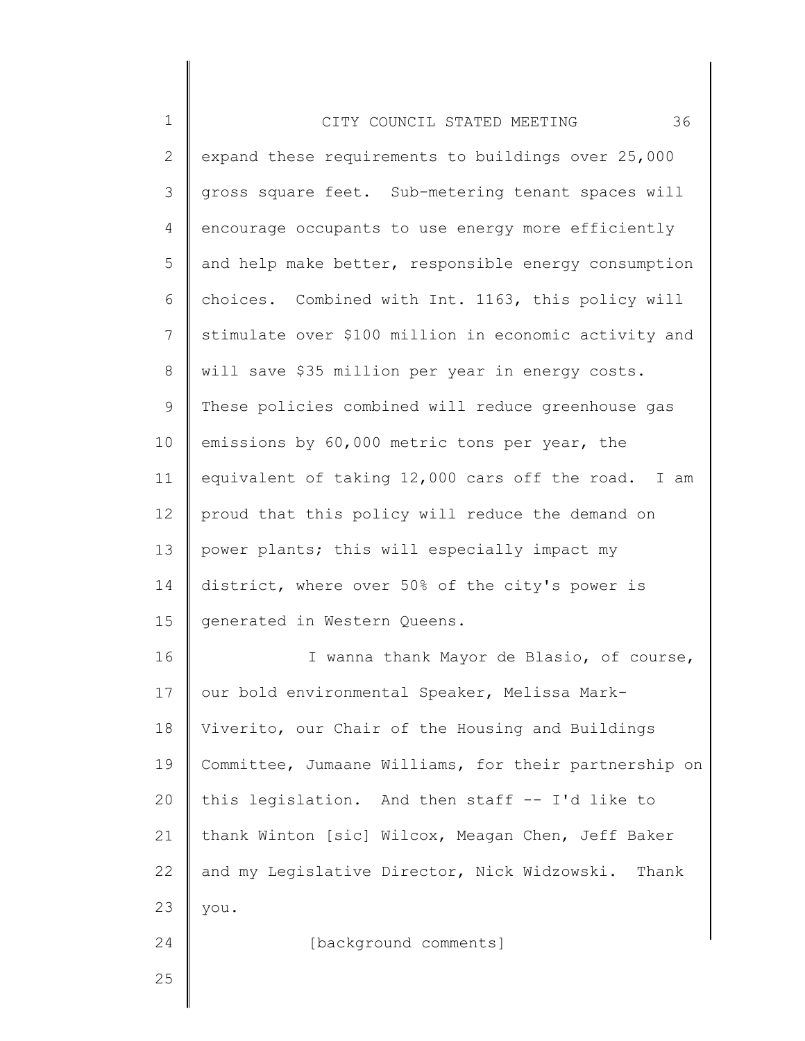| 1            | 36<br>CITY COUNCIL STATED MEETING                     |
|--------------|-------------------------------------------------------|
| $\mathbf{2}$ | expand these requirements to buildings over 25,000    |
| 3            | gross square feet. Sub-metering tenant spaces will    |
| 4            | encourage occupants to use energy more efficiently    |
| 5            | and help make better, responsible energy consumption  |
| 6            | choices. Combined with Int. 1163, this policy will    |
| 7            | stimulate over \$100 million in economic activity and |
| 8            | will save \$35 million per year in energy costs.      |
| 9            | These policies combined will reduce greenhouse gas    |
| 10           | emissions by 60,000 metric tons per year, the         |
| 11           | equivalent of taking 12,000 cars off the road. I am   |
| 12           | proud that this policy will reduce the demand on      |
| 13           | power plants; this will especially impact my          |
| 14           | district, where over 50% of the city's power is       |
| 15           | generated in Western Queens.                          |
| 16           | I wanna thank Mayor de Blasio, of course,             |
| 17           | our bold environmental Speaker, Melissa Mark-         |
| 18           | Viverito, our Chair of the Housing and Buildings      |
| 19           | Committee, Jumaane Williams, for their partnership on |
| 20           | this legislation. And then staff -- I'd like to       |
| 21           | thank Winton [sic] Wilcox, Meagan Chen, Jeff Baker    |
| 22           | and my Legislative Director, Nick Widzowski. Thank    |
| 23           | you.                                                  |
| 24           | [background comments]                                 |
| 25           |                                                       |
|              |                                                       |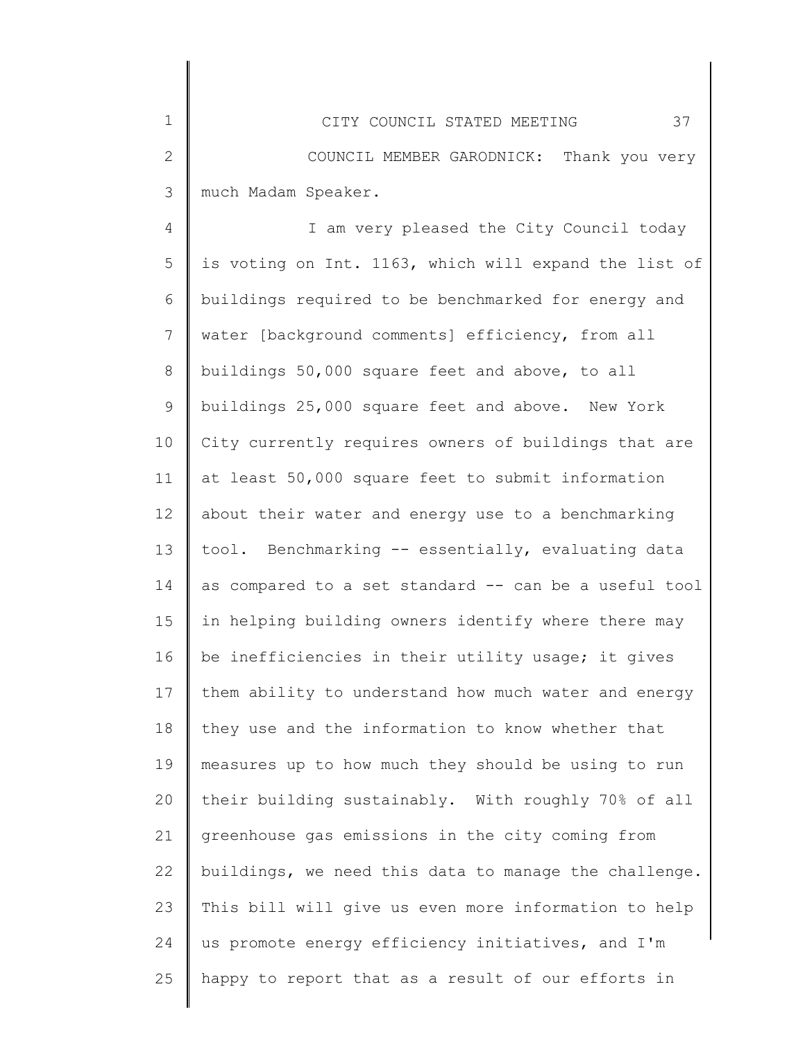4 5 6 7 8 9 10 11 12 13 14 15 16 17 18 19 20 21 22 23 24 25 I am very pleased the City Council today is voting on Int. 1163, which will expand the list of buildings required to be benchmarked for energy and water [background comments] efficiency, from all buildings 50,000 square feet and above, to all buildings 25,000 square feet and above. New York City currently requires owners of buildings that are at least 50,000 square feet to submit information about their water and energy use to a benchmarking tool. Benchmarking -- essentially, evaluating data as compared to a set standard -- can be a useful tool in helping building owners identify where there may be inefficiencies in their utility usage; it gives them ability to understand how much water and energy they use and the information to know whether that measures up to how much they should be using to run their building sustainably. With roughly 70% of all greenhouse gas emissions in the city coming from buildings, we need this data to manage the challenge. This bill will give us even more information to help us promote energy efficiency initiatives, and I'm happy to report that as a result of our efforts in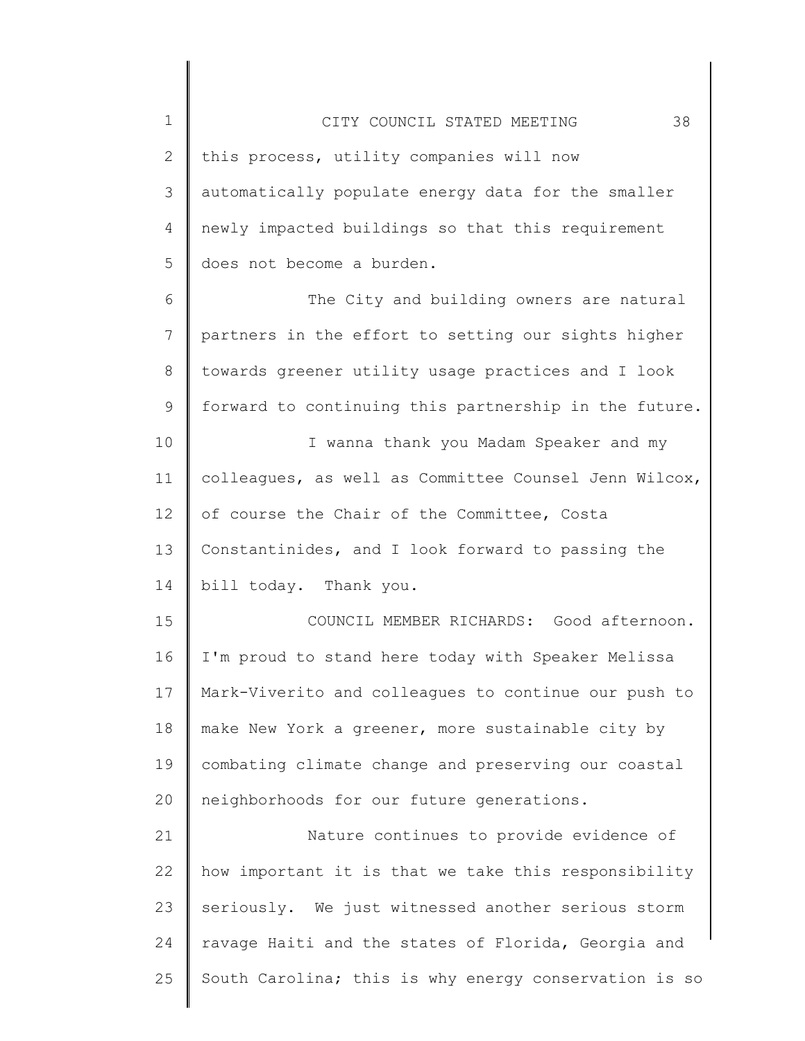| $\mathbf 1$  | 38<br>CITY COUNCIL STATED MEETING                     |
|--------------|-------------------------------------------------------|
| $\mathbf{2}$ | this process, utility companies will now              |
| 3            | automatically populate energy data for the smaller    |
| 4            | newly impacted buildings so that this requirement     |
| 5            | does not become a burden.                             |
| 6            | The City and building owners are natural              |
| 7            | partners in the effort to setting our sights higher   |
| 8            | towards greener utility usage practices and I look    |
| 9            | forward to continuing this partnership in the future. |
| 10           | I wanna thank you Madam Speaker and my                |
| 11           | colleagues, as well as Committee Counsel Jenn Wilcox, |
| 12           | of course the Chair of the Committee, Costa           |
| 13           | Constantinides, and I look forward to passing the     |
| 14           | bill today. Thank you.                                |
| 15           | COUNCIL MEMBER RICHARDS: Good afternoon.              |
| 16           | I'm proud to stand here today with Speaker Melissa    |
| 17           | Mark-Viverito and colleagues to continue our push to  |
| 18           | make New York a greener, more sustainable city by     |
| 19           | combating climate change and preserving our coastal   |
| 20           | neighborhoods for our future generations.             |
| 21           | Nature continues to provide evidence of               |
| 22           | how important it is that we take this responsibility  |
| 23           | seriously. We just witnessed another serious storm    |
| 24           | ravage Haiti and the states of Florida, Georgia and   |
| 25           | South Carolina; this is why energy conservation is so |
|              |                                                       |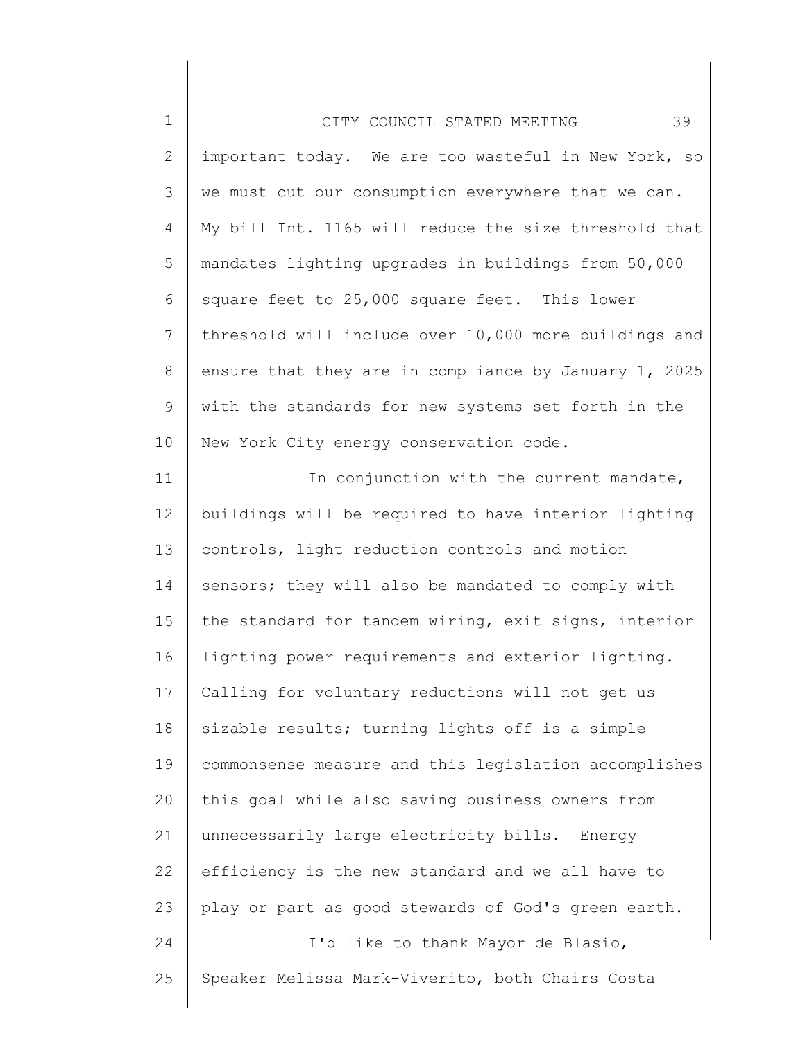| $\mathbf 1$  | 39<br>CITY COUNCIL STATED MEETING                     |
|--------------|-------------------------------------------------------|
| $\mathbf{2}$ | important today. We are too wasteful in New York, so  |
| 3            | we must cut our consumption everywhere that we can.   |
| 4            | My bill Int. 1165 will reduce the size threshold that |
| 5            | mandates lighting upgrades in buildings from 50,000   |
| 6            | square feet to 25,000 square feet. This lower         |
| 7            | threshold will include over 10,000 more buildings and |
| 8            | ensure that they are in compliance by January 1, 2025 |
| 9            | with the standards for new systems set forth in the   |
| 10           | New York City energy conservation code.               |
| 11           | In conjunction with the current mandate,              |
| 12           | buildings will be required to have interior lighting  |
| 13           | controls, light reduction controls and motion         |
| 14           | sensors; they will also be mandated to comply with    |
| 15           | the standard for tandem wiring, exit signs, interior  |
| 16           | lighting power requirements and exterior lighting.    |
| 17           | Calling for voluntary reductions will not get us      |
| 18           | sizable results; turning lights off is a simple       |
| 19           | commonsense measure and this legislation accomplishes |
| 20           | this goal while also saving business owners from      |
| 21           | unnecessarily large electricity bills. Energy         |
| 22           | efficiency is the new standard and we all have to     |
| 23           | play or part as good stewards of God's green earth.   |
| 24           | I'd like to thank Mayor de Blasio,                    |

25 Speaker Melissa Mark-Viverito, both Chairs Costa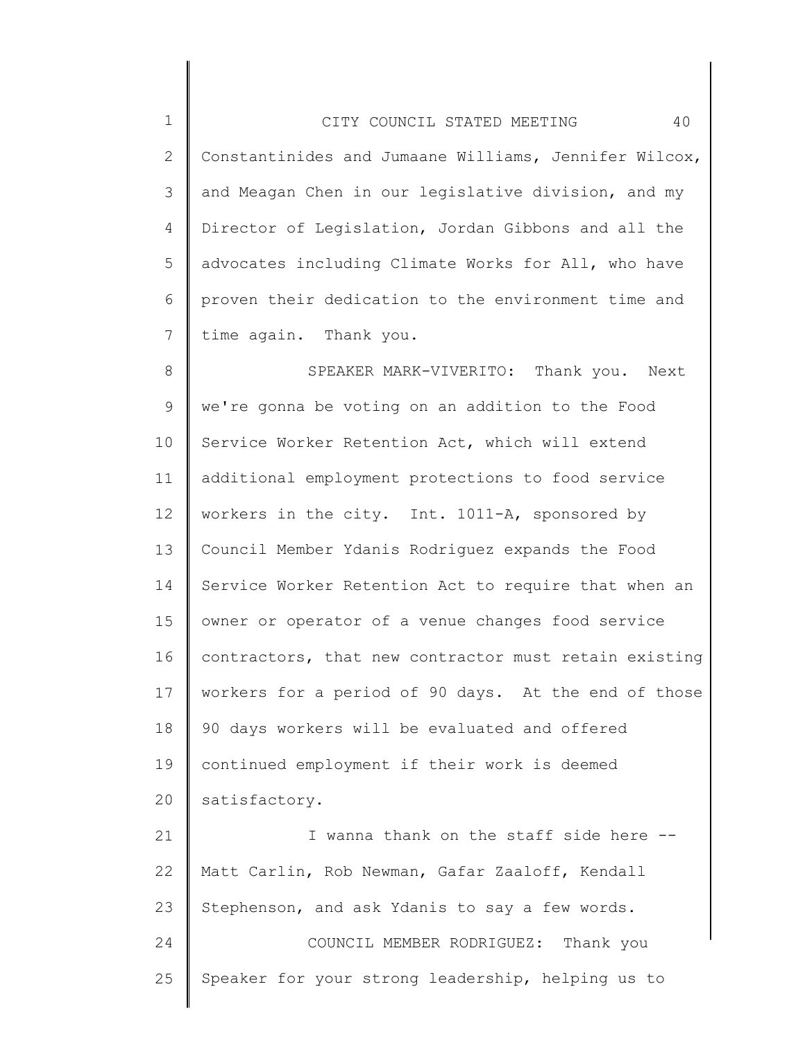1 2 3 4 5 6 7 8 9 10 11 12 13 14 15 16 17 18 19 20 21 22 23 CITY COUNCIL STATED MEETING 40 Constantinides and Jumaane Williams, Jennifer Wilcox, and Meagan Chen in our legislative division, and my Director of Legislation, Jordan Gibbons and all the advocates including Climate Works for All, who have proven their dedication to the environment time and time again. Thank you. SPEAKER MARK-VIVERITO: Thank you. Next we're gonna be voting on an addition to the Food Service Worker Retention Act, which will extend additional employment protections to food service workers in the city. Int. 1011-A, sponsored by Council Member Ydanis Rodriguez expands the Food Service Worker Retention Act to require that when an owner or operator of a venue changes food service contractors, that new contractor must retain existing workers for a period of 90 days. At the end of those 90 days workers will be evaluated and offered continued employment if their work is deemed satisfactory. I wanna thank on the staff side here -- Matt Carlin, Rob Newman, Gafar Zaaloff, Kendall Stephenson, and ask Ydanis to say a few words.

24 25 COUNCIL MEMBER RODRIGUEZ: Thank you Speaker for your strong leadership, helping us to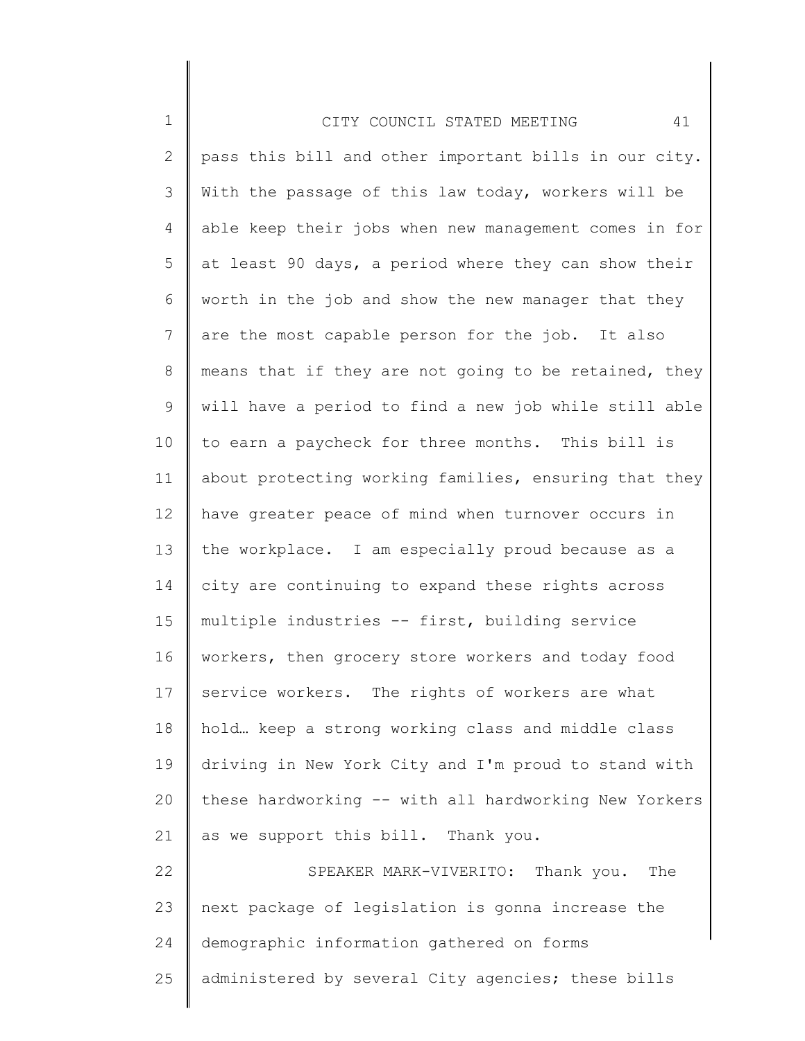| $\mathbf 1$    | 41<br>CITY COUNCIL STATED MEETING                     |
|----------------|-------------------------------------------------------|
| $\mathbf{2}$   | pass this bill and other important bills in our city. |
| 3              | With the passage of this law today, workers will be   |
| 4              | able keep their jobs when new management comes in for |
| 5              | at least 90 days, a period where they can show their  |
| 6              | worth in the job and show the new manager that they   |
| $\overline{7}$ | are the most capable person for the job. It also      |
| 8              | means that if they are not going to be retained, they |
| 9              | will have a period to find a new job while still able |
| 10             | to earn a paycheck for three months. This bill is     |
| 11             | about protecting working families, ensuring that they |
| 12             | have greater peace of mind when turnover occurs in    |
| 13             | the workplace. I am especially proud because as a     |
| 14             | city are continuing to expand these rights across     |
| 15             | multiple industries -- first, building service        |
| 16             | workers, then grocery store workers and today food    |
| 17             | service workers. The rights of workers are what       |
| 18             | hold keep a strong working class and middle class     |
| 19             | driving in New York City and I'm proud to stand with  |
| 20             | these hardworking -- with all hardworking New Yorkers |
| 21             | as we support this bill. Thank you.                   |
| 22             | SPEAKER MARK-VIVERITO: Thank you.<br>The              |
| 23             | next package of legislation is gonna increase the     |
| 24             | demographic information gathered on forms             |
| 25             | administered by several City agencies; these bills    |
|                |                                                       |

∥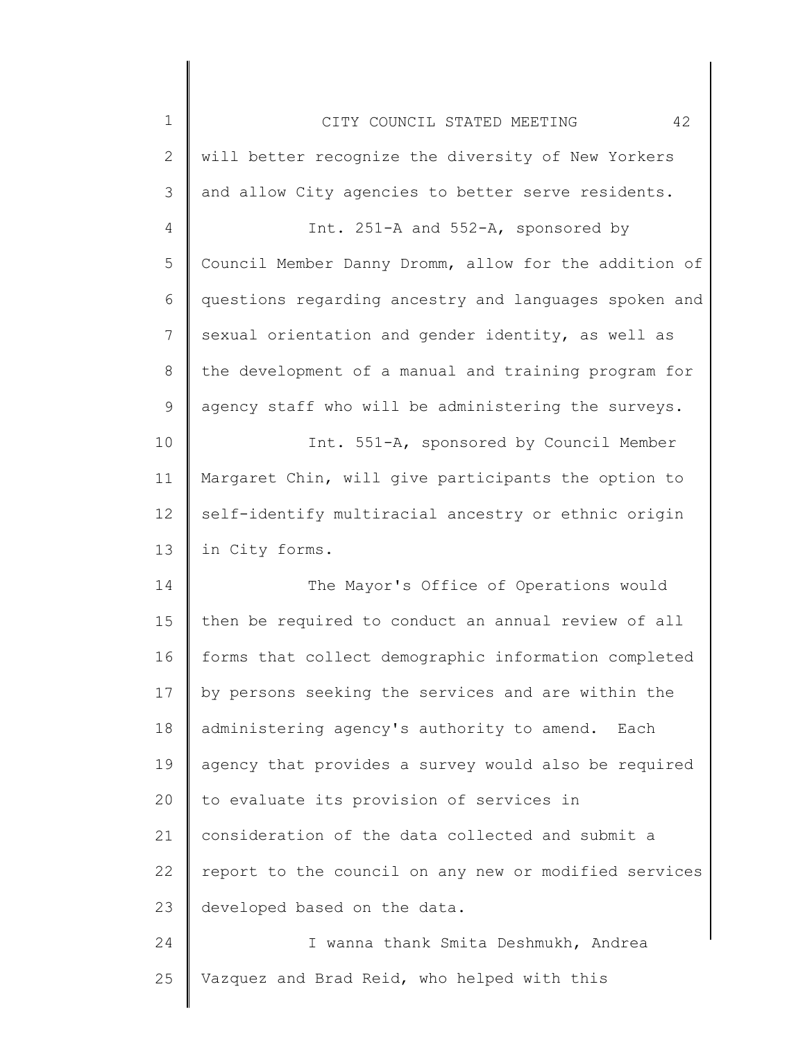| $\mathbf 1$    | 42<br>CITY COUNCIL STATED MEETING                     |
|----------------|-------------------------------------------------------|
| $\mathbf{2}$   | will better recognize the diversity of New Yorkers    |
| 3              | and allow City agencies to better serve residents.    |
| $\overline{4}$ | Int. 251-A and 552-A, sponsored by                    |
| 5              | Council Member Danny Dromm, allow for the addition of |
| 6              | questions regarding ancestry and languages spoken and |
| $\overline{7}$ | sexual orientation and gender identity, as well as    |
| 8              | the development of a manual and training program for  |
| $\mathsf 9$    | agency staff who will be administering the surveys.   |
| 10             | Int. 551-A, sponsored by Council Member               |
| 11             | Margaret Chin, will give participants the option to   |
| 12             | self-identify multiracial ancestry or ethnic origin   |
| 13             | in City forms.                                        |
| 14             | The Mayor's Office of Operations would                |
| 15             | then be required to conduct an annual review of all   |
| 16             | forms that collect demographic information completed  |
| 17             | by persons seeking the services and are within the    |
| 18             | administering agency's authority to amend. Each       |
| 19             | agency that provides a survey would also be required  |
| 20             | to evaluate its provision of services in              |
| 21             | consideration of the data collected and submit a      |
| 22             | report to the council on any new or modified services |
| 23             | developed based on the data.                          |
| 24             | I wanna thank Smita Deshmukh, Andrea                  |
| 25             | Vazquez and Brad Reid, who helped with this           |

║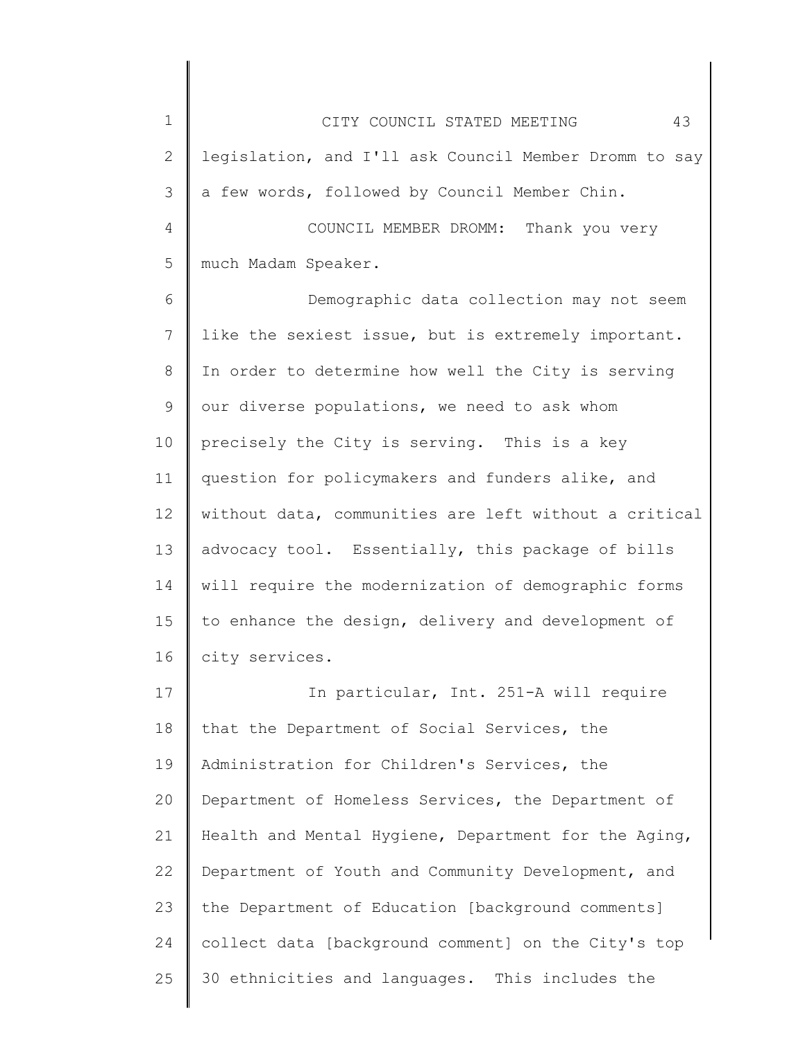1 2 3 4 5 6 CITY COUNCIL STATED MEETING 43 legislation, and I'll ask Council Member Dromm to say a few words, followed by Council Member Chin. COUNCIL MEMBER DROMM: Thank you very much Madam Speaker. Demographic data collection may not seem

7 8 9 10 11 12 13 14 15 16 like the sexiest issue, but is extremely important. In order to determine how well the City is serving our diverse populations, we need to ask whom precisely the City is serving. This is a key question for policymakers and funders alike, and without data, communities are left without a critical advocacy tool. Essentially, this package of bills will require the modernization of demographic forms to enhance the design, delivery and development of city services.

17 18 19 20 21 22 23 24 25 In particular, Int. 251-A will require that the Department of Social Services, the Administration for Children's Services, the Department of Homeless Services, the Department of Health and Mental Hygiene, Department for the Aging, Department of Youth and Community Development, and the Department of Education [background comments] collect data [background comment] on the City's top 30 ethnicities and languages. This includes the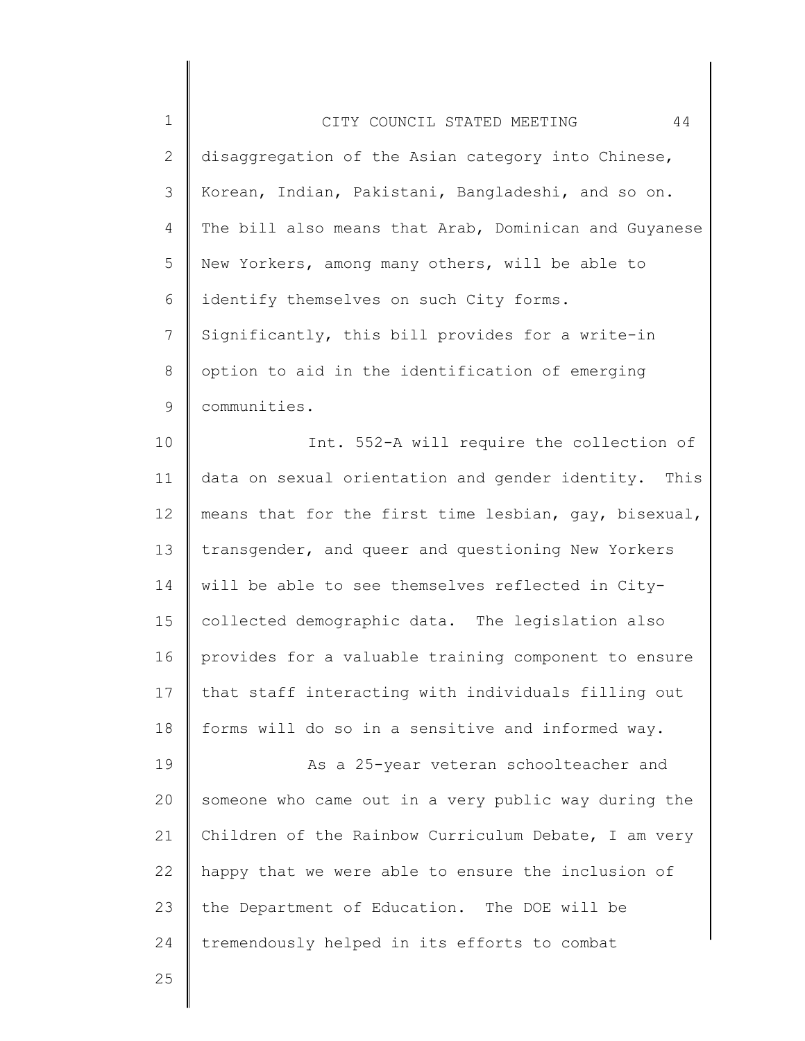| $1\,$          | 44<br>CITY COUNCIL STATED MEETING                     |
|----------------|-------------------------------------------------------|
| $\mathbf{2}$   | disaggregation of the Asian category into Chinese,    |
| 3              | Korean, Indian, Pakistani, Bangladeshi, and so on.    |
| 4              | The bill also means that Arab, Dominican and Guyanese |
| 5              | New Yorkers, among many others, will be able to       |
| 6              | identify themselves on such City forms.               |
| $\overline{7}$ | Significantly, this bill provides for a write-in      |
| $8\,$          | option to aid in the identification of emerging       |
| $\mathsf 9$    | communities.                                          |
| 10             | Int. 552-A will require the collection of             |
| 11             | data on sexual orientation and gender identity. This  |
| 12             | means that for the first time lesbian, gay, bisexual, |
| 13             | transgender, and queer and questioning New Yorkers    |
| 14             | will be able to see themselves reflected in City-     |
| 15             | collected demographic data. The legislation also      |
| 16             | provides for a valuable training component to ensure  |
| 17             | that staff interacting with individuals filling out   |
| 18             | forms will do so in a sensitive and informed way.     |
| 19             | As a 25-year veteran schoolteacher and                |
| 20             | someone who came out in a very public way during the  |
| 21             | Children of the Rainbow Curriculum Debate, I am very  |
| 22             | happy that we were able to ensure the inclusion of    |
| 23             | the Department of Education. The DOE will be          |
| 24             | tremendously helped in its efforts to combat          |
| 25             |                                                       |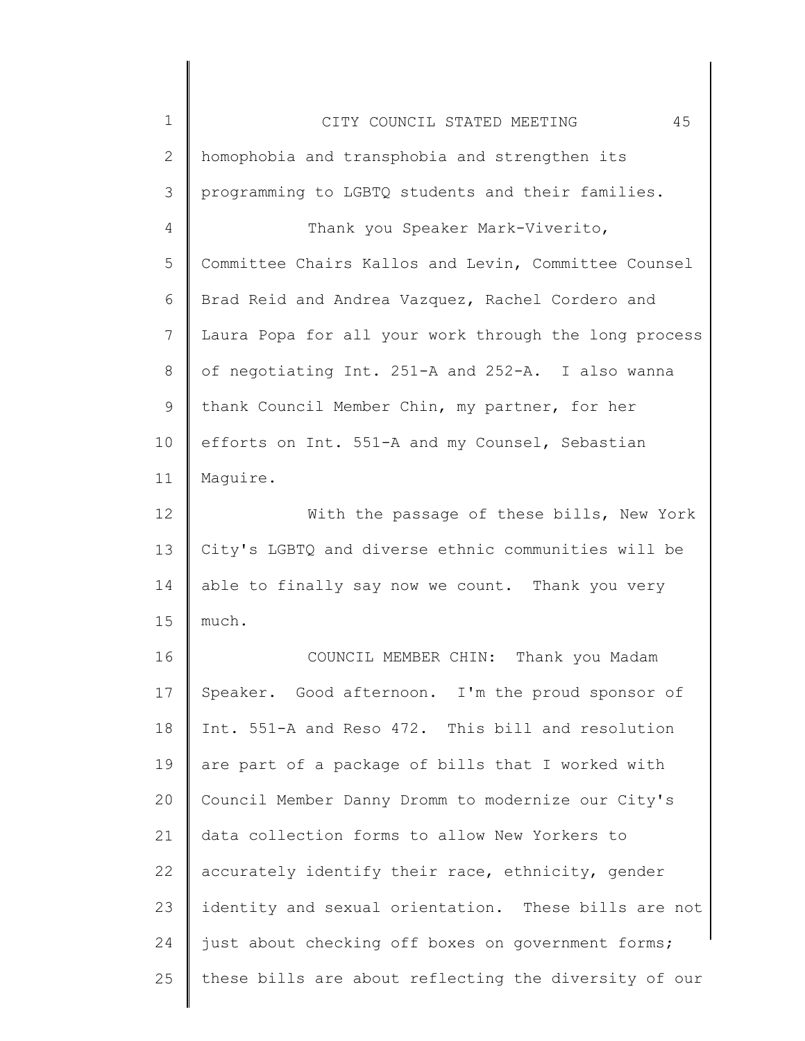| $\mathbf 1$ | 45<br>CITY COUNCIL STATED MEETING                     |
|-------------|-------------------------------------------------------|
| 2           | homophobia and transphobia and strengthen its         |
| 3           | programming to LGBTQ students and their families.     |
| 4           | Thank you Speaker Mark-Viverito,                      |
| 5           | Committee Chairs Kallos and Levin, Committee Counsel  |
| 6           | Brad Reid and Andrea Vazquez, Rachel Cordero and      |
| 7           | Laura Popa for all your work through the long process |
| 8           | of negotiating Int. 251-A and 252-A. I also wanna     |
| 9           | thank Council Member Chin, my partner, for her        |
| 10          | efforts on Int. 551-A and my Counsel, Sebastian       |
| 11          | Maquire.                                              |
| 12          | With the passage of these bills, New York             |
| 13          | City's LGBTQ and diverse ethnic communities will be   |
| 14          | able to finally say now we count. Thank you very      |
| 15          | much.                                                 |
| 16          | COUNCIL MEMBER CHIN: Thank you Madam                  |
| 17          | Speaker. Good afternoon. I'm the proud sponsor of     |
| 18          | Int. 551-A and Reso 472. This bill and resolution     |
| 19          | are part of a package of bills that I worked with     |
| 20          | Council Member Danny Dromm to modernize our City's    |
| 21          | data collection forms to allow New Yorkers to         |
| 22          | accurately identify their race, ethnicity, gender     |
| 23          | identity and sexual orientation. These bills are not  |
| 24          | just about checking off boxes on government forms;    |
| 25          | these bills are about reflecting the diversity of our |
|             |                                                       |

║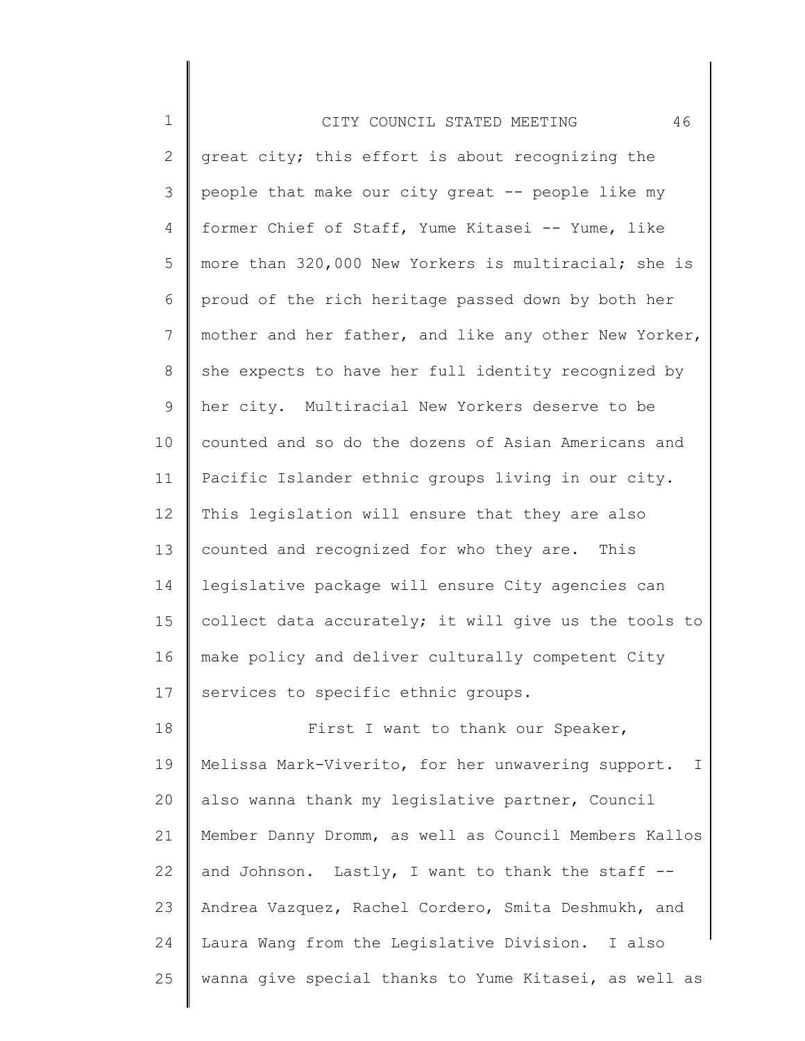| $\mathbf 1$  | 46<br>CITY COUNCIL STATED MEETING                     |
|--------------|-------------------------------------------------------|
| $\mathbf{2}$ | great city; this effort is about recognizing the      |
| 3            | people that make our city great -- people like my     |
| 4            | former Chief of Staff, Yume Kitasei -- Yume, like     |
| 5            | more than 320,000 New Yorkers is multiracial; she is  |
| 6            | proud of the rich heritage passed down by both her    |
| 7            | mother and her father, and like any other New Yorker, |
| 8            | she expects to have her full identity recognized by   |
| 9            | her city. Multiracial New Yorkers deserve to be       |
| 10           | counted and so do the dozens of Asian Americans and   |
| 11           | Pacific Islander ethnic groups living in our city.    |
| 12           | This legislation will ensure that they are also       |
| 13           | counted and recognized for who they are. This         |
| 14           | legislative package will ensure City agencies can     |
| 15           | collect data accurately; it will give us the tools to |
| 16           | make policy and deliver culturally competent City     |
| 17           | services to specific ethnic groups.                   |
| 18           | First I want to thank our Speaker,                    |
| 19           | Melissa Mark-Viverito, for her unwavering support. I  |
| 20           | also wanna thank my legislative partner, Council      |
| 21           | Member Danny Dromm, as well as Council Members Kallos |
| 22           | and Johnson. Lastly, I want to thank the staff --     |
| 23           | Andrea Vazquez, Rachel Cordero, Smita Deshmukh, and   |
| 24           | Laura Wang from the Legislative Division. I also      |
| 25           | wanna give special thanks to Yume Kitasei, as well as |

∥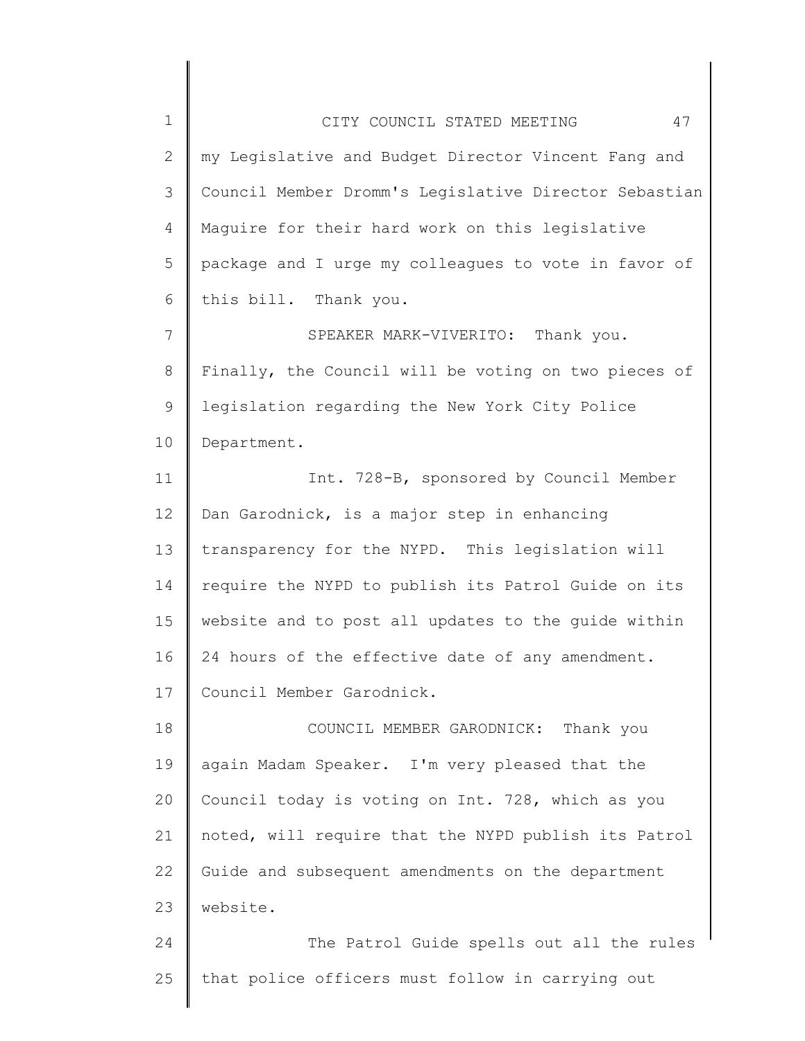| $\mathbf 1$  | 47<br>CITY COUNCIL STATED MEETING                     |
|--------------|-------------------------------------------------------|
| $\mathbf{2}$ | my Legislative and Budget Director Vincent Fang and   |
| 3            | Council Member Dromm's Legislative Director Sebastian |
| 4            | Maguire for their hard work on this legislative       |
| 5            | package and I urge my colleagues to vote in favor of  |
| 6            | this bill. Thank you.                                 |
| 7            | SPEAKER MARK-VIVERITO: Thank you.                     |
| 8            | Finally, the Council will be voting on two pieces of  |
| 9            | legislation regarding the New York City Police        |
| 10           | Department.                                           |
| 11           | Int. 728-B, sponsored by Council Member               |
| 12           | Dan Garodnick, is a major step in enhancing           |
| 13           | transparency for the NYPD. This legislation will      |
| 14           | require the NYPD to publish its Patrol Guide on its   |
| 15           | website and to post all updates to the guide within   |
| 16           | 24 hours of the effective date of any amendment.      |
| 17           | Council Member Garodnick.                             |
| 18           | COUNCIL MEMBER GARODNICK: Thank you                   |
| 19           | again Madam Speaker. I'm very pleased that the        |
| 20           | Council today is voting on Int. 728, which as you     |
| 21           | noted, will require that the NYPD publish its Patrol  |
| 22           | Guide and subsequent amendments on the department     |
| 23           | website.                                              |
| 24           | The Patrol Guide spells out all the rules             |
| 25           | that police officers must follow in carrying out      |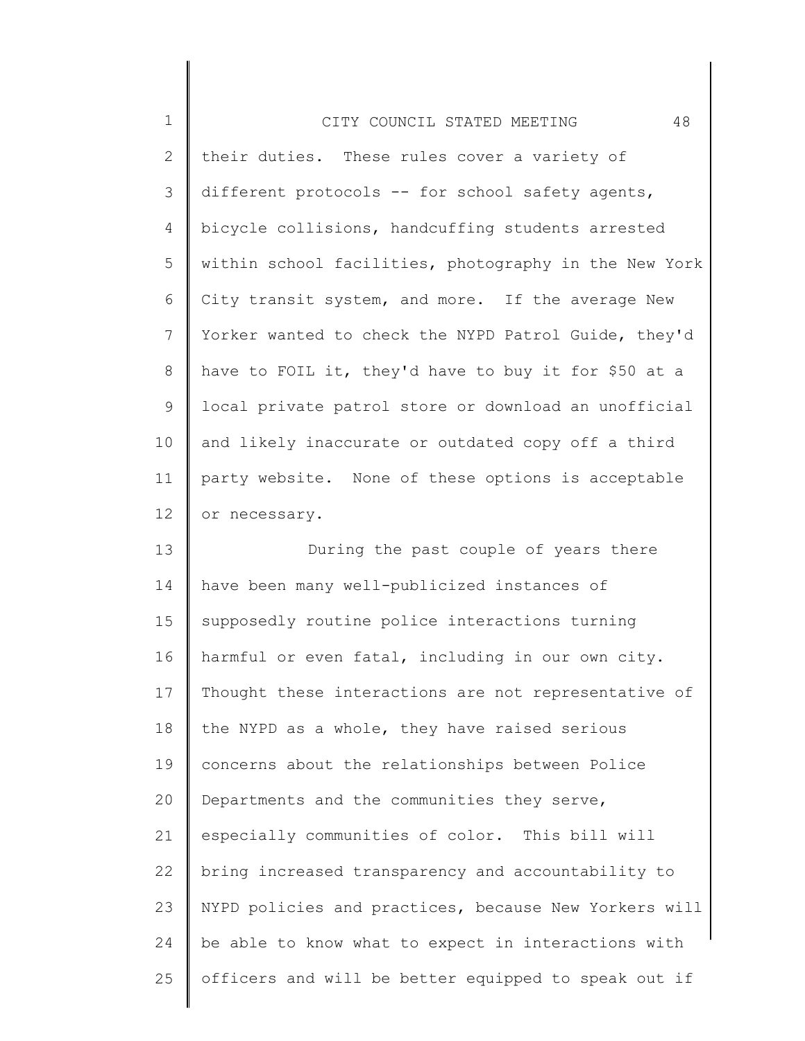| $\mathbf 1$    | 48<br>CITY COUNCIL STATED MEETING                     |
|----------------|-------------------------------------------------------|
| $\overline{2}$ | their duties. These rules cover a variety of          |
| 3              | different protocols -- for school safety agents,      |
| 4              | bicycle collisions, handcuffing students arrested     |
| 5              | within school facilities, photography in the New York |
| 6              | City transit system, and more. If the average New     |
| $7\phantom{.}$ | Yorker wanted to check the NYPD Patrol Guide, they'd  |
| 8              | have to FOIL it, they'd have to buy it for \$50 at a  |
| 9              | local private patrol store or download an unofficial  |
| 10             | and likely inaccurate or outdated copy off a third    |
| 11             | party website. None of these options is acceptable    |
| 12             | or necessary.                                         |
| 13             | During the past couple of years there                 |
| 14             | have been many well-publicized instances of           |
| 15             | supposedly routine police interactions turning        |
| 16             | harmful or even fatal, including in our own city.     |
| 17             | Thought these interactions are not representative of  |
| 18             | the NYPD as a whole, they have raised serious         |
| 19             | concerns about the relationships between Police       |
| 20             | Departments and the communities they serve,           |
| 21             | especially communities of color. This bill will       |
| 22             | bring increased transparency and accountability to    |
| 23             | NYPD policies and practices, because New Yorkers will |
| 24             | be able to know what to expect in interactions with   |
| 25             | officers and will be better equipped to speak out if  |

∥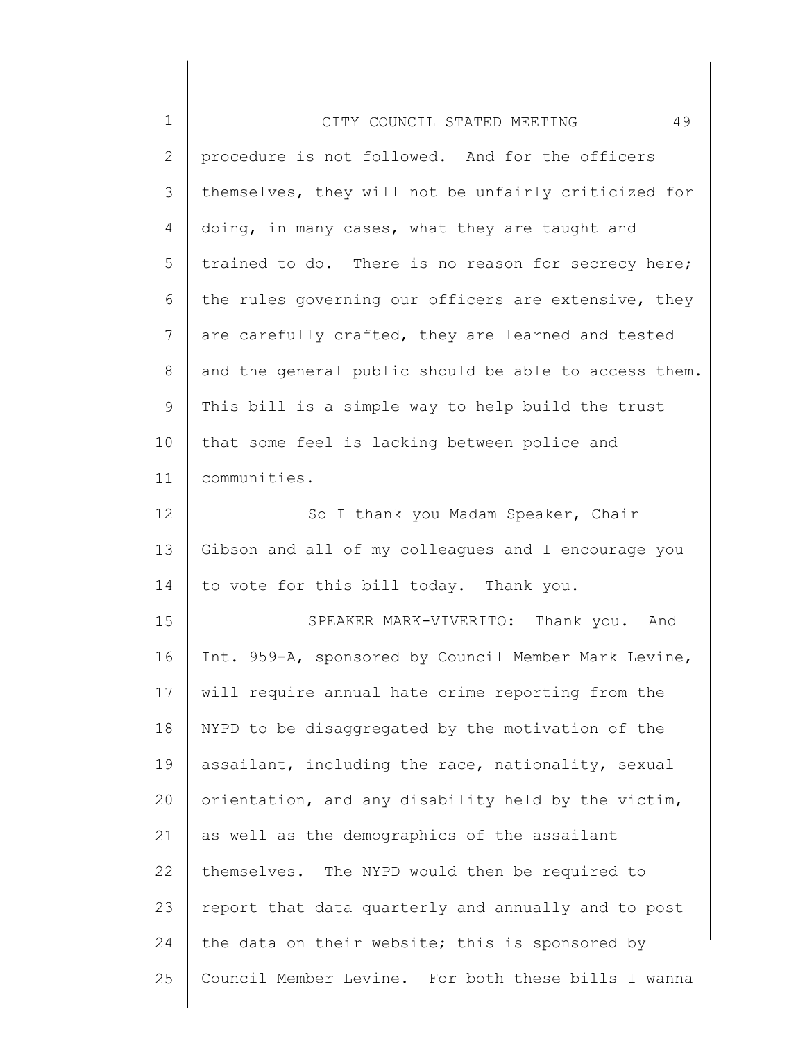| $\mathbf 1$ | 49<br>CITY COUNCIL STATED MEETING                     |
|-------------|-------------------------------------------------------|
| 2           | procedure is not followed. And for the officers       |
| 3           | themselves, they will not be unfairly criticized for  |
| 4           | doing, in many cases, what they are taught and        |
| 5           | trained to do. There is no reason for secrecy here;   |
| 6           | the rules governing our officers are extensive, they  |
| 7           | are carefully crafted, they are learned and tested    |
| 8           | and the general public should be able to access them. |
| 9           | This bill is a simple way to help build the trust     |
| 10          | that some feel is lacking between police and          |
| 11          | communities.                                          |
| 12          | So I thank you Madam Speaker, Chair                   |
| 13          | Gibson and all of my colleagues and I encourage you   |
| 14          | to vote for this bill today. Thank you.               |
| 15          | SPEAKER MARK-VIVERITO: Thank you. And                 |
| 16          | Int. 959-A, sponsored by Council Member Mark Levine,  |
| 17          | will require annual hate crime reporting from the     |
| 18          | NYPD to be disaggregated by the motivation of the     |
| 19          | assailant, including the race, nationality, sexual    |
| 20          | orientation, and any disability held by the victim,   |
| 21          | as well as the demographics of the assailant          |
| 22          | themselves. The NYPD would then be required to        |
| 23          | report that data quarterly and annually and to post   |
| 24          | the data on their website; this is sponsored by       |
| 25          | Council Member Levine. For both these bills I wanna   |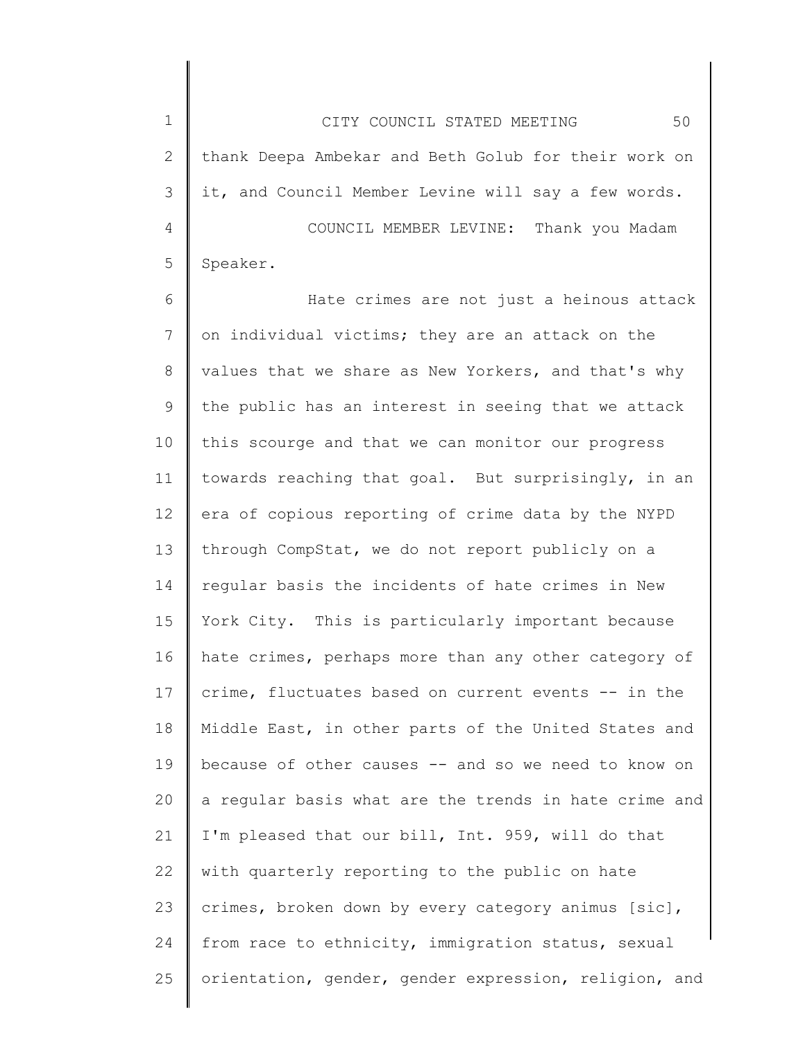1 2 3 4 5 CITY COUNCIL STATED MEETING 50 thank Deepa Ambekar and Beth Golub for their work on it, and Council Member Levine will say a few words. COUNCIL MEMBER LEVINE: Thank you Madam Speaker.

6 7 8 9 10 11 12 13 14 15 16 17 18 19 20 21 22 23 24 25 Hate crimes are not just a heinous attack on individual victims; they are an attack on the values that we share as New Yorkers, and that's why the public has an interest in seeing that we attack this scourge and that we can monitor our progress towards reaching that goal. But surprisingly, in an era of copious reporting of crime data by the NYPD through CompStat, we do not report publicly on a regular basis the incidents of hate crimes in New York City. This is particularly important because hate crimes, perhaps more than any other category of crime, fluctuates based on current events -- in the Middle East, in other parts of the United States and because of other causes -- and so we need to know on a regular basis what are the trends in hate crime and I'm pleased that our bill, Int. 959, will do that with quarterly reporting to the public on hate crimes, broken down by every category animus [sic], from race to ethnicity, immigration status, sexual orientation, gender, gender expression, religion, and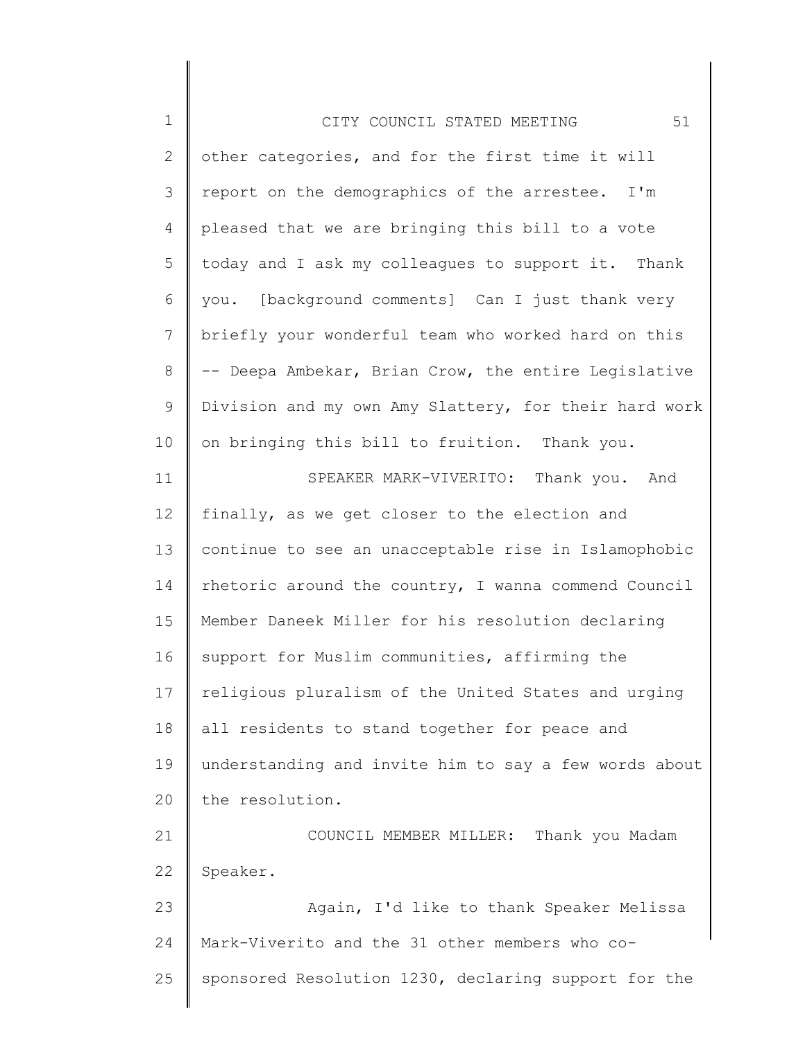| $\mathbf 1$  | 51<br>CITY COUNCIL STATED MEETING                     |
|--------------|-------------------------------------------------------|
| $\mathbf{2}$ | other categories, and for the first time it will      |
| 3            | report on the demographics of the arrestee. I'm       |
| 4            | pleased that we are bringing this bill to a vote      |
| 5            | today and I ask my colleagues to support it. Thank    |
| 6            | you. [background comments] Can I just thank very      |
| 7            | briefly your wonderful team who worked hard on this   |
| 8            | -- Deepa Ambekar, Brian Crow, the entire Legislative  |
| 9            | Division and my own Amy Slattery, for their hard work |
| 10           | on bringing this bill to fruition. Thank you.         |
| 11           | SPEAKER MARK-VIVERITO: Thank you. And                 |
| 12           | finally, as we get closer to the election and         |
| 13           | continue to see an unacceptable rise in Islamophobic  |
| 14           | rhetoric around the country, I wanna commend Council  |
| 15           | Member Daneek Miller for his resolution declaring     |
| 16           | support for Muslim communities, affirming the         |
| 17           | religious pluralism of the United States and urging   |
| 18           | all residents to stand together for peace and         |
| 19           | understanding and invite him to say a few words about |
| 20           | the resolution.                                       |
| 21           | COUNCIL MEMBER MILLER: Thank you Madam                |
| 22           | Speaker.                                              |
| 23           | Again, I'd like to thank Speaker Melissa              |
| 24           | Mark-Viverito and the 31 other members who co-        |
| 25           | sponsored Resolution 1230, declaring support for the  |
|              |                                                       |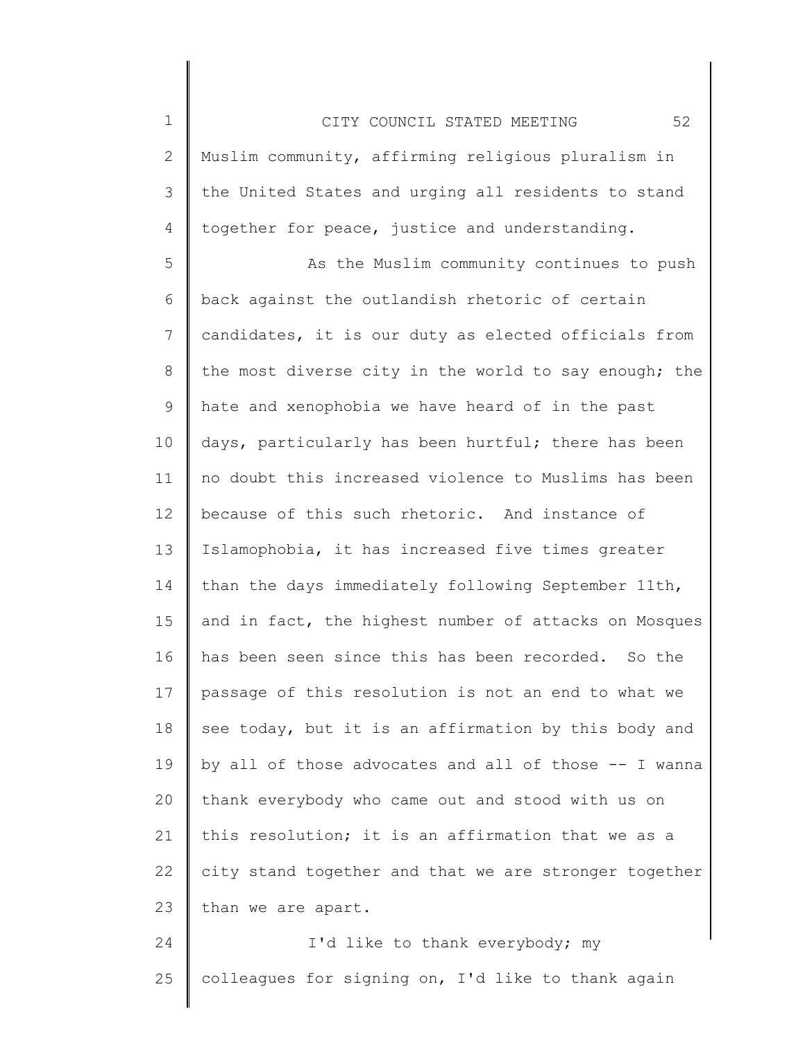2 3 4 Muslim community, affirming religious pluralism in the United States and urging all residents to stand together for peace, justice and understanding.

1

5 6 7 8 9 10 11 12 13 14 15 16 17 18 19 20 21 22 23 As the Muslim community continues to push back against the outlandish rhetoric of certain candidates, it is our duty as elected officials from the most diverse city in the world to say enough; the hate and xenophobia we have heard of in the past days, particularly has been hurtful; there has been no doubt this increased violence to Muslims has been because of this such rhetoric. And instance of Islamophobia, it has increased five times greater than the days immediately following September 11th, and in fact, the highest number of attacks on Mosques has been seen since this has been recorded. So the passage of this resolution is not an end to what we see today, but it is an affirmation by this body and by all of those advocates and all of those -- I wanna thank everybody who came out and stood with us on this resolution; it is an affirmation that we as a city stand together and that we are stronger together than we are apart.

24 25 I'd like to thank everybody; my colleagues for signing on, I'd like to thank again

CITY COUNCIL STATED MEETING 52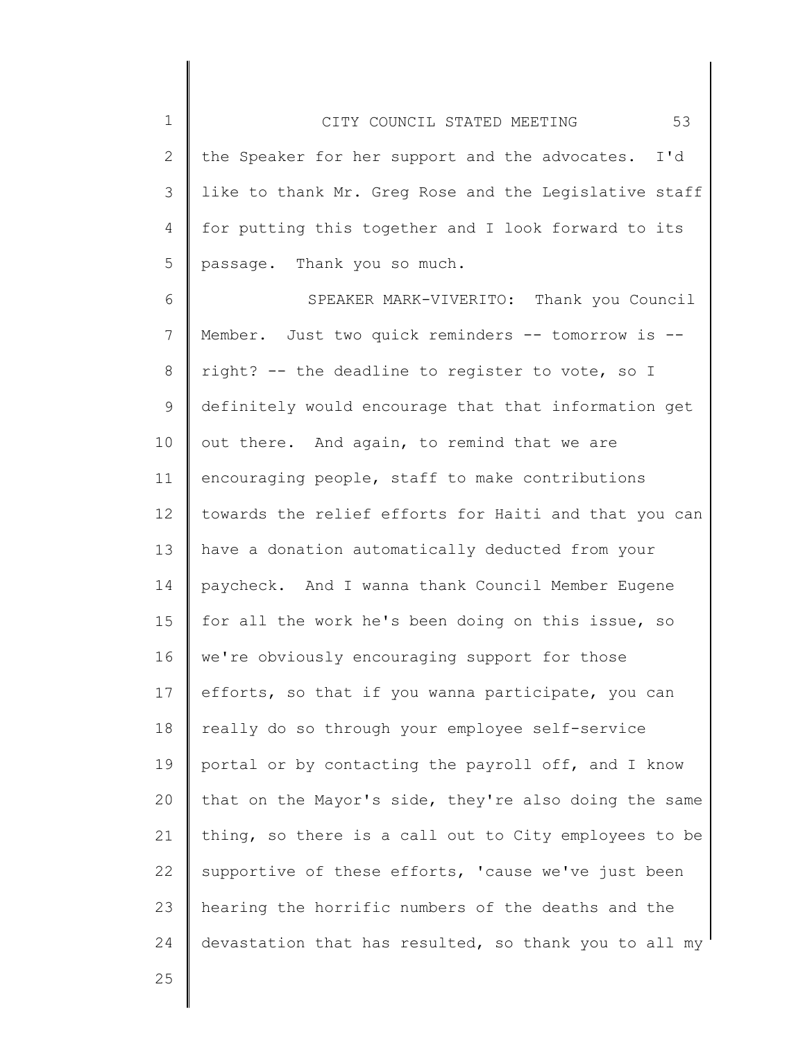2 3 4 5 the Speaker for her support and the advocates. I'd like to thank Mr. Greg Rose and the Legislative staff for putting this together and I look forward to its passage. Thank you so much.

6 7 8 9 10 11 12 13 14 15 16 17 18 19 20 21 22 23 24 SPEAKER MARK-VIVERITO: Thank you Council Member. Just two quick reminders -- tomorrow is - right? -- the deadline to register to vote, so I definitely would encourage that that information get out there. And again, to remind that we are encouraging people, staff to make contributions towards the relief efforts for Haiti and that you can have a donation automatically deducted from your paycheck. And I wanna thank Council Member Eugene for all the work he's been doing on this issue, so we're obviously encouraging support for those efforts, so that if you wanna participate, you can really do so through your employee self-service portal or by contacting the payroll off, and I know that on the Mayor's side, they're also doing the same thing, so there is a call out to City employees to be supportive of these efforts, 'cause we've just been hearing the horrific numbers of the deaths and the devastation that has resulted, so thank you to all my

25

1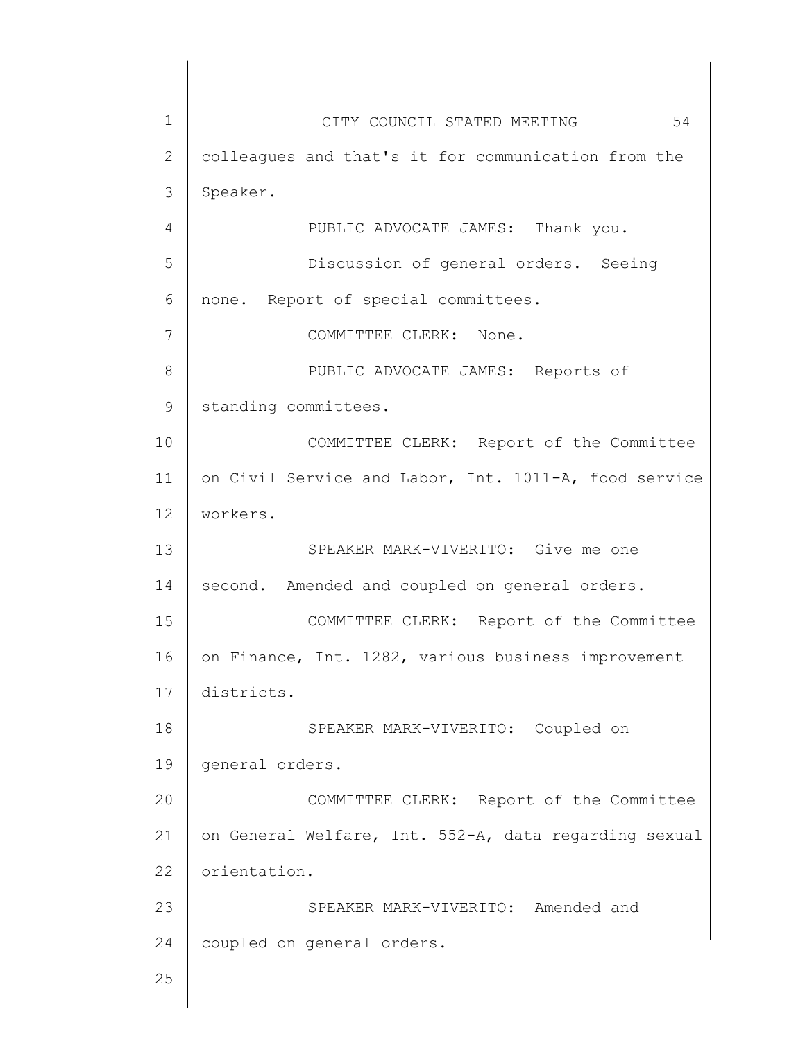1 2 3 4 5 6 7 8 9 10 11 12 13 14 15 16 17 18 19 20 21 22 23 24 25 CITY COUNCIL STATED MEETING 54 colleagues and that's it for communication from the Speaker. PUBLIC ADVOCATE JAMES: Thank you. Discussion of general orders. Seeing none. Report of special committees. COMMITTEE CLERK: None. PUBLIC ADVOCATE JAMES: Reports of standing committees. COMMITTEE CLERK: Report of the Committee on Civil Service and Labor, Int. 1011-A, food service workers. SPEAKER MARK-VIVERITO: Give me one second. Amended and coupled on general orders. COMMITTEE CLERK: Report of the Committee on Finance, Int. 1282, various business improvement districts. SPEAKER MARK-VIVERITO: Coupled on general orders. COMMITTEE CLERK: Report of the Committee on General Welfare, Int. 552-A, data regarding sexual orientation. SPEAKER MARK-VIVERITO: Amended and coupled on general orders.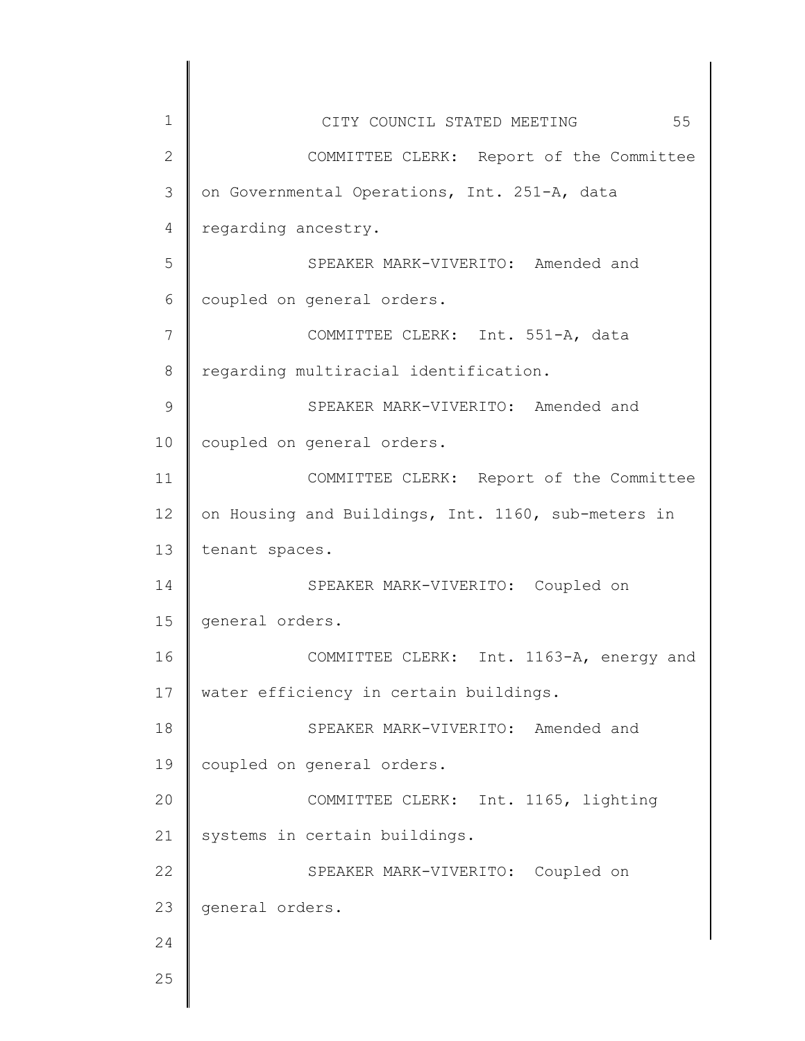| 1  | 55<br>CITY COUNCIL STATED MEETING                  |
|----|----------------------------------------------------|
| 2  | COMMITTEE CLERK: Report of the Committee           |
| 3  | on Governmental Operations, Int. 251-A, data       |
| 4  | regarding ancestry.                                |
| 5  | SPEAKER MARK-VIVERITO: Amended and                 |
| 6  | coupled on general orders.                         |
| 7  | COMMITTEE CLERK: Int. 551-A, data                  |
| 8  | regarding multiracial identification.              |
| 9  | SPEAKER MARK-VIVERITO: Amended and                 |
| 10 | coupled on general orders.                         |
| 11 | COMMITTEE CLERK: Report of the Committee           |
| 12 | on Housing and Buildings, Int. 1160, sub-meters in |
| 13 | tenant spaces.                                     |
| 14 | SPEAKER MARK-VIVERITO: Coupled on                  |
| 15 | general orders.                                    |
| 16 | Int. 1163-A, energy and<br>COMMITTEE CLERK:        |
| 17 | water efficiency in certain buildings.             |
| 18 | SPEAKER MARK-VIVERITO: Amended and                 |
| 19 | coupled on general orders.                         |
| 20 | Int. 1165, lighting<br>COMMITTEE CLERK:            |
| 21 | systems in certain buildings.                      |
| 22 | SPEAKER MARK-VIVERITO: Coupled on                  |
| 23 | general orders.                                    |
| 24 |                                                    |
| 25 |                                                    |
|    |                                                    |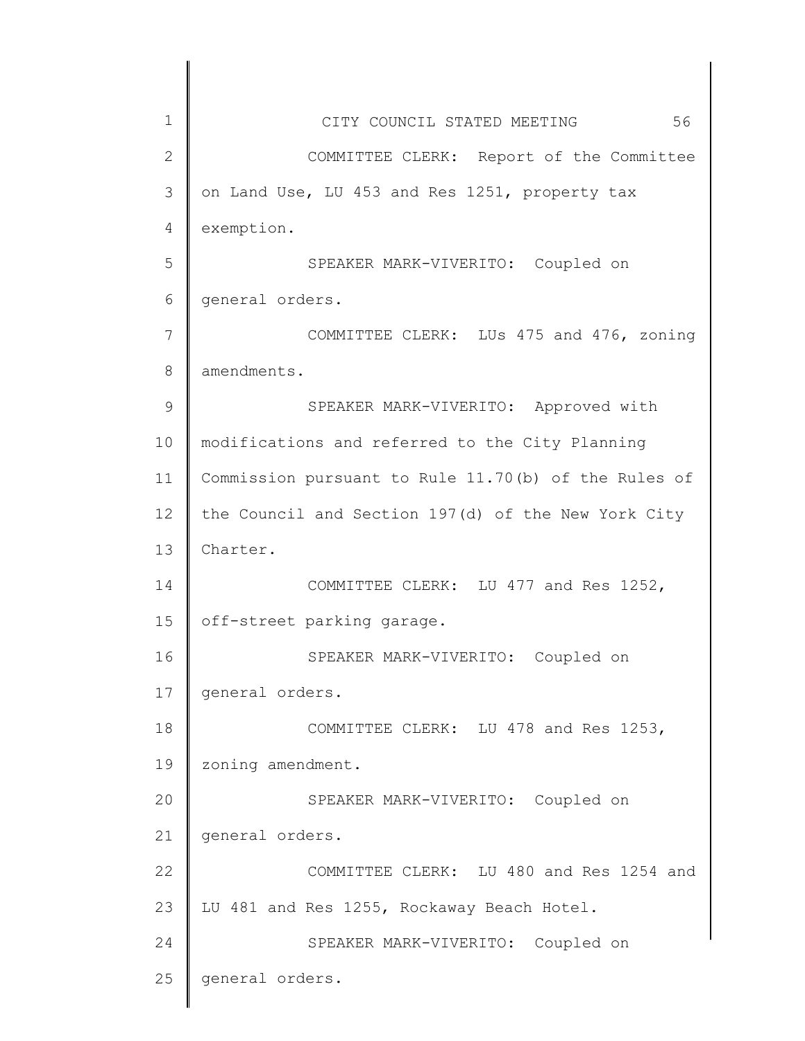| $\mathbf 1$  | 56<br>CITY COUNCIL STATED MEETING                    |
|--------------|------------------------------------------------------|
| $\mathbf{2}$ | COMMITTEE CLERK: Report of the Committee             |
| 3            | on Land Use, LU 453 and Res 1251, property tax       |
| 4            | exemption.                                           |
| 5            | SPEAKER MARK-VIVERITO: Coupled on                    |
| 6            | general orders.                                      |
| 7            | COMMITTEE CLERK: LUs 475 and 476, zoning             |
| 8            | amendments.                                          |
| 9            | SPEAKER MARK-VIVERITO: Approved with                 |
| 10           | modifications and referred to the City Planning      |
| 11           | Commission pursuant to Rule 11.70(b) of the Rules of |
| 12           | the Council and Section 197(d) of the New York City  |
| 13           | Charter.                                             |
| 14           | COMMITTEE CLERK: LU 477 and Res 1252,                |
| 15           | off-street parking garage.                           |
| 16           | SPEAKER MARK-VIVERITO: Coupled on                    |
| 17           | general orders.                                      |
| 18           | COMMITTEE CLERK: LU 478 and Res 1253,                |
| 19           | zoning amendment.                                    |
| 20           | SPEAKER MARK-VIVERITO: Coupled on                    |
| 21           | general orders.                                      |
| 22           | COMMITTEE CLERK: LU 480 and Res 1254 and             |
| 23           | LU 481 and Res 1255, Rockaway Beach Hotel.           |
| 24           | SPEAKER MARK-VIVERITO: Coupled on                    |
| 25           | general orders.                                      |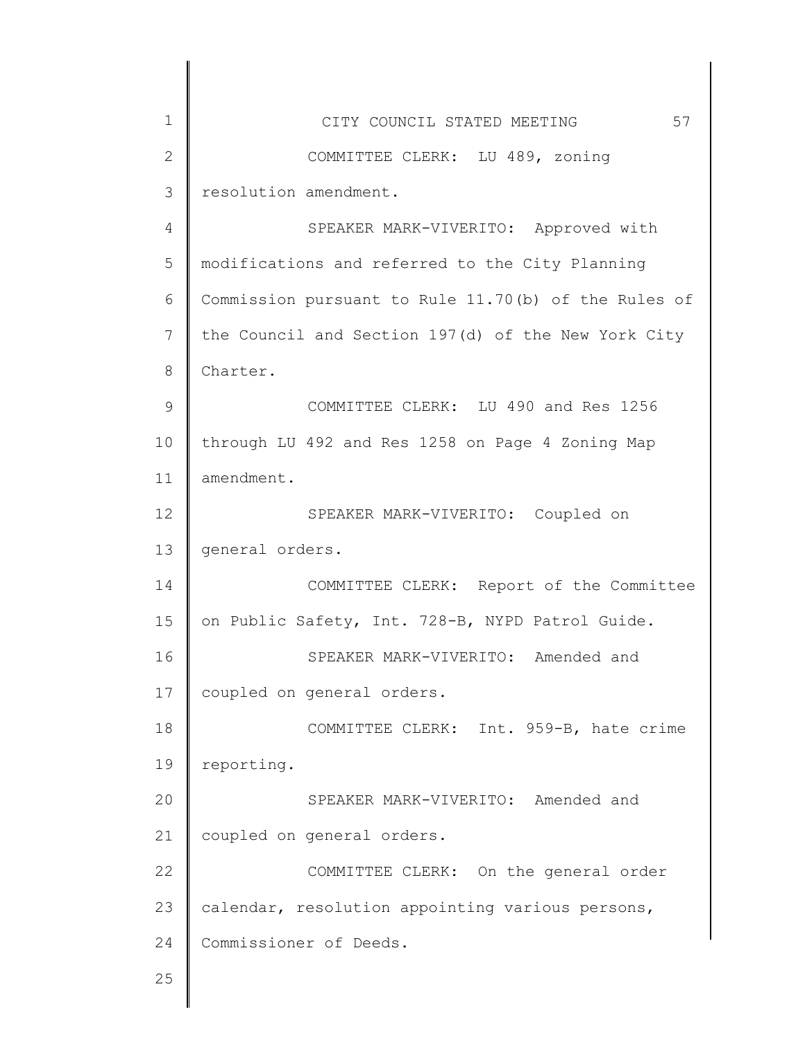| $\mathbf 1$    | 57<br>CITY COUNCIL STATED MEETING                    |
|----------------|------------------------------------------------------|
| $\overline{2}$ | COMMITTEE CLERK: LU 489, zoning                      |
| 3              | resolution amendment.                                |
| $\overline{4}$ | SPEAKER MARK-VIVERITO: Approved with                 |
| 5              | modifications and referred to the City Planning      |
| 6              | Commission pursuant to Rule 11.70(b) of the Rules of |
| 7              | the Council and Section 197(d) of the New York City  |
| 8              | Charter.                                             |
| $\mathcal{G}$  | COMMITTEE CLERK: LU 490 and Res 1256                 |
| 10             | through LU 492 and Res 1258 on Page 4 Zoning Map     |
| 11             | amendment.                                           |
| 12             | SPEAKER MARK-VIVERITO: Coupled on                    |
| 13             | general orders.                                      |
| 14             | COMMITTEE CLERK: Report of the Committee             |
| 15             | on Public Safety, Int. 728-B, NYPD Patrol Guide.     |
| 16             | SPEAKER MARK-VIVERITO: Amended and                   |
| 17             | coupled on general orders.                           |
| 18             | COMMITTEE CLERK: Int. 959-B, hate crime              |
| 19             | reporting.                                           |
| 20             | SPEAKER MARK-VIVERITO: Amended and                   |
| 21             | coupled on general orders.                           |
| 22             | COMMITTEE CLERK: On the general order                |
| 23             | calendar, resolution appointing various persons,     |
| 24             | Commissioner of Deeds.                               |
| 25             |                                                      |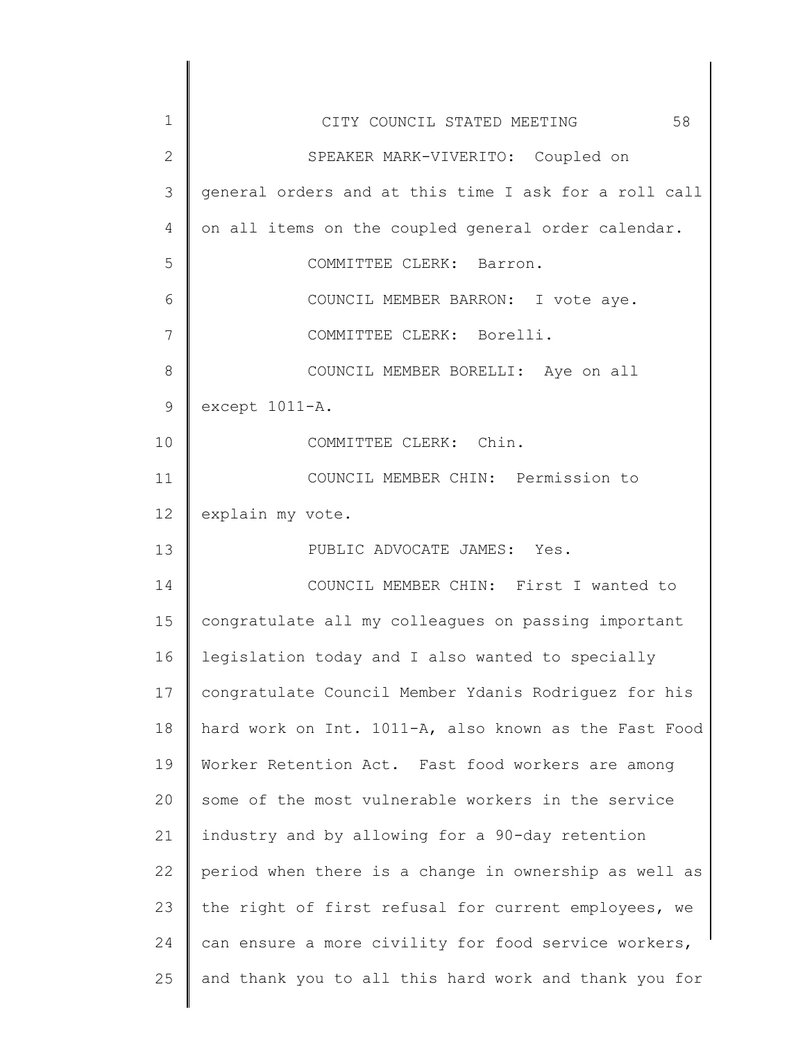| 1                 | 58<br>CITY COUNCIL STATED MEETING                     |
|-------------------|-------------------------------------------------------|
| $\overline{2}$    | SPEAKER MARK-VIVERITO: Coupled on                     |
| 3                 | general orders and at this time I ask for a roll call |
| 4                 | on all items on the coupled general order calendar.   |
| 5                 | COMMITTEE CLERK: Barron.                              |
| 6                 | COUNCIL MEMBER BARRON: I vote aye.                    |
| 7                 | COMMITTEE CLERK: Borelli.                             |
| 8                 | COUNCIL MEMBER BORELLI: Aye on all                    |
| 9                 | except 1011-A.                                        |
| 10                | COMMITTEE CLERK: Chin.                                |
| 11                | COUNCIL MEMBER CHIN: Permission to                    |
| $12 \overline{ }$ | explain my vote.                                      |
| 13                | PUBLIC ADVOCATE JAMES: Yes.                           |
| 14                | COUNCIL MEMBER CHIN: First I wanted to                |
| 15                | congratulate all my colleagues on passing important   |
| 16                | legislation today and I also wanted to specially      |
| 17                | congratulate Council Member Ydanis Rodriguez for his  |
| 18                | hard work on Int. 1011-A, also known as the Fast Food |
| 19                | Worker Retention Act. Fast food workers are among     |
| 20                | some of the most vulnerable workers in the service    |
| 21                | industry and by allowing for a 90-day retention       |
| 22                | period when there is a change in ownership as well as |
| 23                | the right of first refusal for current employees, we  |
| 24                | can ensure a more civility for food service workers,  |
| 25                | and thank you to all this hard work and thank you for |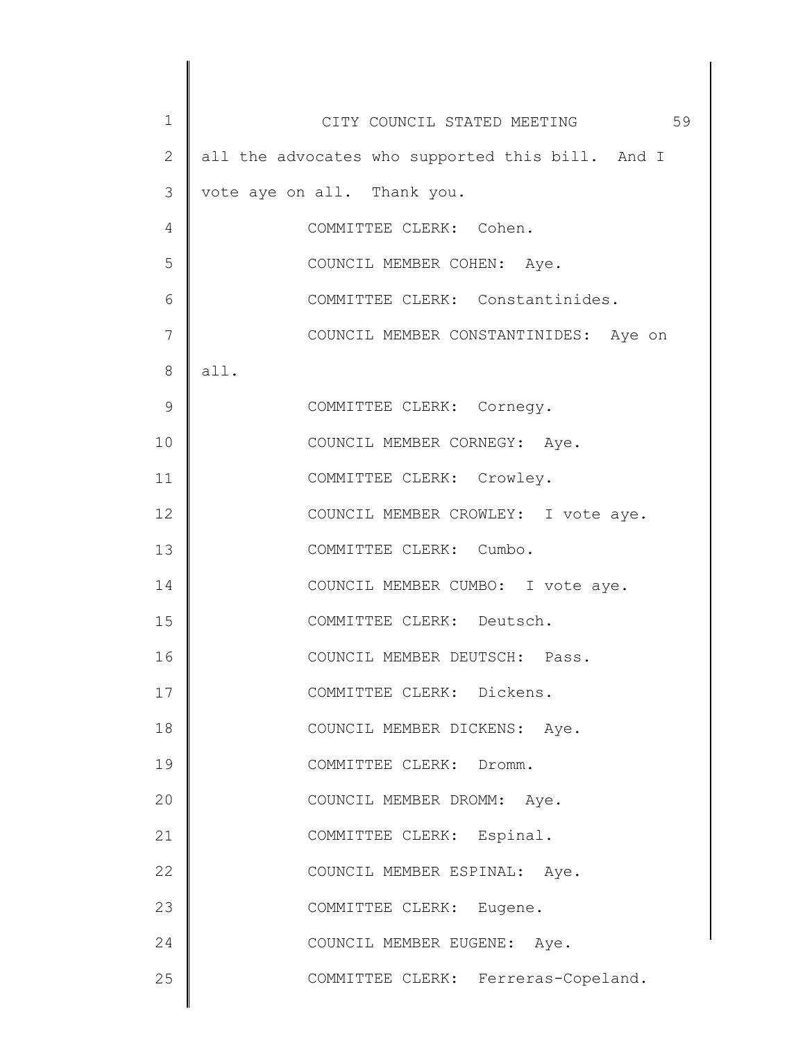| 1             | CITY COUNCIL STATED MEETING 59                   |
|---------------|--------------------------------------------------|
| 2             | all the advocates who supported this bill. And I |
| 3             | vote aye on all. Thank you.                      |
| 4             | COMMITTEE CLERK: Cohen.                          |
| 5             | COUNCIL MEMBER COHEN: Aye.                       |
| 6             | COMMITTEE CLERK: Constantinides.                 |
| 7             | COUNCIL MEMBER CONSTANTINIDES: Aye on            |
| 8             | all.                                             |
| $\mathcal{G}$ | COMMITTEE CLERK: Cornegy.                        |
| 10            | COUNCIL MEMBER CORNEGY: Aye.                     |
| 11            | COMMITTEE CLERK: Crowley.                        |
| 12            | COUNCIL MEMBER CROWLEY: I vote aye.              |
| 13            | COMMITTEE CLERK: Cumbo.                          |
| 14            | COUNCIL MEMBER CUMBO: I vote aye.                |
| 15            | COMMITTEE CLERK: Deutsch.                        |
| 16            | COUNCIL MEMBER DEUTSCH: Pass.                    |
| 17            | COMMITTEE CLERK: Dickens.                        |
| 18            | COUNCIL MEMBER DICKENS: Aye.                     |
| 19            | COMMITTEE CLERK: Dromm.                          |
| 20            | COUNCIL MEMBER DROMM: Aye.                       |
| 21            | COMMITTEE CLERK: Espinal.                        |
| 22            | COUNCIL MEMBER ESPINAL: Aye.                     |
| 23            | COMMITTEE CLERK: Eugene.                         |
| 24            | COUNCIL MEMBER EUGENE: Aye.                      |
| 25            | COMMITTEE CLERK: Ferreras-Copeland.              |
|               |                                                  |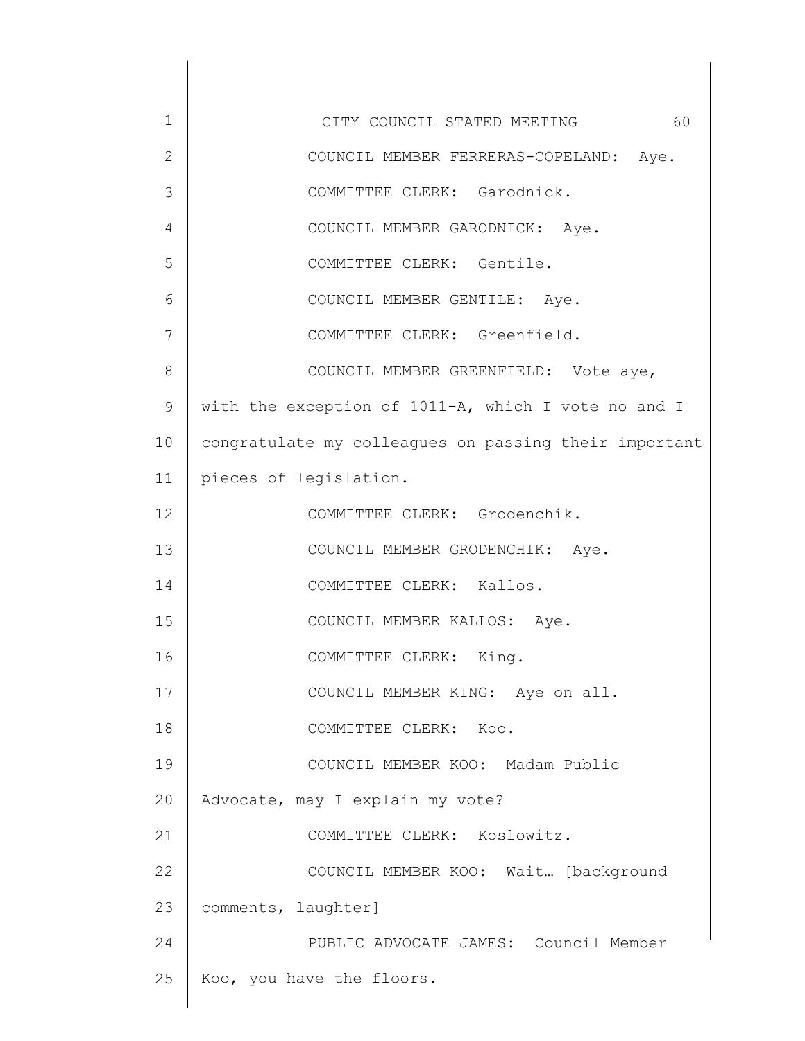1 2 3 4 5 6 7 8 9 10 11 12 13 14 15 16 17 18 19 20 21 22 23 24 25 CITY COUNCIL STATED MEETING 60 COUNCIL MEMBER FERRERAS-COPELAND: Aye. COMMITTEE CLERK: Garodnick. COUNCIL MEMBER GARODNICK: Aye. COMMITTEE CLERK: Gentile. COUNCIL MEMBER GENTILE: Aye. COMMITTEE CLERK: Greenfield. COUNCIL MEMBER GREENFIELD: Vote aye, with the exception of 1011-A, which I vote no and I congratulate my colleagues on passing their important pieces of legislation. COMMITTEE CLERK: Grodenchik. COUNCIL MEMBER GRODENCHIK: Aye. COMMITTEE CLERK: Kallos. COUNCIL MEMBER KALLOS: Aye. COMMITTEE CLERK: King. COUNCIL MEMBER KING: Aye on all. COMMITTEE CLERK: Koo. COUNCIL MEMBER KOO: Madam Public Advocate, may I explain my vote? COMMITTEE CLERK: Koslowitz. COUNCIL MEMBER KOO: Wait… [background comments, laughter] PUBLIC ADVOCATE JAMES: Council Member Koo, you have the floors.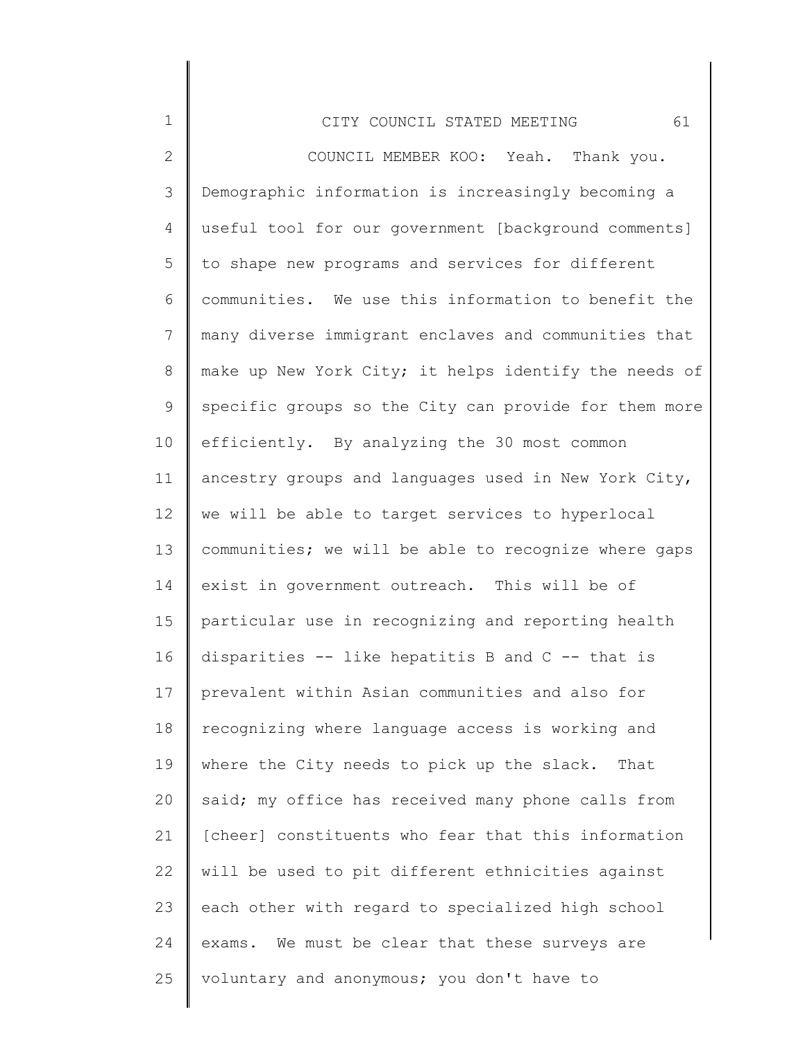| $\mathbf 1$  | 61<br>CITY COUNCIL STATED MEETING                     |
|--------------|-------------------------------------------------------|
| $\mathbf{2}$ | COUNCIL MEMBER KOO: Yeah. Thank you.                  |
| 3            | Demographic information is increasingly becoming a    |
| 4            | useful tool for our government [background comments]  |
| 5            | to shape new programs and services for different      |
| 6            | communities. We use this information to benefit the   |
| 7            | many diverse immigrant enclaves and communities that  |
| 8            | make up New York City; it helps identify the needs of |
| 9            | specific groups so the City can provide for them more |
| 10           | efficiently. By analyzing the 30 most common          |
| 11           | ancestry groups and languages used in New York City,  |
| 12           | we will be able to target services to hyperlocal      |
| 13           | communities; we will be able to recognize where gaps  |
| 14           | exist in government outreach. This will be of         |
| 15           | particular use in recognizing and reporting health    |
| 16           | disparities -- like hepatitis B and $C$ -- that is    |
| 17           | prevalent within Asian communities and also for       |
| 18           | recognizing where language access is working and      |
| 19           | where the City needs to pick up the slack. That       |
| 20           | said; my office has received many phone calls from    |
| 21           | [cheer] constituents who fear that this information   |
| 22           | will be used to pit different ethnicities against     |
| 23           | each other with regard to specialized high school     |
| 24           | exams. We must be clear that these surveys are        |
| 25           | voluntary and anonymous; you don't have to            |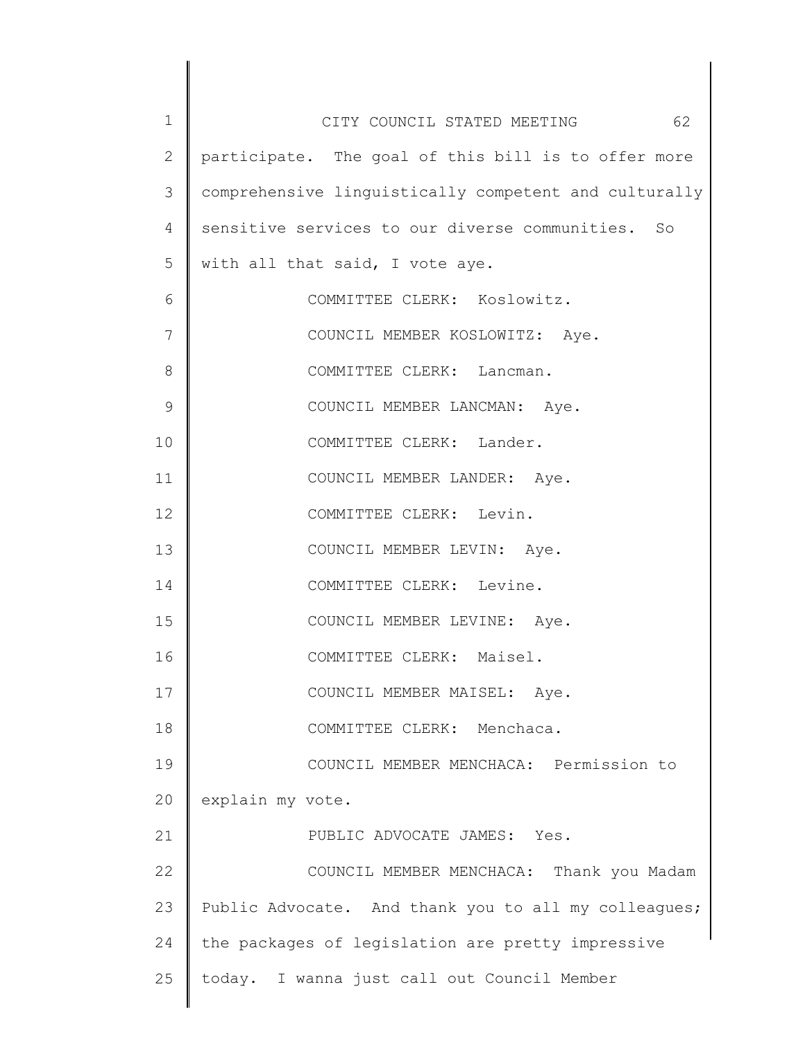| $\mathbf 1$  | 62<br>CITY COUNCIL STATED MEETING                     |
|--------------|-------------------------------------------------------|
| $\mathbf{2}$ | participate. The goal of this bill is to offer more   |
| 3            | comprehensive linguistically competent and culturally |
| 4            | sensitive services to our diverse communities.<br>So  |
| 5            | with all that said, I vote aye.                       |
| 6            | COMMITTEE CLERK: Koslowitz.                           |
| 7            | COUNCIL MEMBER KOSLOWITZ: Aye.                        |
| 8            | COMMITTEE CLERK: Lancman.                             |
| 9            | COUNCIL MEMBER LANCMAN: Aye.                          |
| 10           | COMMITTEE CLERK: Lander.                              |
| 11           | COUNCIL MEMBER LANDER: Aye.                           |
| 12           | COMMITTEE CLERK: Levin.                               |
| 13           | COUNCIL MEMBER LEVIN: Aye.                            |
| 14           | COMMITTEE CLERK: Levine.                              |
| 15           | COUNCIL MEMBER LEVINE: Aye.                           |
| 16           | COMMITTEE CLERK: Maisel.                              |
| 17           | COUNCIL MEMBER MAISEL: Aye.                           |
| 18           | COMMITTEE CLERK: Menchaca.                            |
| 19           | COUNCIL MEMBER MENCHACA: Permission to                |
| 20           | explain my vote.                                      |
| 21           | PUBLIC ADVOCATE JAMES: Yes.                           |
| 22           | COUNCIL MEMBER MENCHACA: Thank you Madam              |
| 23           | Public Advocate. And thank you to all my colleagues;  |
| 24           | the packages of legislation are pretty impressive     |
| 25           | today. I wanna just call out Council Member           |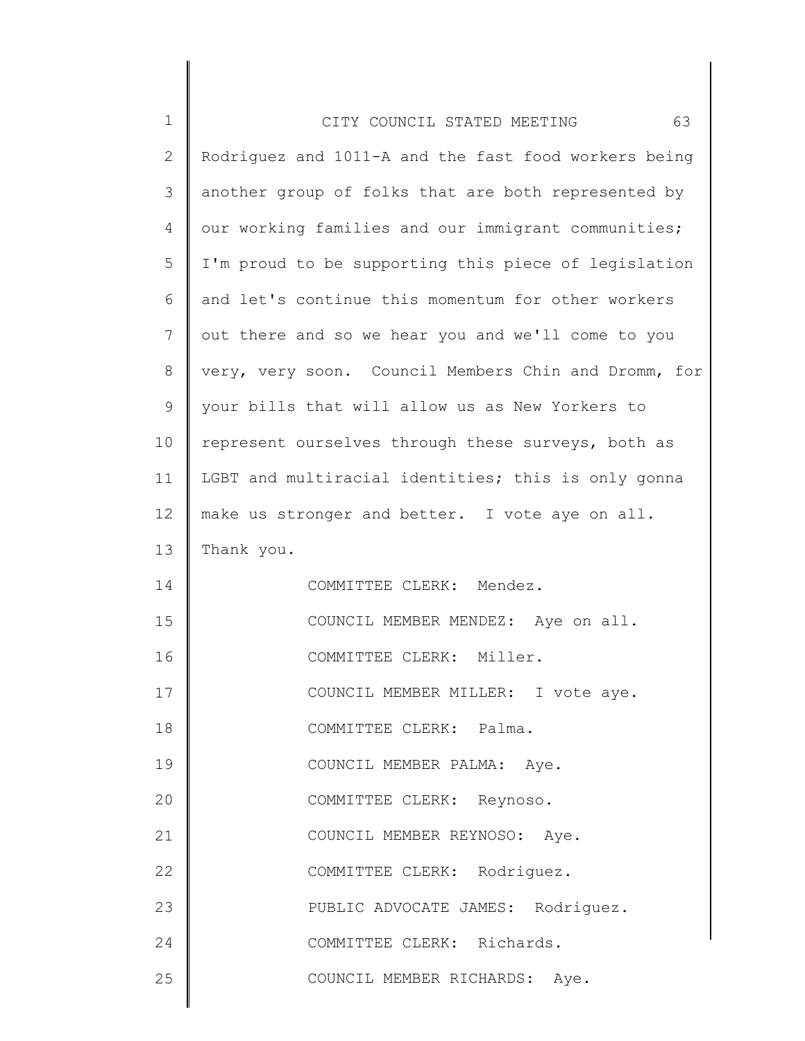| $\mathbf 1$    | 63<br>CITY COUNCIL STATED MEETING                    |
|----------------|------------------------------------------------------|
| $\mathbf{2}$   | Rodriguez and 1011-A and the fast food workers being |
| $\mathcal{S}$  | another group of folks that are both represented by  |
| $\overline{4}$ | our working families and our immigrant communities;  |
| 5              | I'm proud to be supporting this piece of legislation |
| 6              | and let's continue this momentum for other workers   |
| $\overline{7}$ | out there and so we hear you and we'll come to you   |
| 8              | very, very soon. Council Members Chin and Dromm, for |
| $\mathsf 9$    | your bills that will allow us as New Yorkers to      |
| 10             | represent ourselves through these surveys, both as   |
| 11             | LGBT and multiracial identities; this is only gonna  |
| 12             | make us stronger and better. I vote aye on all.      |
| 13             | Thank you.                                           |
| 14             | COMMITTEE CLERK: Mendez.                             |
| 15             | COUNCIL MEMBER MENDEZ: Aye on all.                   |
| 16             | COMMITTEE CLERK: Miller.                             |
| 17             | COUNCIL MEMBER MILLER: I vote aye.                   |
| 18             | COMMITTEE CLERK: Palma.                              |
| 19             | COUNCIL MEMBER PALMA: Aye.                           |
| 20             | COMMITTEE CLERK: Reynoso.                            |
| 21             | COUNCIL MEMBER REYNOSO: Aye.                         |
| 22             | COMMITTEE CLERK: Rodriquez.                          |
| 23             | PUBLIC ADVOCATE JAMES: Rodriguez.                    |
| 24             | COMMITTEE CLERK: Richards.                           |
| 25             | COUNCIL MEMBER RICHARDS: Aye.                        |
|                |                                                      |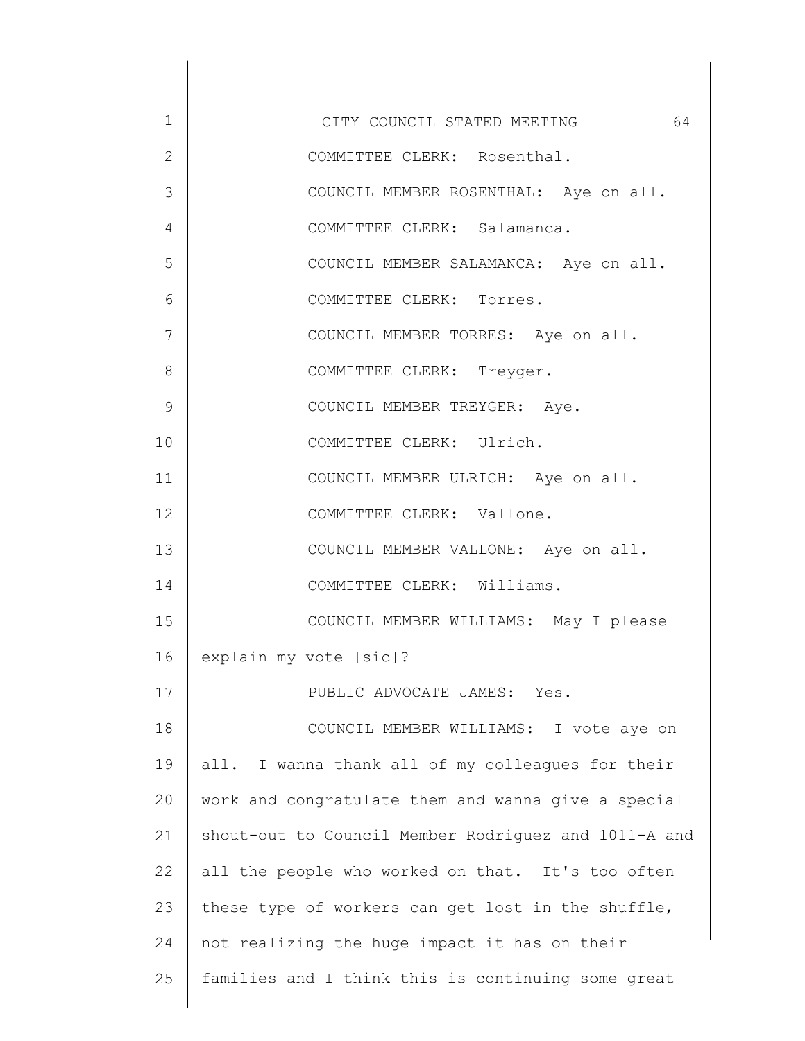1 2 3 4 5 6 7 8 9 10 11 12 13 14 15 16 17 18 19 20 21 22 23 24 25 CITY COUNCIL STATED MEETING 64 COMMITTEE CLERK: Rosenthal. COUNCIL MEMBER ROSENTHAL: Aye on all. COMMITTEE CLERK: Salamanca. COUNCIL MEMBER SALAMANCA: Aye on all. COMMITTEE CLERK: Torres. COUNCIL MEMBER TORRES: Aye on all. COMMITTEE CLERK: Treyger. COUNCIL MEMBER TREYGER: Aye. COMMITTEE CLERK: Ulrich. COUNCIL MEMBER ULRICH: Aye on all. COMMITTEE CLERK: Vallone. COUNCIL MEMBER VALLONE: Aye on all. COMMITTEE CLERK: Williams. COUNCIL MEMBER WILLIAMS: May I please explain my vote [sic]? PUBLIC ADVOCATE JAMES: Yes. COUNCIL MEMBER WILLIAMS: I vote aye on all. I wanna thank all of my colleagues for their work and congratulate them and wanna give a special shout-out to Council Member Rodriguez and 1011-A and all the people who worked on that. It's too often these type of workers can get lost in the shuffle, not realizing the huge impact it has on their families and I think this is continuing some great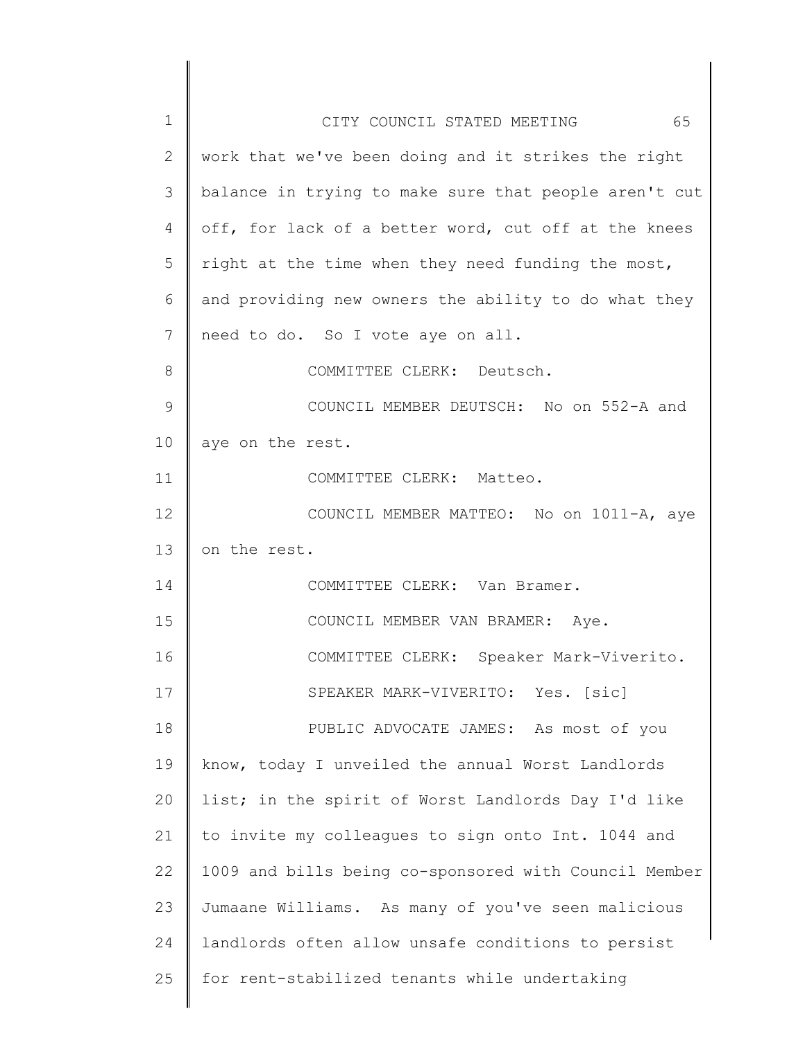| $\mathbf 1$ | 65<br>CITY COUNCIL STATED MEETING                     |
|-------------|-------------------------------------------------------|
| 2           | work that we've been doing and it strikes the right   |
| 3           | balance in trying to make sure that people aren't cut |
| 4           | off, for lack of a better word, cut off at the knees  |
| 5           | right at the time when they need funding the most,    |
| 6           | and providing new owners the ability to do what they  |
| 7           | need to do. So I vote aye on all.                     |
| 8           | COMMITTEE CLERK: Deutsch.                             |
| 9           | COUNCIL MEMBER DEUTSCH: No on 552-A and               |
| 10          | aye on the rest.                                      |
| 11          | COMMITTEE CLERK: Matteo.                              |
| 12          | COUNCIL MEMBER MATTEO: No on 1011-A, aye              |
| 13          | on the rest.                                          |
| 14          | COMMITTEE CLERK: Van Bramer.                          |
| 15          | COUNCIL MEMBER VAN BRAMER: Aye.                       |
| 16          | COMMITTEE CLERK: Speaker Mark-Viverito.               |
| 17          | SPEAKER MARK-VIVERITO: Yes. [sic]                     |
| 18          | PUBLIC ADVOCATE JAMES: As most of you                 |
| 19          | know, today I unveiled the annual Worst Landlords     |
| 20          | list; in the spirit of Worst Landlords Day I'd like   |
| 21          | to invite my colleagues to sign onto Int. 1044 and    |
| 22          | 1009 and bills being co-sponsored with Council Member |
| 23          | Jumaane Williams. As many of you've seen malicious    |
| 24          | landlords often allow unsafe conditions to persist    |
| 25          | for rent-stabilized tenants while undertaking         |
|             |                                                       |

 $\begin{array}{c} \hline \end{array}$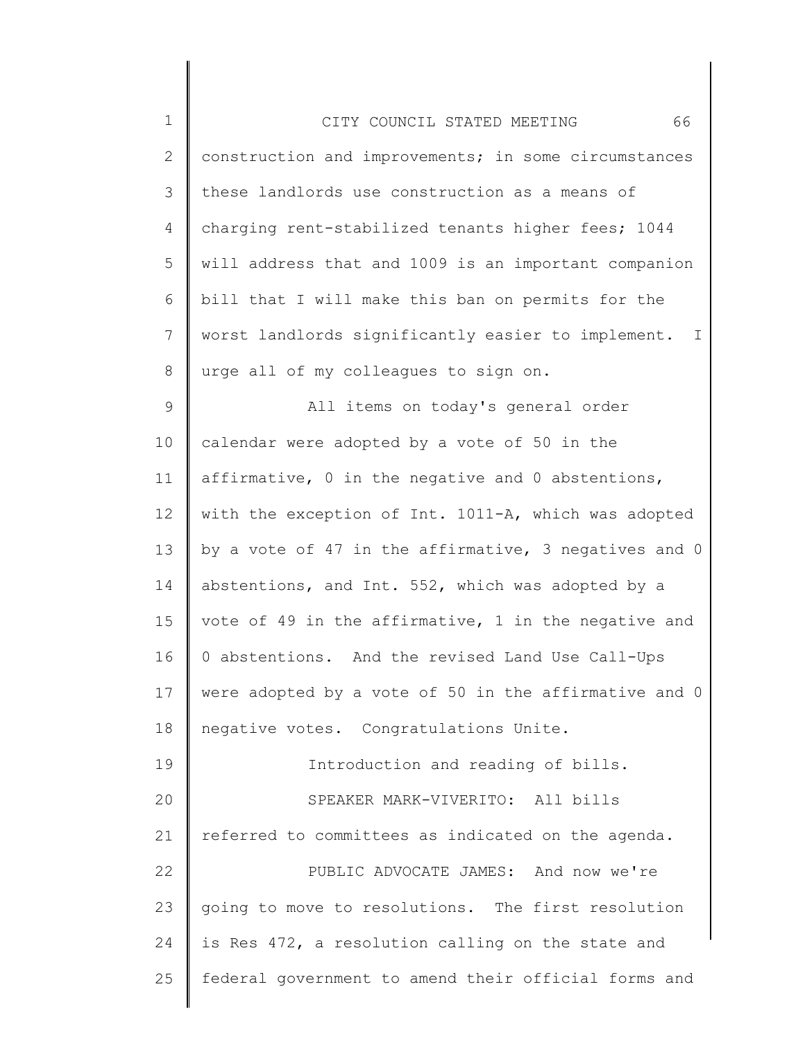| $\mathbf 1$     | 66<br>CITY COUNCIL STATED MEETING                                  |
|-----------------|--------------------------------------------------------------------|
| $\mathbf{2}$    | construction and improvements; in some circumstances               |
| 3               | these landlords use construction as a means of                     |
| 4               | charging rent-stabilized tenants higher fees; 1044                 |
| 5               | will address that and 1009 is an important companion               |
| 6               | bill that I will make this ban on permits for the                  |
| $7\phantom{.0}$ | worst landlords significantly easier to implement.<br>$\mathbb{I}$ |
| 8               | urge all of my colleagues to sign on.                              |
| $\mathsf 9$     | All items on today's general order                                 |
| 10              | calendar were adopted by a vote of 50 in the                       |
| 11              | affirmative, 0 in the negative and 0 abstentions,                  |
| 12              | with the exception of Int. 1011-A, which was adopted               |
| 13              | by a vote of 47 in the affirmative, 3 negatives and 0              |
| 14              | abstentions, and Int. 552, which was adopted by a                  |
| 15              | vote of 49 in the affirmative, 1 in the negative and               |
| 16              | 0 abstentions. And the revised Land Use Call-Ups                   |
| 17              | were adopted by a vote of 50 in the affirmative and 0              |
| 18              | negative votes. Congratulations Unite.                             |
| 19              | Introduction and reading of bills.                                 |
| 20              | SPEAKER MARK-VIVERITO: All bills                                   |
| 21              | referred to committees as indicated on the agenda.                 |
| 22              | PUBLIC ADVOCATE JAMES: And now we're                               |
| 23              | going to move to resolutions. The first resolution                 |
| 24              | is Res 472, a resolution calling on the state and                  |
| 25              | federal government to amend their official forms and               |
|                 |                                                                    |

║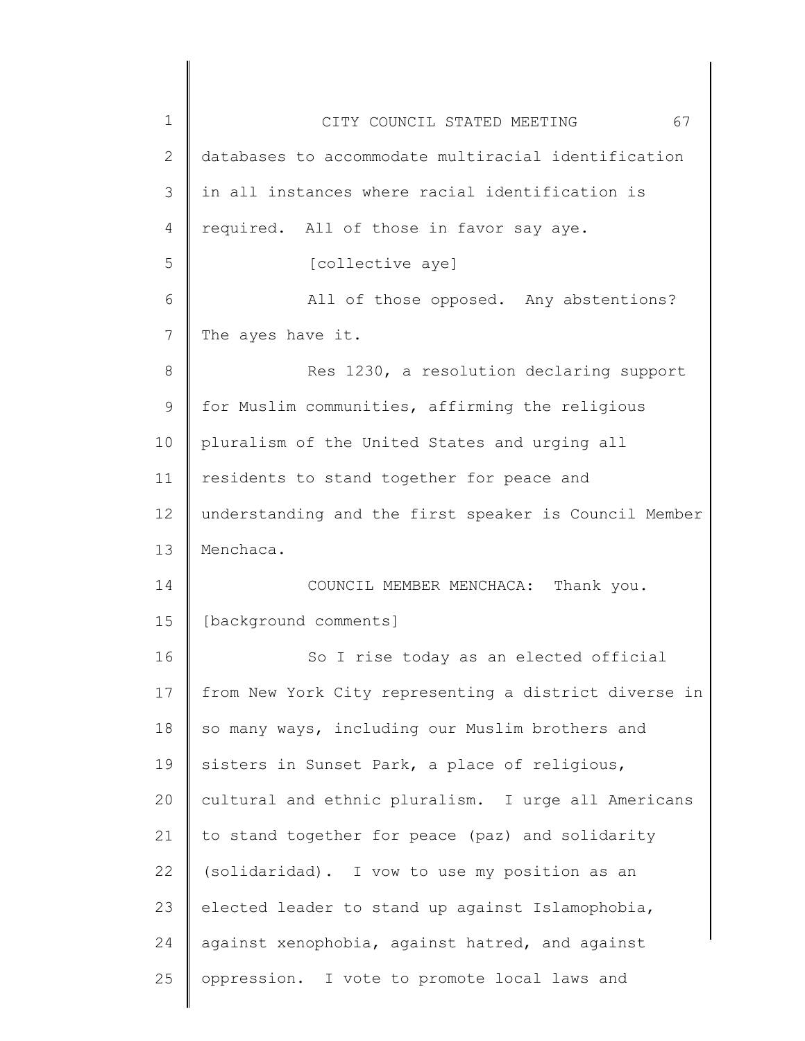| $\mathbf 1$    | 67<br>CITY COUNCIL STATED MEETING                     |
|----------------|-------------------------------------------------------|
| $\overline{2}$ | databases to accommodate multiracial identification   |
| 3              | in all instances where racial identification is       |
| $\overline{4}$ | required. All of those in favor say aye.              |
| 5              | [collective aye]                                      |
| 6              | All of those opposed. Any abstentions?                |
| 7              | The ayes have it.                                     |
| 8              | Res 1230, a resolution declaring support              |
| $\mathsf 9$    | for Muslim communities, affirming the religious       |
| 10             | pluralism of the United States and urging all         |
| 11             | residents to stand together for peace and             |
| 12             | understanding and the first speaker is Council Member |
| 13             | Menchaca.                                             |
| 14             | COUNCIL MEMBER MENCHACA: Thank you.                   |
| 15             | [background comments]                                 |
| 16             | So I rise today as an elected official                |
| 17             | from New York City representing a district diverse in |
| 18             | so many ways, including our Muslim brothers and       |
| 19             | sisters in Sunset Park, a place of religious,         |
| 20             | cultural and ethnic pluralism. I urge all Americans   |
| 21             | to stand together for peace (paz) and solidarity      |
| 22             | (solidaridad). I vow to use my position as an         |
| 23             | elected leader to stand up against Islamophobia,      |
| 24             | against xenophobia, against hatred, and against       |
| 25             | oppression. I vote to promote local laws and          |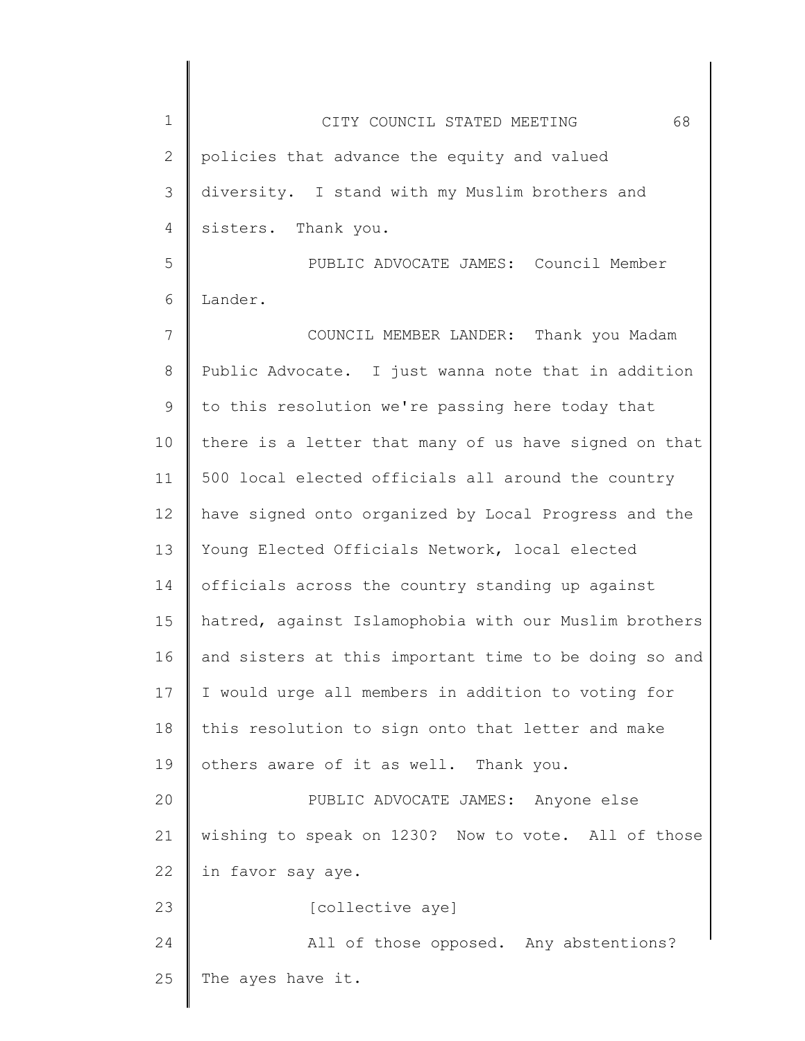| $\mathbf 1$ | 68<br>CITY COUNCIL STATED MEETING                     |
|-------------|-------------------------------------------------------|
| 2           | policies that advance the equity and valued           |
| 3           | diversity. I stand with my Muslim brothers and        |
| 4           | sisters. Thank you.                                   |
| 5           | PUBLIC ADVOCATE JAMES: Council Member                 |
| 6           | Lander.                                               |
| 7           | COUNCIL MEMBER LANDER: Thank you Madam                |
| 8           | Public Advocate. I just wanna note that in addition   |
| 9           | to this resolution we're passing here today that      |
| 10          | there is a letter that many of us have signed on that |
| 11          | 500 local elected officials all around the country    |
| 12          | have signed onto organized by Local Progress and the  |
| 13          | Young Elected Officials Network, local elected        |
| 14          | officials across the country standing up against      |
| 15          | hatred, against Islamophobia with our Muslim brothers |
| 16          | and sisters at this important time to be doing so and |
| 17          | I would urge all members in addition to voting for    |
| 18          | this resolution to sign onto that letter and make     |
| 19          | others aware of it as well. Thank you.                |
| 20          | PUBLIC ADVOCATE JAMES: Anyone else                    |
| 21          | wishing to speak on 1230? Now to vote. All of those   |
| 22          | in favor say aye.                                     |
| 23          | [collective aye]                                      |
| 24          | All of those opposed. Any abstentions?                |
| 25          | The ayes have it.                                     |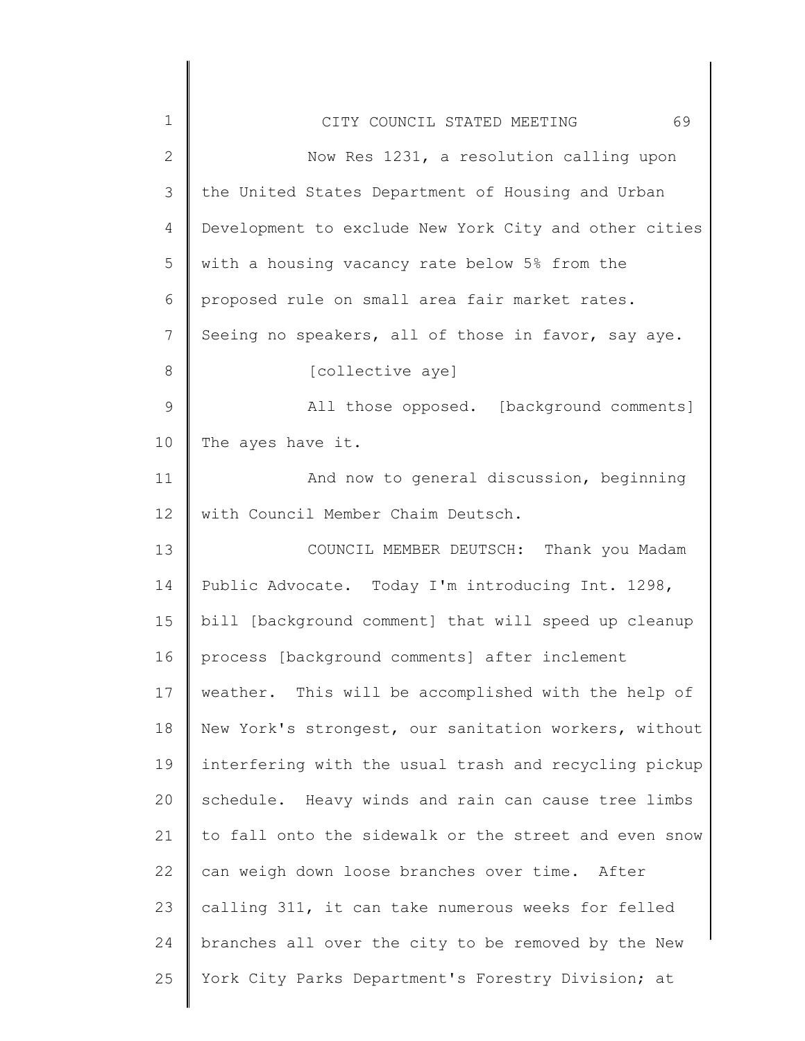| $\mathbf 1$   | 69<br>CITY COUNCIL STATED MEETING                     |
|---------------|-------------------------------------------------------|
| $\mathbf{2}$  | Now Res 1231, a resolution calling upon               |
| $\mathcal{S}$ | the United States Department of Housing and Urban     |
| 4             | Development to exclude New York City and other cities |
| 5             | with a housing vacancy rate below 5% from the         |
| 6             | proposed rule on small area fair market rates.        |
| 7             | Seeing no speakers, all of those in favor, say aye.   |
| 8             | [collective aye]                                      |
| $\mathcal{G}$ | All those opposed. [background comments]              |
| 10            | The ayes have it.                                     |
| 11            | And now to general discussion, beginning              |
| 12            | with Council Member Chaim Deutsch.                    |
| 13            | COUNCIL MEMBER DEUTSCH: Thank you Madam               |
| 14            | Public Advocate. Today I'm introducing Int. 1298,     |
| 15            | bill [background comment] that will speed up cleanup  |
| 16            | process [background comments] after inclement         |
| 17            | weather. This will be accomplished with the help of   |
| 18            | New York's strongest, our sanitation workers, without |
| 19            | interfering with the usual trash and recycling pickup |
| 20            | schedule. Heavy winds and rain can cause tree limbs   |
| 21            | to fall onto the sidewalk or the street and even snow |
| 22            | can weigh down loose branches over time. After        |
| 23            | calling 311, it can take numerous weeks for felled    |
| 24            | branches all over the city to be removed by the New   |
| 25            | York City Parks Department's Forestry Division; at    |
|               |                                                       |

 $\begin{array}{c} \hline \end{array}$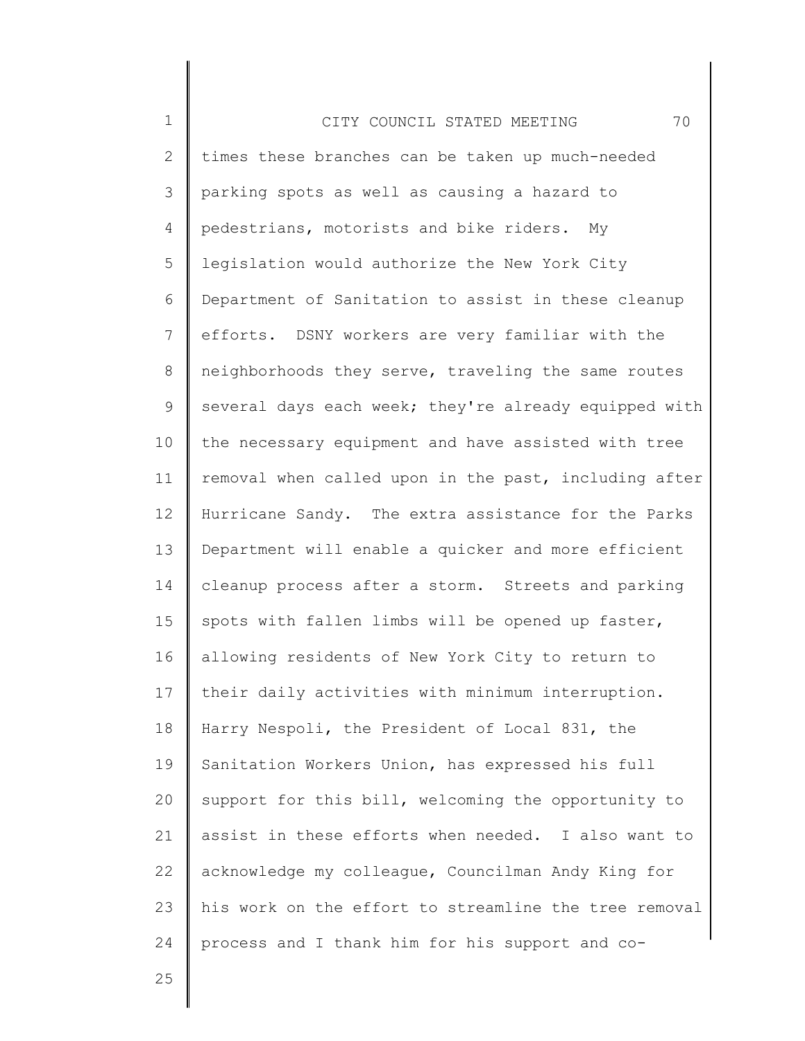1 2 3 4 5 6 7 8 9 10 11 12 13 14 15 16 17 18 19 20 21 22 23 24 CITY COUNCIL STATED MEETING 70 times these branches can be taken up much-needed parking spots as well as causing a hazard to pedestrians, motorists and bike riders. My legislation would authorize the New York City Department of Sanitation to assist in these cleanup efforts. DSNY workers are very familiar with the neighborhoods they serve, traveling the same routes several days each week; they're already equipped with the necessary equipment and have assisted with tree removal when called upon in the past, including after Hurricane Sandy. The extra assistance for the Parks Department will enable a quicker and more efficient cleanup process after a storm. Streets and parking spots with fallen limbs will be opened up faster, allowing residents of New York City to return to their daily activities with minimum interruption. Harry Nespoli, the President of Local 831, the Sanitation Workers Union, has expressed his full support for this bill, welcoming the opportunity to assist in these efforts when needed. I also want to acknowledge my colleague, Councilman Andy King for his work on the effort to streamline the tree removal process and I thank him for his support and co-

25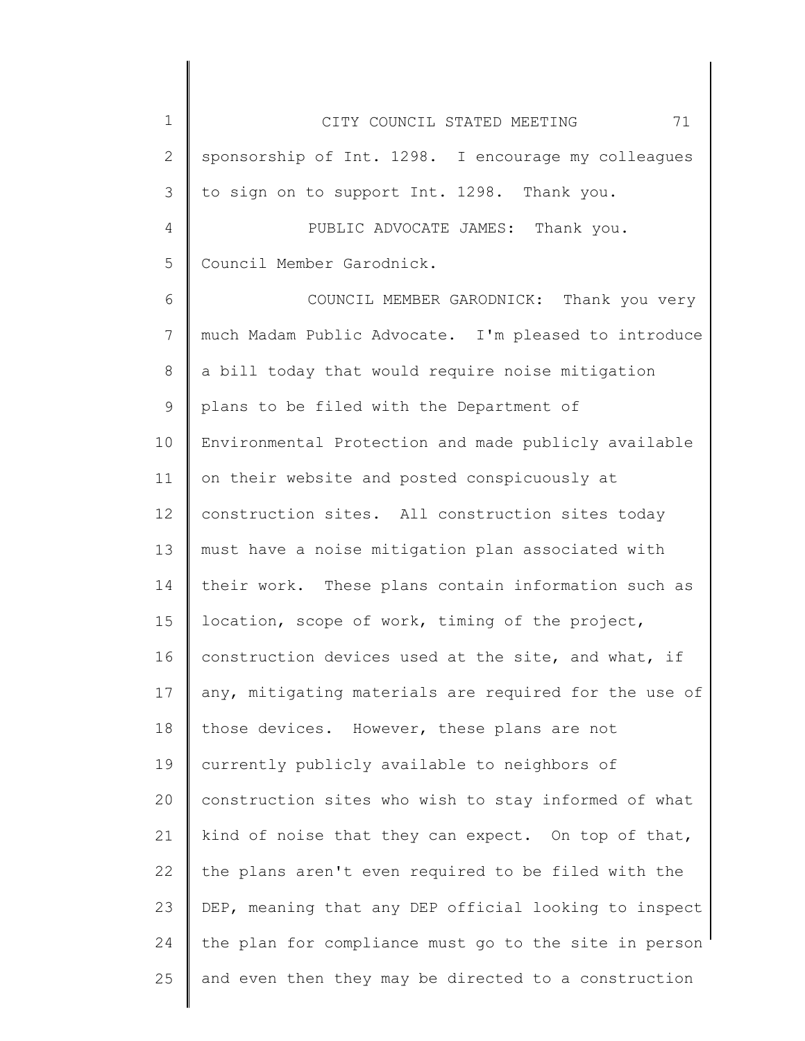| $\mathbf 1$   | 71<br>CITY COUNCIL STATED MEETING                     |
|---------------|-------------------------------------------------------|
| $\mathbf{2}$  | sponsorship of Int. 1298. I encourage my colleagues   |
| 3             | to sign on to support Int. 1298. Thank you.           |
| 4             | PUBLIC ADVOCATE JAMES: Thank you.                     |
| 5             | Council Member Garodnick.                             |
| 6             | COUNCIL MEMBER GARODNICK: Thank you very              |
| 7             | much Madam Public Advocate. I'm pleased to introduce  |
| 8             | a bill today that would require noise mitigation      |
| $\mathcal{G}$ | plans to be filed with the Department of              |
| 10            | Environmental Protection and made publicly available  |
| 11            | on their website and posted conspicuously at          |
| 12            | construction sites. All construction sites today      |
| 13            | must have a noise mitigation plan associated with     |
| 14            | their work. These plans contain information such as   |
| 15            | location, scope of work, timing of the project,       |
| 16            | construction devices used at the site, and what, if   |
| 17            | any, mitigating materials are required for the use of |
| 18            | those devices. However, these plans are not           |
| 19            | currently publicly available to neighbors of          |
| 20            | construction sites who wish to stay informed of what  |
| 21            | kind of noise that they can expect. On top of that,   |
| 22            | the plans aren't even required to be filed with the   |
| 23            | DEP, meaning that any DEP official looking to inspect |
| 24            | the plan for compliance must go to the site in person |
| 25            | and even then they may be directed to a construction  |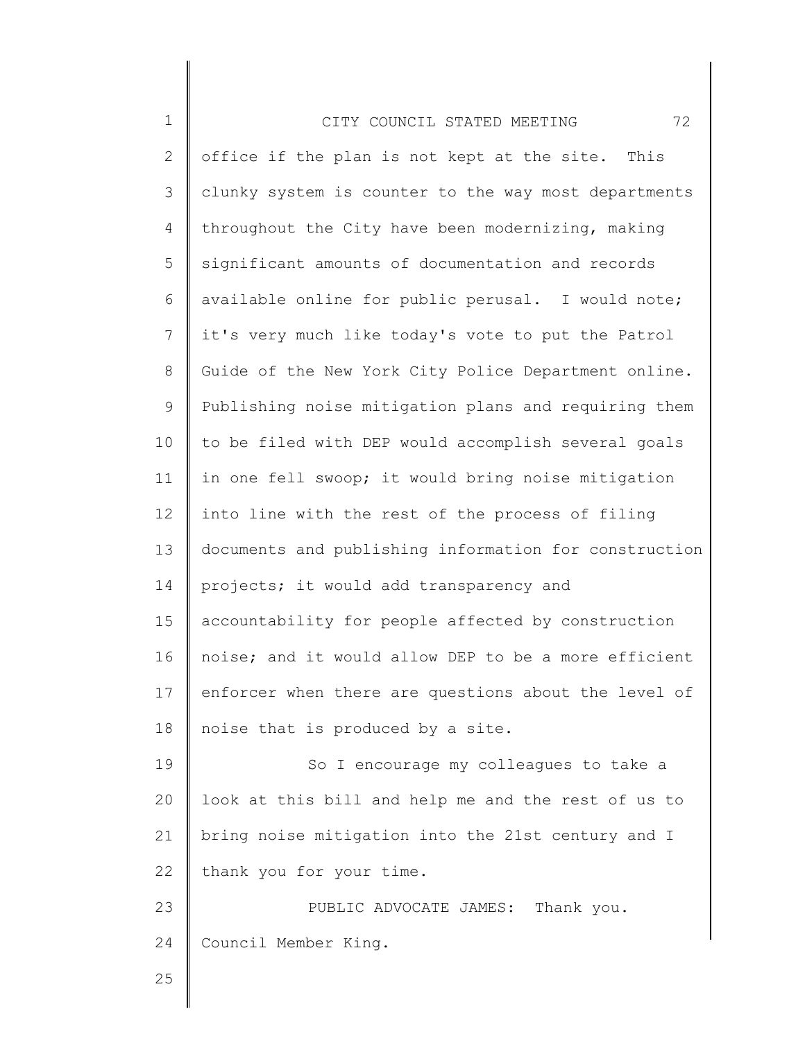| $\mathbf 1$    | 72<br>CITY COUNCIL STATED MEETING                     |
|----------------|-------------------------------------------------------|
| $\mathbf{2}$   | office if the plan is not kept at the site. This      |
| 3              | clunky system is counter to the way most departments  |
| $\overline{4}$ | throughout the City have been modernizing, making     |
| 5              | significant amounts of documentation and records      |
| 6              | available online for public perusal. I would note;    |
| $7\phantom{.}$ | it's very much like today's vote to put the Patrol    |
| 8              | Guide of the New York City Police Department online.  |
| 9              | Publishing noise mitigation plans and requiring them  |
| 10             | to be filed with DEP would accomplish several goals   |
| 11             | in one fell swoop; it would bring noise mitigation    |
| 12             | into line with the rest of the process of filing      |
| 13             | documents and publishing information for construction |
| 14             | projects; it would add transparency and               |
| 15             | accountability for people affected by construction    |
| 16             | noise; and it would allow DEP to be a more efficient  |
| 17             | enforcer when there are questions about the level of  |
| 18             | noise that is produced by a site.                     |
| 19             | So I encourage my colleagues to take a                |
| 20             | look at this bill and help me and the rest of us to   |
| 21             | bring noise mitigation into the 21st century and I    |
| 22             | thank you for your time.                              |
| 23             | PUBLIC ADVOCATE JAMES: Thank you.                     |
| 24             | Council Member King.                                  |
| 25             |                                                       |
|                |                                                       |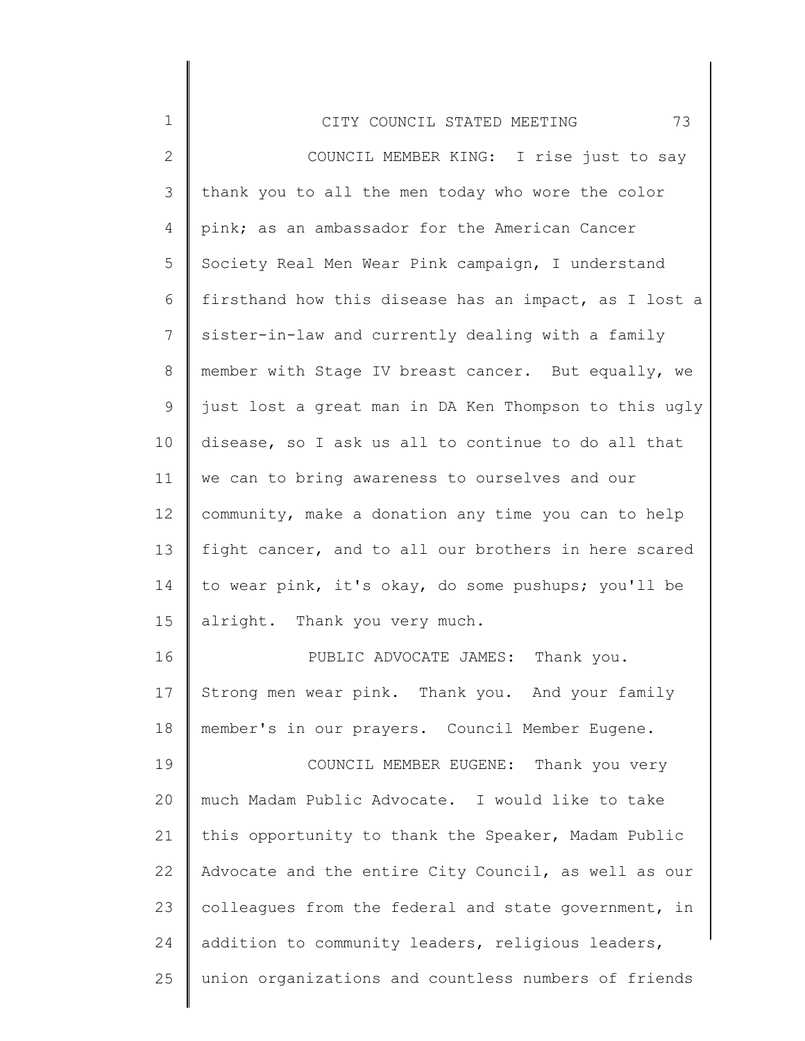| 1               | 73<br>CITY COUNCIL STATED MEETING                     |
|-----------------|-------------------------------------------------------|
| $\mathbf{2}$    | COUNCIL MEMBER KING: I rise just to say               |
| 3               | thank you to all the men today who wore the color     |
| 4               | pink; as an ambassador for the American Cancer        |
| 5               | Society Real Men Wear Pink campaign, I understand     |
| 6               | firsthand how this disease has an impact, as I lost a |
| 7               | sister-in-law and currently dealing with a family     |
| $8\,$           | member with Stage IV breast cancer. But equally, we   |
| 9               | just lost a great man in DA Ken Thompson to this ugly |
| 10              | disease, so I ask us all to continue to do all that   |
| 11              | we can to bring awareness to ourselves and our        |
| 12 <sup>°</sup> | community, make a donation any time you can to help   |
| 13              | fight cancer, and to all our brothers in here scared  |
| 14              | to wear pink, it's okay, do some pushups; you'll be   |
| 15              | alright. Thank you very much.                         |
| 16              | PUBLIC ADVOCATE JAMES: Thank you.                     |
| 17              | Strong men wear pink. Thank you. And your family      |
| 18              | member's in our prayers. Council Member Eugene.       |
| 19              | COUNCIL MEMBER EUGENE: Thank you very                 |
| 20              | much Madam Public Advocate. I would like to take      |
| 21              | this opportunity to thank the Speaker, Madam Public   |
| 22              | Advocate and the entire City Council, as well as our  |
| 23              | colleagues from the federal and state government, in  |
| 24              | addition to community leaders, religious leaders,     |
| 25              | union organizations and countless numbers of friends  |
|                 |                                                       |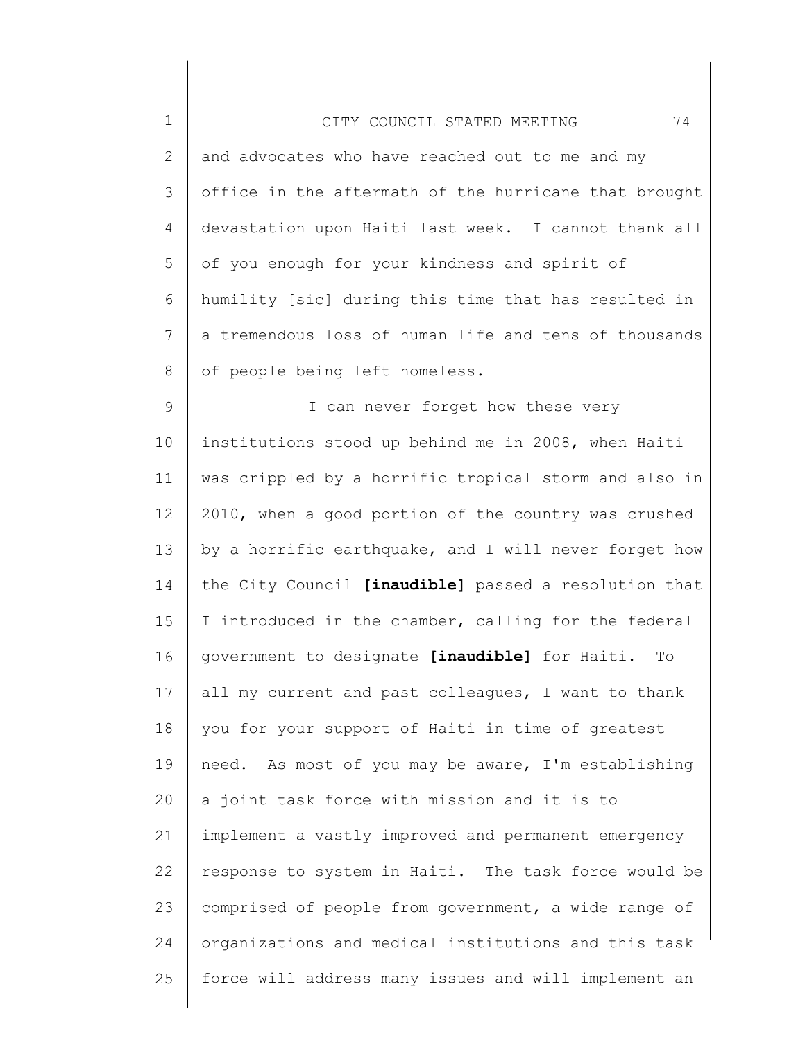| $\mathbf 1$     | 74<br>CITY COUNCIL STATED MEETING                     |
|-----------------|-------------------------------------------------------|
| $\mathbf{2}$    | and advocates who have reached out to me and my       |
| 3               | office in the aftermath of the hurricane that brought |
| 4               | devastation upon Haiti last week. I cannot thank all  |
| 5               | of you enough for your kindness and spirit of         |
| 6               | humility [sic] during this time that has resulted in  |
| $7\phantom{.0}$ | a tremendous loss of human life and tens of thousands |
| 8               | of people being left homeless.                        |
| $\mathsf 9$     | I can never forget how these very                     |
| 10              | institutions stood up behind me in 2008, when Haiti   |
| 11              | was crippled by a horrific tropical storm and also in |
| 12              | 2010, when a good portion of the country was crushed  |
| 13              | by a horrific earthquake, and I will never forget how |
| 14              | the City Council [inaudible] passed a resolution that |
| 15              | I introduced in the chamber, calling for the federal  |
| 16              | government to designate [inaudible] for Haiti. To     |
| 17              | all my current and past colleagues, I want to thank   |
| 18              | you for your support of Haiti in time of greatest     |
| 19              | need. As most of you may be aware, I'm establishing   |
| 20              | a joint task force with mission and it is to          |
| 21              | implement a vastly improved and permanent emergency   |
| 22              | response to system in Haiti. The task force would be  |
| 23              | comprised of people from government, a wide range of  |
| 24              | organizations and medical institutions and this task  |
| 25              | force will address many issues and will implement an  |

 $\parallel$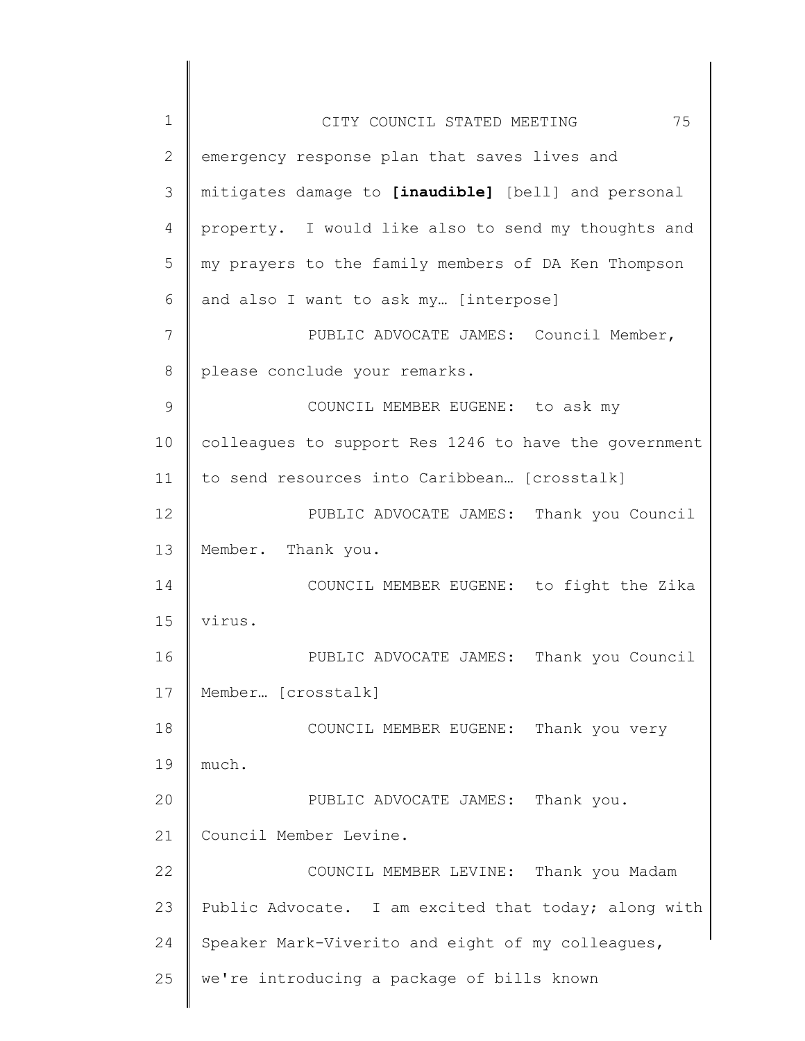| $\mathbf 1$  | 75<br>CITY COUNCIL STATED MEETING                     |
|--------------|-------------------------------------------------------|
| $\mathbf{2}$ | emergency response plan that saves lives and          |
| 3            | mitigates damage to [inaudible] [bell] and personal   |
| 4            | property. I would like also to send my thoughts and   |
| 5            | my prayers to the family members of DA Ken Thompson   |
| 6            | and also I want to ask my [interpose]                 |
| 7            | PUBLIC ADVOCATE JAMES: Council Member,                |
| 8            | please conclude your remarks.                         |
| 9            | COUNCIL MEMBER EUGENE: to ask my                      |
| 10           | colleagues to support Res 1246 to have the government |
| 11           | to send resources into Caribbean [crosstalk]          |
| 12           | PUBLIC ADVOCATE JAMES: Thank you Council              |
| 13           | Member. Thank you.                                    |
| 14           | COUNCIL MEMBER EUGENE: to fight the Zika              |
| 15           | virus.                                                |
| 16           | PUBLIC ADVOCATE JAMES: Thank you Council              |
| 17           | Member [crosstalk]                                    |
| 18           | COUNCIL MEMBER EUGENE: Thank you very                 |
| 19           | much.                                                 |
| 20           | PUBLIC ADVOCATE JAMES: Thank you.                     |
| 21           | Council Member Levine.                                |
| 22           | COUNCIL MEMBER LEVINE: Thank you Madam                |
| 23           | Public Advocate. I am excited that today; along with  |
| 24           | Speaker Mark-Viverito and eight of my colleagues,     |
| 25           | we're introducing a package of bills known            |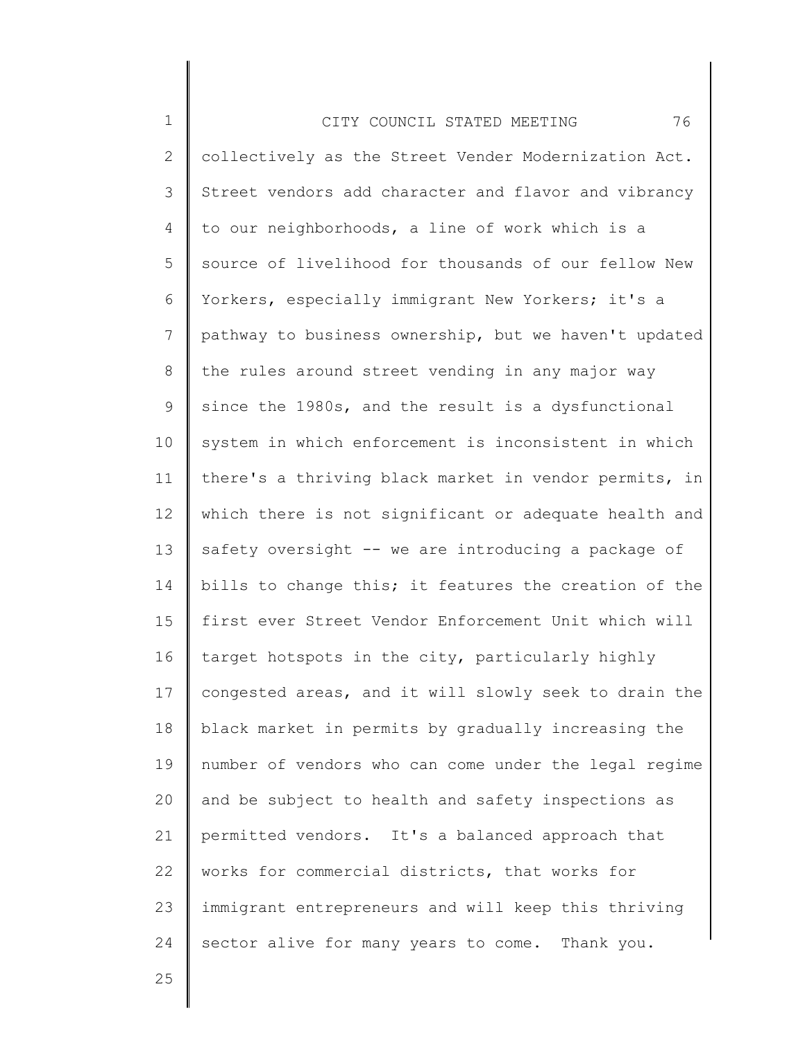| $\mathbf 1$     | 76<br>CITY COUNCIL STATED MEETING                     |
|-----------------|-------------------------------------------------------|
| 2               | collectively as the Street Vender Modernization Act.  |
| 3               | Street vendors add character and flavor and vibrancy  |
| 4               | to our neighborhoods, a line of work which is a       |
| 5               | source of livelihood for thousands of our fellow New  |
| 6               | Yorkers, especially immigrant New Yorkers; it's a     |
| $7\phantom{.0}$ | pathway to business ownership, but we haven't updated |
| 8               | the rules around street vending in any major way      |
| $\mathsf 9$     | since the 1980s, and the result is a dysfunctional    |
| 10              | system in which enforcement is inconsistent in which  |
| 11              | there's a thriving black market in vendor permits, in |
| 12              | which there is not significant or adequate health and |
| 13              | safety oversight -- we are introducing a package of   |
| 14              | bills to change this; it features the creation of the |
| 15              | first ever Street Vendor Enforcement Unit which will  |
| 16              | target hotspots in the city, particularly highly      |
| 17              | congested areas, and it will slowly seek to drain the |
| 18              | black market in permits by gradually increasing the   |
| 19              | number of vendors who can come under the legal regime |
| 20              | and be subject to health and safety inspections as    |
| 21              | permitted vendors. It's a balanced approach that      |
| 22              | works for commercial districts, that works for        |
| 23              | immigrant entrepreneurs and will keep this thriving   |
| 24              | sector alive for many years to come. Thank you.       |
|                 |                                                       |

25

Ι

 $\mathsf I$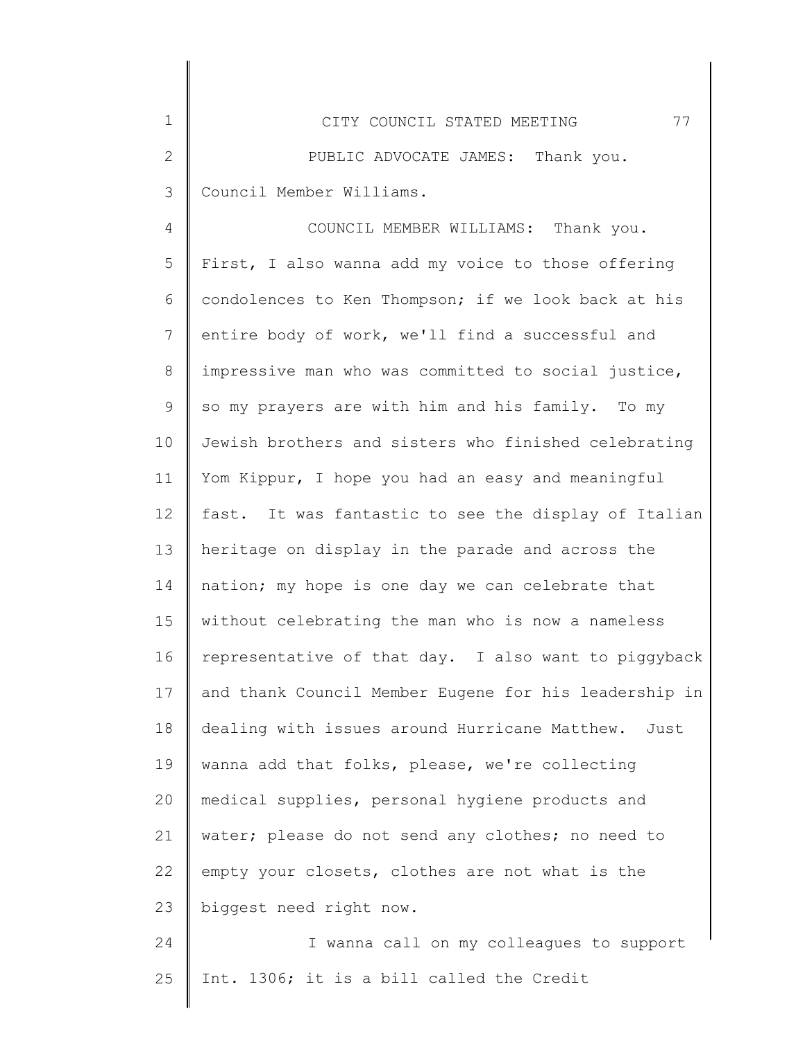| $\mathbf 1$    | 77<br>CITY COUNCIL STATED MEETING                     |
|----------------|-------------------------------------------------------|
| $\overline{2}$ | PUBLIC ADVOCATE JAMES: Thank you.                     |
| 3              | Council Member Williams.                              |
| 4              | COUNCIL MEMBER WILLIAMS: Thank you.                   |
| 5              | First, I also wanna add my voice to those offering    |
| 6              | condolences to Ken Thompson; if we look back at his   |
| 7              | entire body of work, we'll find a successful and      |
| 8              | impressive man who was committed to social justice,   |
| 9              | so my prayers are with him and his family. To my      |
| 10             | Jewish brothers and sisters who finished celebrating  |
| 11             | Yom Kippur, I hope you had an easy and meaningful     |
| 12             | fast. It was fantastic to see the display of Italian  |
| 13             | heritage on display in the parade and across the      |
| 14             | nation; my hope is one day we can celebrate that      |
| 15             | without celebrating the man who is now a nameless     |
| 16             | representative of that day. I also want to piggyback  |
| 17             | and thank Council Member Eugene for his leadership in |
| 18             | dealing with issues around Hurricane Matthew. Just    |
| 19             | wanna add that folks, please, we're collecting        |
| 20             | medical supplies, personal hygiene products and       |
| 21             | water; please do not send any clothes; no need to     |
| 22             | empty your closets, clothes are not what is the       |
| 23             | biggest need right now.                               |
| 24             | I wanna call on my colleagues to support              |
| 25             | Int. 1306; it is a bill called the Credit             |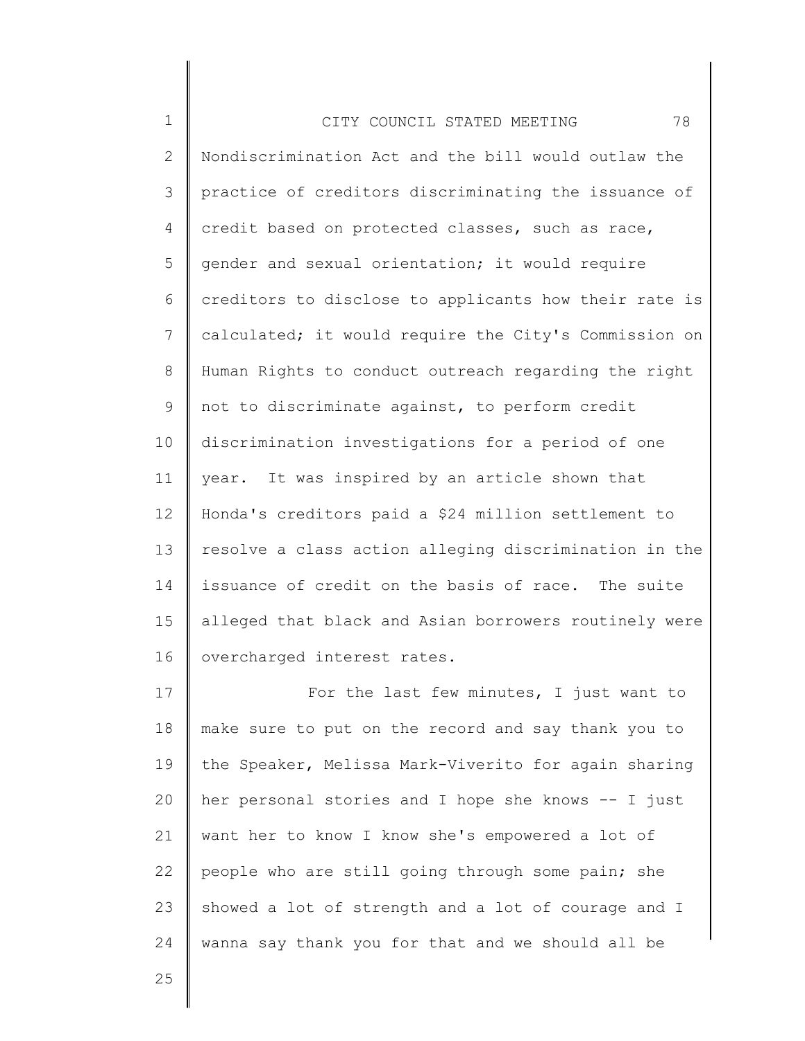| $\mathbf 1$  | 78<br>CITY COUNCIL STATED MEETING                     |
|--------------|-------------------------------------------------------|
| $\mathbf{2}$ | Nondiscrimination Act and the bill would outlaw the   |
| 3            | practice of creditors discriminating the issuance of  |
| 4            | credit based on protected classes, such as race,      |
| 5            | gender and sexual orientation; it would require       |
| 6            | creditors to disclose to applicants how their rate is |
| 7            | calculated; it would require the City's Commission on |
| 8            | Human Rights to conduct outreach regarding the right  |
| 9            | not to discriminate against, to perform credit        |
| 10           | discrimination investigations for a period of one     |
| 11           | year. It was inspired by an article shown that        |
| 12           | Honda's creditors paid a \$24 million settlement to   |
| 13           | resolve a class action alleging discrimination in the |
| 14           | issuance of credit on the basis of race. The suite    |
| 15           | alleged that black and Asian borrowers routinely were |
| 16           | overcharged interest rates.                           |
| 17           | For the last few minutes, I just want to              |
| 18           | make sure to put on the record and say thank you to   |
| 19           | the Speaker, Melissa Mark-Viverito for again sharing  |
| 20           | her personal stories and I hope she knows -- I just   |
| 21           | want her to know I know she's empowered a lot of      |
| 22           | people who are still going through some pain; she     |
| 23           | showed a lot of strength and a lot of courage and I   |
| 24           | wanna say thank you for that and we should all be     |

25

∥

║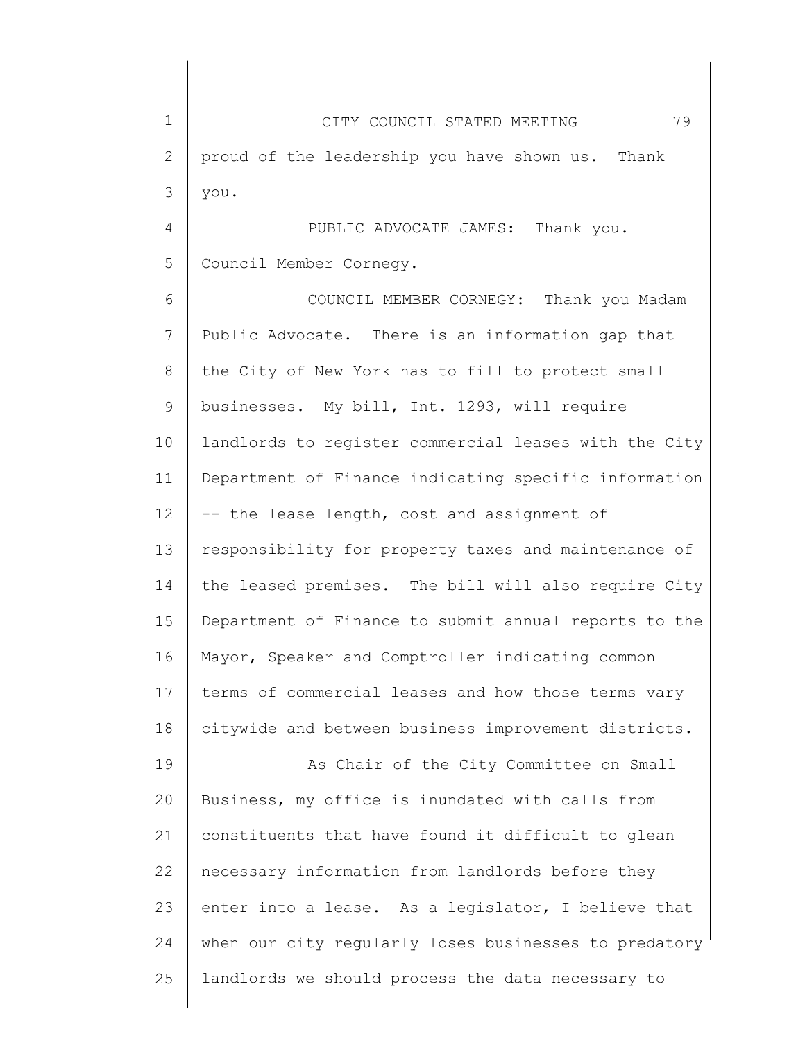| $\mathbf 1$  | 79<br>CITY COUNCIL STATED MEETING                     |
|--------------|-------------------------------------------------------|
| $\mathbf{2}$ | proud of the leadership you have shown us. Thank      |
| 3            | you.                                                  |
| 4            | PUBLIC ADVOCATE JAMES: Thank you.                     |
| 5            | Council Member Cornegy.                               |
| 6            | COUNCIL MEMBER CORNEGY: Thank you Madam               |
| 7            | Public Advocate. There is an information gap that     |
| 8            | the City of New York has to fill to protect small     |
| $\mathsf 9$  | businesses. My bill, Int. 1293, will require          |
| 10           | landlords to register commercial leases with the City |
| 11           | Department of Finance indicating specific information |
| 12           | -- the lease length, cost and assignment of           |
| 13           | responsibility for property taxes and maintenance of  |
| 14           | the leased premises. The bill will also require City  |
| 15           | Department of Finance to submit annual reports to the |
| 16           | Mayor, Speaker and Comptroller indicating common      |
| 17           | terms of commercial leases and how those terms vary   |
| 18           | citywide and between business improvement districts.  |
| 19           | As Chair of the City Committee on Small               |
| 20           | Business, my office is inundated with calls from      |
| 21           | constituents that have found it difficult to glean    |
| 22           | necessary information from landlords before they      |
| 23           | enter into a lease. As a legislator, I believe that   |
| 24           | when our city regularly loses businesses to predatory |
| 25           | landlords we should process the data necessary to     |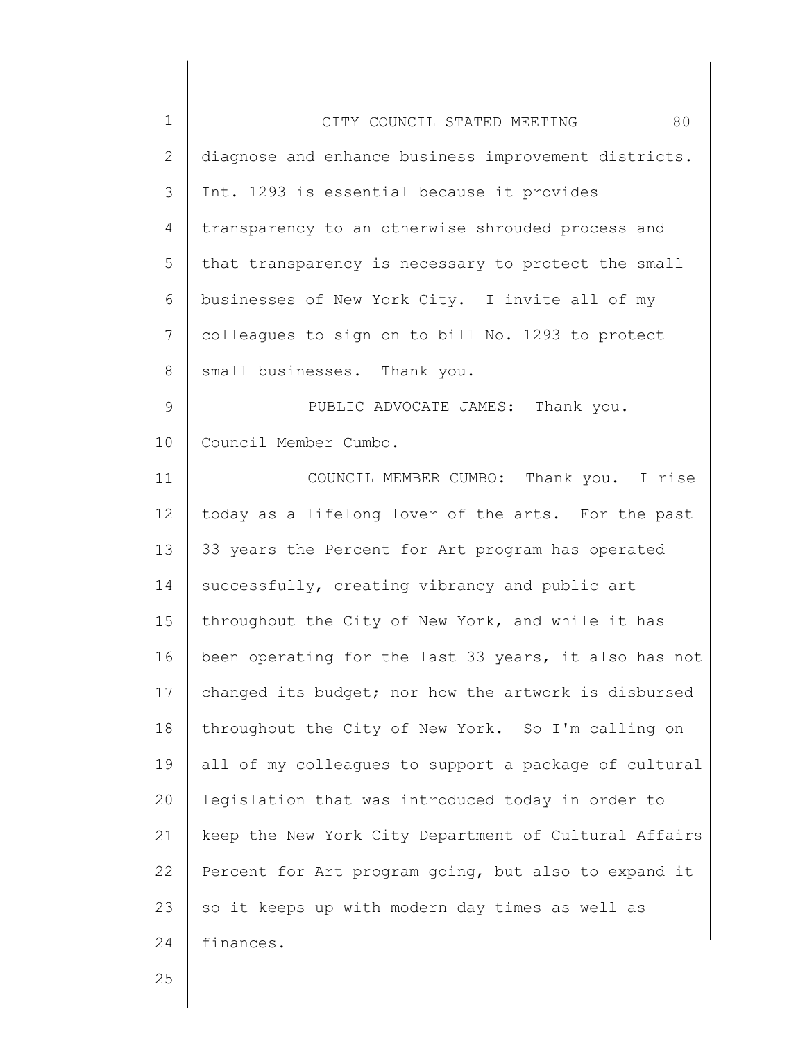| $\mathbf 1$    | 80<br>CITY COUNCIL STATED MEETING                     |
|----------------|-------------------------------------------------------|
| $\mathbf{2}$   | diagnose and enhance business improvement districts.  |
| 3              | Int. 1293 is essential because it provides            |
| 4              | transparency to an otherwise shrouded process and     |
| 5              | that transparency is necessary to protect the small   |
| 6              | businesses of New York City. I invite all of my       |
| $\overline{7}$ | colleagues to sign on to bill No. 1293 to protect     |
| 8              | small businesses. Thank you.                          |
| 9              | PUBLIC ADVOCATE JAMES: Thank you.                     |
| 10             | Council Member Cumbo.                                 |
| 11             | COUNCIL MEMBER CUMBO: Thank you. I rise               |
| 12             | today as a lifelong lover of the arts. For the past   |
| 13             | 33 years the Percent for Art program has operated     |
| 14             | successfully, creating vibrancy and public art        |
| 15             | throughout the City of New York, and while it has     |
| 16             | been operating for the last 33 years, it also has not |
| 17             | changed its budget; nor how the artwork is disbursed  |
| 18             | throughout the City of New York. So I'm calling on    |
| 19             | all of my colleagues to support a package of cultural |
| 20             | legislation that was introduced today in order to     |
| 21             | keep the New York City Department of Cultural Affairs |
| 22             | Percent for Art program going, but also to expand it  |
| 23             | so it keeps up with modern day times as well as       |
| 24             | finances.                                             |
| 25             |                                                       |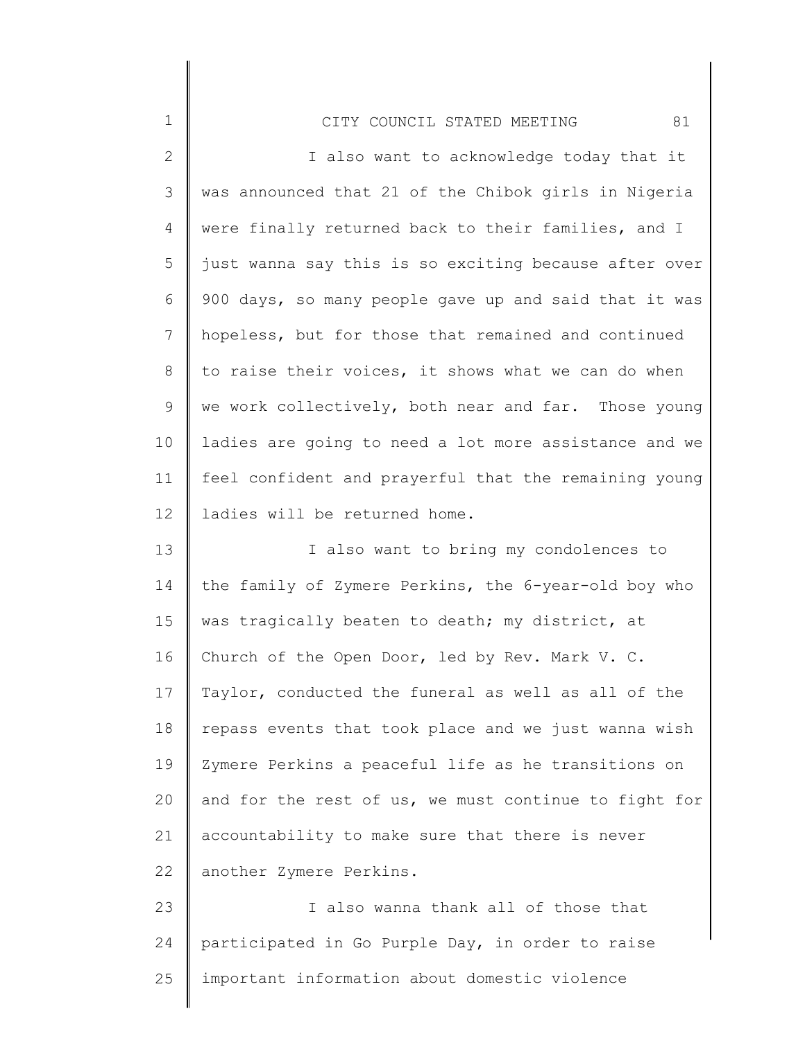| $\mathbf 1$    | 81<br>CITY COUNCIL STATED MEETING                     |
|----------------|-------------------------------------------------------|
| $\mathbf{2}$   | I also want to acknowledge today that it              |
| 3              | was announced that 21 of the Chibok girls in Nigeria  |
| 4              | were finally returned back to their families, and I   |
| 5              | just wanna say this is so exciting because after over |
| 6              | 900 days, so many people gave up and said that it was |
| $\overline{7}$ | hopeless, but for those that remained and continued   |
| $\,8\,$        | to raise their voices, it shows what we can do when   |
| $\mathsf 9$    | we work collectively, both near and far. Those young  |
| 10             | ladies are going to need a lot more assistance and we |
| 11             | feel confident and prayerful that the remaining young |
| 12             | ladies will be returned home.                         |
| 13             | I also want to bring my condolences to                |
| 14             | the family of Zymere Perkins, the 6-year-old boy who  |
| 15             | was tragically beaten to death; my district, at       |
| 16             | Church of the Open Door, led by Rev. Mark V. C.       |
| 17             | Taylor, conducted the funeral as well as all of the   |
| 18             | repass events that took place and we just wanna wish  |
| 19             | Zymere Perkins a peaceful life as he transitions on   |
| 20             | and for the rest of us, we must continue to fight for |
| 21             | accountability to make sure that there is never       |
| 22             | another Zymere Perkins.                               |
| つつ             | I also wanna thank all of those that                  |

23 24 25 I also wanna thank all of those that participated in Go Purple Day, in order to raise important information about domestic violence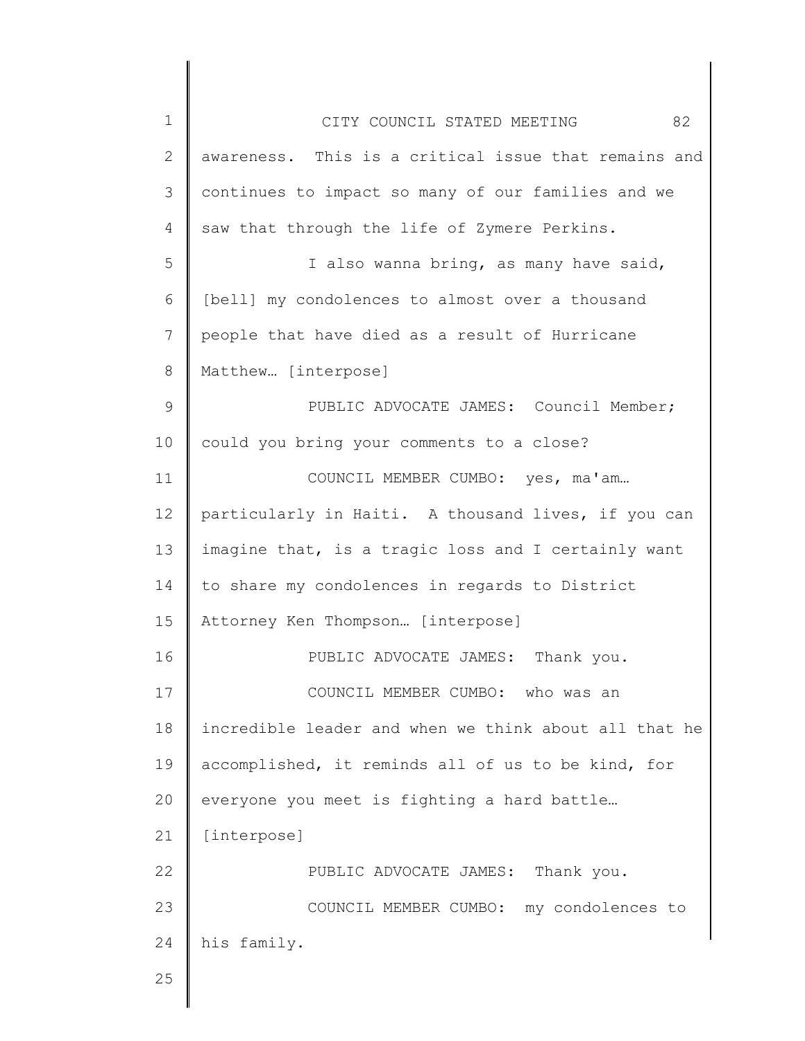| $\mathbf 1$ | 82<br>CITY COUNCIL STATED MEETING                     |
|-------------|-------------------------------------------------------|
| 2           | awareness. This is a critical issue that remains and  |
| 3           | continues to impact so many of our families and we    |
| 4           | saw that through the life of Zymere Perkins.          |
| 5           | I also wanna bring, as many have said,                |
| 6           | [bell] my condolences to almost over a thousand       |
| 7           | people that have died as a result of Hurricane        |
| 8           | Matthew [interpose]                                   |
| 9           | PUBLIC ADVOCATE JAMES: Council Member;                |
| 10          | could you bring your comments to a close?             |
| 11          | COUNCIL MEMBER CUMBO: yes, ma'am                      |
| 12          | particularly in Haiti. A thousand lives, if you can   |
| 13          | imagine that, is a tragic loss and I certainly want   |
| 14          | to share my condolences in regards to District        |
| 15          | Attorney Ken Thompson [interpose]                     |
| 16          | PUBLIC ADVOCATE JAMES: Thank you.                     |
| 17          | COUNCIL MEMBER CUMBO:<br>who was an                   |
| 18          | incredible leader and when we think about all that he |
| 19          | accomplished, it reminds all of us to be kind, for    |
| 20          | everyone you meet is fighting a hard battle           |
| 21          | [interpose]                                           |
| 22          | PUBLIC ADVOCATE JAMES: Thank you.                     |
| 23          | COUNCIL MEMBER CUMBO: my condolences to               |
| 24          | his family.                                           |
| 25          |                                                       |
|             |                                                       |

║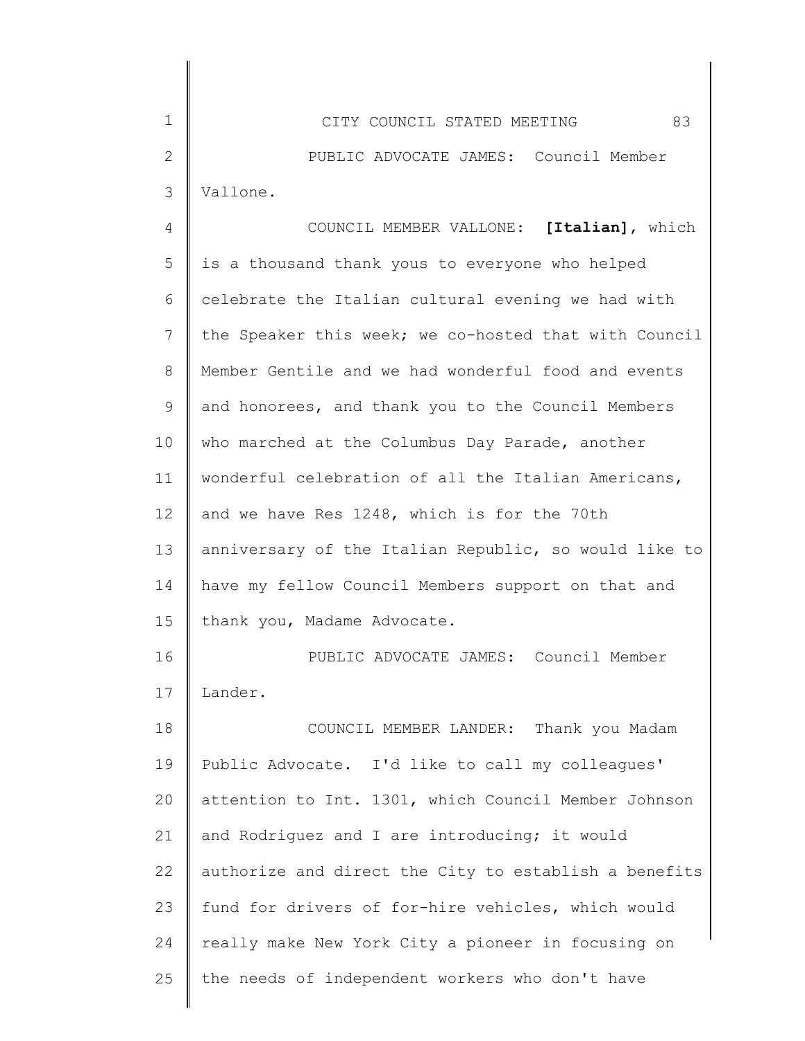1 2 3 4 5 6 7 8 9 10 11 12 13 14 15 16 17 18 19 20 21 22 23 24 25 CITY COUNCIL STATED MEETING 83 PUBLIC ADVOCATE JAMES: Council Member Vallone. COUNCIL MEMBER VALLONE: **[Italian]**, which is a thousand thank yous to everyone who helped celebrate the Italian cultural evening we had with the Speaker this week; we co-hosted that with Council Member Gentile and we had wonderful food and events and honorees, and thank you to the Council Members who marched at the Columbus Day Parade, another wonderful celebration of all the Italian Americans, and we have Res 1248, which is for the 70th anniversary of the Italian Republic, so would like to have my fellow Council Members support on that and thank you, Madame Advocate. PUBLIC ADVOCATE JAMES: Council Member Lander. COUNCIL MEMBER LANDER: Thank you Madam Public Advocate. I'd like to call my colleagues' attention to Int. 1301, which Council Member Johnson and Rodriguez and I are introducing; it would authorize and direct the City to establish a benefits fund for drivers of for-hire vehicles, which would really make New York City a pioneer in focusing on the needs of independent workers who don't have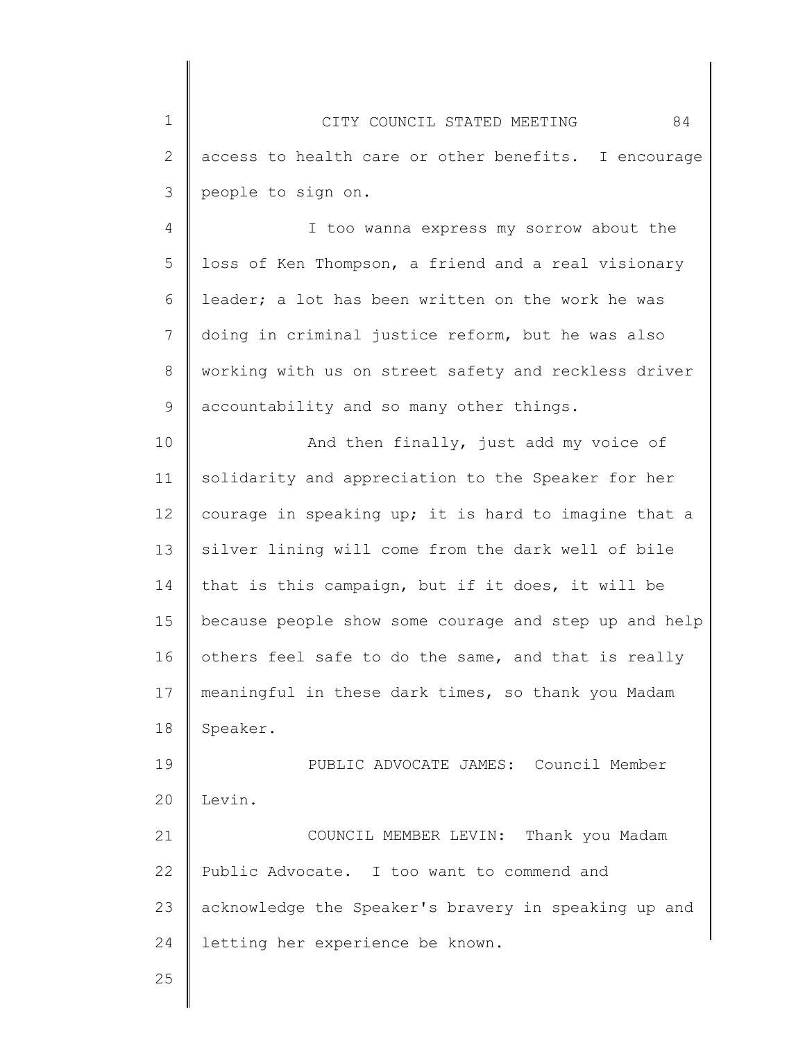1 2 3 CITY COUNCIL STATED MEETING 84 access to health care or other benefits. I encourage people to sign on.

4 5 6 7 8 9 I too wanna express my sorrow about the loss of Ken Thompson, a friend and a real visionary leader; a lot has been written on the work he was doing in criminal justice reform, but he was also working with us on street safety and reckless driver accountability and so many other things.

10 11 12 13 14 15 16 17 18 And then finally, just add my voice of solidarity and appreciation to the Speaker for her courage in speaking up; it is hard to imagine that a silver lining will come from the dark well of bile that is this campaign, but if it does, it will be because people show some courage and step up and help others feel safe to do the same, and that is really meaningful in these dark times, so thank you Madam Speaker.

19 20 PUBLIC ADVOCATE JAMES: Council Member Levin.

21 22 23 24 COUNCIL MEMBER LEVIN: Thank you Madam Public Advocate. I too want to commend and acknowledge the Speaker's bravery in speaking up and letting her experience be known.

25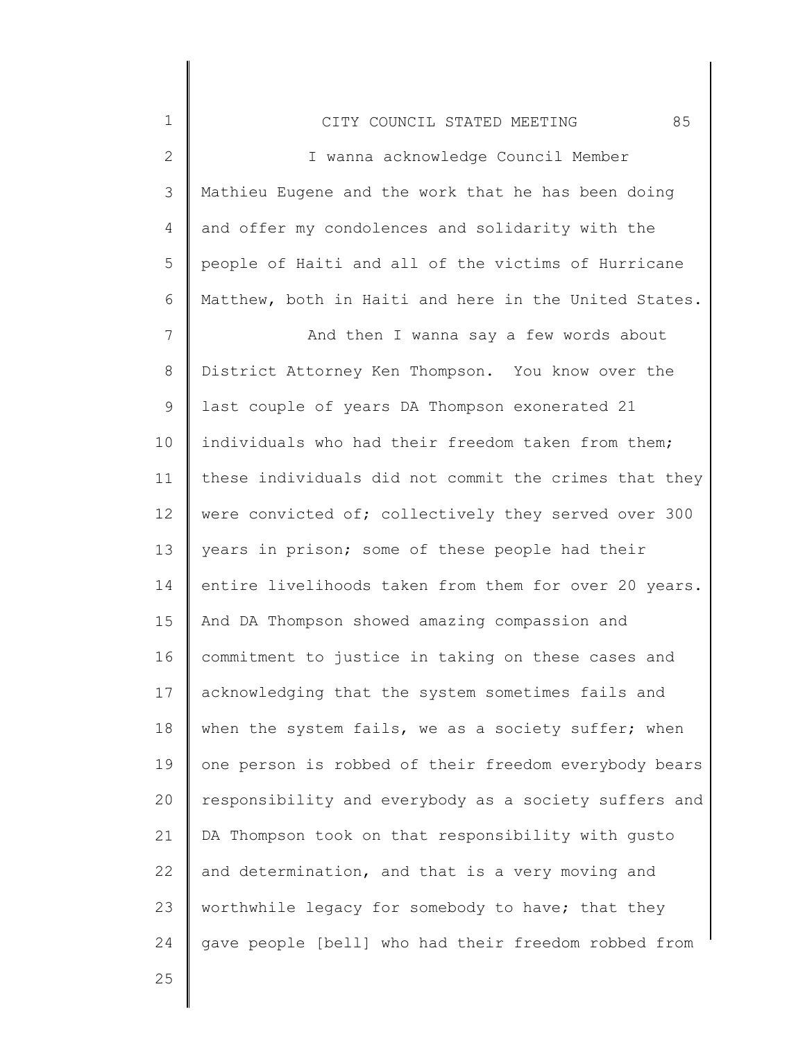2 3 4 5 6 7 8 9 10 11 12 13 14 15 16 17 18 19 20 I wanna acknowledge Council Member Mathieu Eugene and the work that he has been doing and offer my condolences and solidarity with the people of Haiti and all of the victims of Hurricane Matthew, both in Haiti and here in the United States. And then I wanna say a few words about District Attorney Ken Thompson. You know over the last couple of years DA Thompson exonerated 21 individuals who had their freedom taken from them; these individuals did not commit the crimes that they were convicted of; collectively they served over 300 years in prison; some of these people had their entire livelihoods taken from them for over 20 years. And DA Thompson showed amazing compassion and commitment to justice in taking on these cases and acknowledging that the system sometimes fails and when the system fails, we as a society suffer; when one person is robbed of their freedom everybody bears responsibility and everybody as a society suffers and

22 23 24 and determination, and that is a very moving and worthwhile legacy for somebody to have; that they gave people [bell] who had their freedom robbed from

DA Thompson took on that responsibility with gusto

25

21

1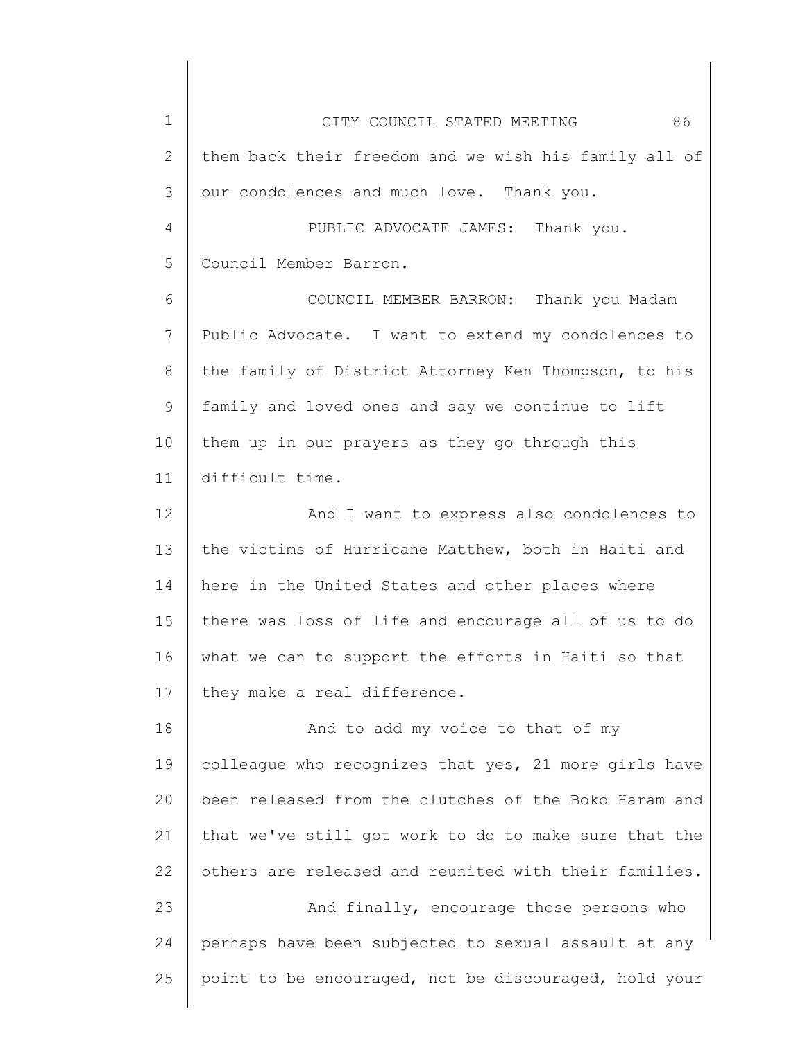| $\mathbf 1$    | 86<br>CITY COUNCIL STATED MEETING                     |
|----------------|-------------------------------------------------------|
| $\overline{2}$ | them back their freedom and we wish his family all of |
| 3              | our condolences and much love. Thank you.             |
| $\overline{4}$ | PUBLIC ADVOCATE JAMES: Thank you.                     |
| 5              | Council Member Barron.                                |
| 6              | COUNCIL MEMBER BARRON: Thank you Madam                |
| 7              | Public Advocate. I want to extend my condolences to   |
| 8              | the family of District Attorney Ken Thompson, to his  |
| 9              | family and loved ones and say we continue to lift     |
| 10             | them up in our prayers as they go through this        |
| 11             | difficult time.                                       |
| 12             | And I want to express also condolences to             |
| 13             | the victims of Hurricane Matthew, both in Haiti and   |
| 14             | here in the United States and other places where      |
| 15             | there was loss of life and encourage all of us to do  |
| 16             | what we can to support the efforts in Haiti so that   |
| 17             | they make a real difference.                          |
| 18             | And to add my voice to that of my                     |
| 19             | colleague who recognizes that yes, 21 more girls have |
| 20             | been released from the clutches of the Boko Haram and |
| 21             | that we've still got work to do to make sure that the |
| 22             | others are released and reunited with their families. |
| 23             | And finally, encourage those persons who              |
| 24             | perhaps have been subjected to sexual assault at any  |
| 25             | point to be encouraged, not be discouraged, hold your |
|                |                                                       |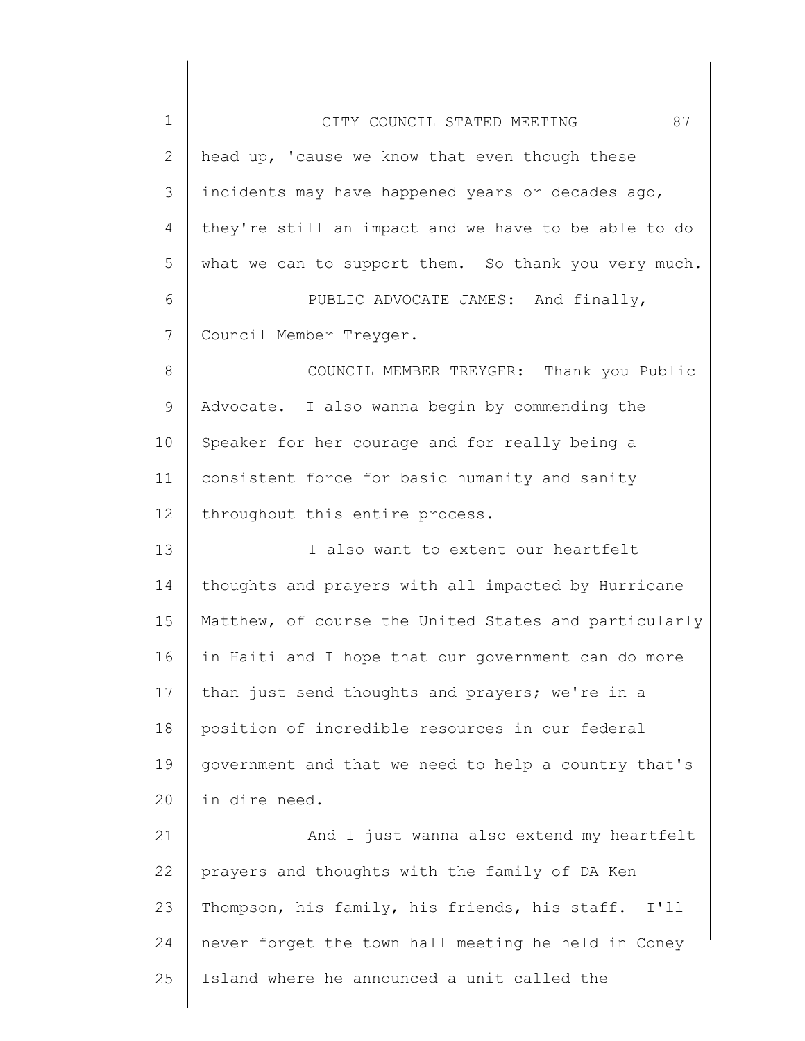| $\mathbf 1$ | 87<br>CITY COUNCIL STATED MEETING                     |
|-------------|-------------------------------------------------------|
| 2           | head up, 'cause we know that even though these        |
| 3           | incidents may have happened years or decades ago,     |
| 4           | they're still an impact and we have to be able to do  |
| 5           | what we can to support them. So thank you very much.  |
| 6           | PUBLIC ADVOCATE JAMES: And finally,                   |
| 7           | Council Member Treyger.                               |
| 8           | COUNCIL MEMBER TREYGER: Thank you Public              |
| 9           | Advocate. I also wanna begin by commending the        |
| 10          | Speaker for her courage and for really being a        |
| 11          | consistent force for basic humanity and sanity        |
| 12          | throughout this entire process.                       |
| 13          | I also want to extent our heartfelt                   |
| 14          | thoughts and prayers with all impacted by Hurricane   |
| 15          | Matthew, of course the United States and particularly |
| 16          | in Haiti and I hope that our government can do more   |
| 17          | than just send thoughts and prayers; we're in a       |
| 18          | position of incredible resources in our federal       |
| 19          | government and that we need to help a country that's  |
| 20          | in dire need.                                         |
| 21          | And I just wanna also extend my heartfelt             |
| 22          | prayers and thoughts with the family of DA Ken        |
| 23          | Thompson, his family, his friends, his staff.<br>I'11 |
| 24          | never forget the town hall meeting he held in Coney   |
| 25          | Island where he announced a unit called the           |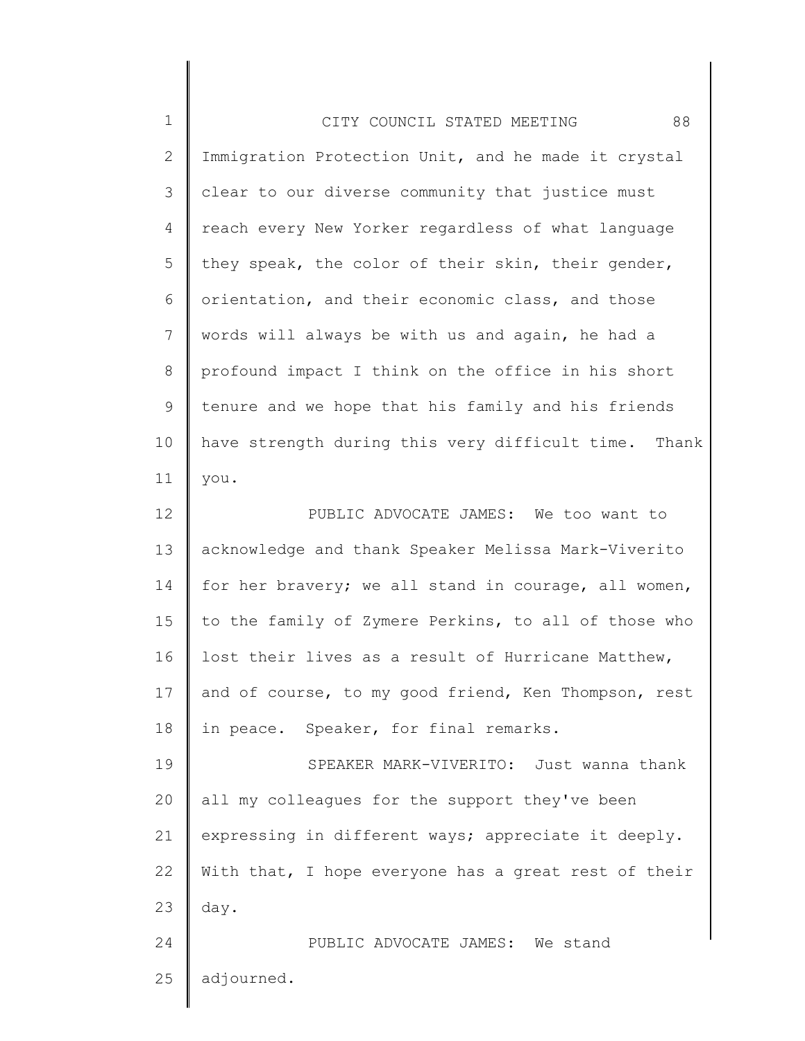| $\mathbf 1$   | 88<br>CITY COUNCIL STATED MEETING                    |
|---------------|------------------------------------------------------|
| 2             | Immigration Protection Unit, and he made it crystal  |
| $\mathcal{S}$ | clear to our diverse community that justice must     |
| 4             | reach every New Yorker regardless of what language   |
| 5             | they speak, the color of their skin, their gender,   |
| 6             | orientation, and their economic class, and those     |
| 7             | words will always be with us and again, he had a     |
| 8             | profound impact I think on the office in his short   |
| 9             | tenure and we hope that his family and his friends   |
| 10            | have strength during this very difficult time. Thank |
| 11            | you.                                                 |
| 12            | PUBLIC ADVOCATE JAMES: We too want to                |
| 13            | acknowledge and thank Speaker Melissa Mark-Viverito  |
| 14            | for her bravery; we all stand in courage, all women, |
| 15            | to the family of Zymere Perkins, to all of those who |
| 16            | lost their lives as a result of Hurricane Matthew,   |
| 17            | and of course, to my good friend, Ken Thompson, rest |
| 18            | in peace. Speaker, for final remarks.                |
| 19            | SPEAKER MARK-VIVERITO: Just wanna thank              |
| 20            | all my colleagues for the support they've been       |
| 21            | expressing in different ways; appreciate it deeply.  |
| 22            | With that, I hope everyone has a great rest of their |
| 23            | day.                                                 |
| 24            | PUBLIC ADVOCATE JAMES: We stand                      |
| 25            | adjourned.                                           |
|               |                                                      |

║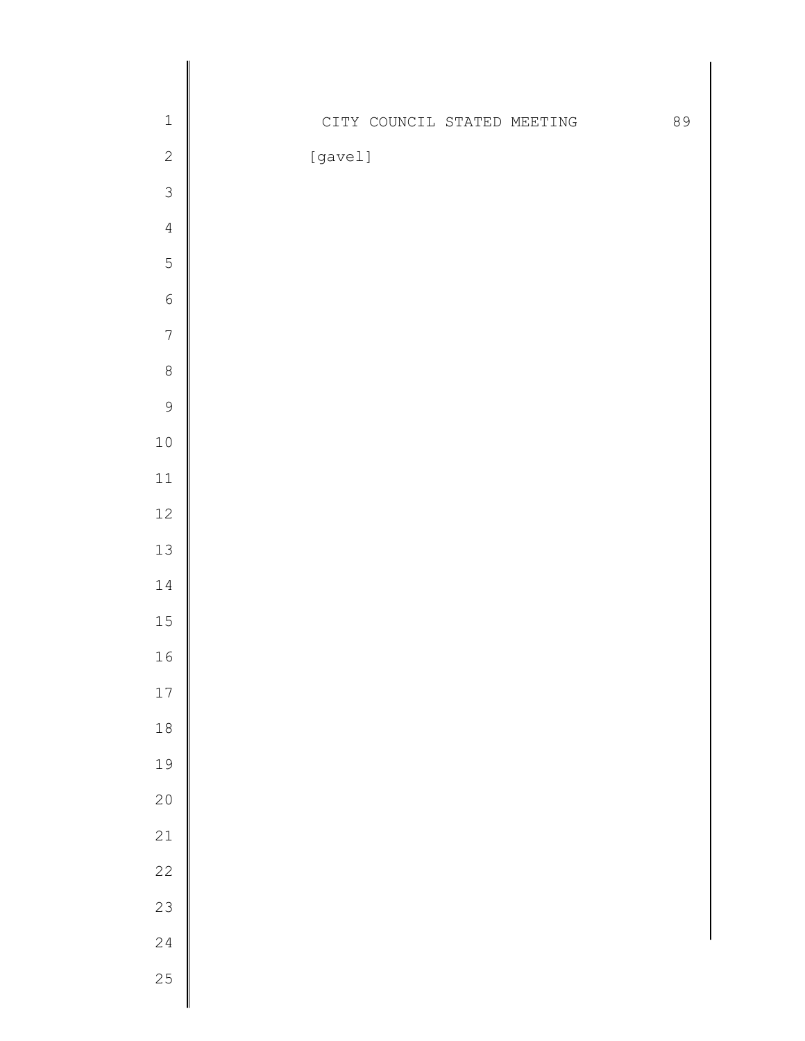| $\mathbbm{1}$    |         |  | CITY COUNCIL STATED MEETING | 89 |
|------------------|---------|--|-----------------------------|----|
| $\sqrt{2}$       | [gavel] |  |                             |    |
| $\mathfrak{Z}$   |         |  |                             |    |
| $\sqrt{4}$       |         |  |                             |    |
| 5                |         |  |                             |    |
| $\sqrt{6}$       |         |  |                             |    |
| $\boldsymbol{7}$ |         |  |                             |    |
| $\,8\,$          |         |  |                             |    |
| $\mathsf 9$      |         |  |                             |    |
| $1\,0$           |         |  |                             |    |
| $11\,$           |         |  |                             |    |
| $12\,$           |         |  |                             |    |
| $13\,$           |         |  |                             |    |
| $1\,4$           |         |  |                             |    |
| 15               |         |  |                             |    |
| 16               |         |  |                             |    |
| $17\,$           |         |  |                             |    |
| $1\,8$           |         |  |                             |    |
| 19               |         |  |                             |    |
| 20               |         |  |                             |    |
| 21               |         |  |                             |    |
| $2\sqrt{2}$      |         |  |                             |    |
| 23               |         |  |                             |    |
| $2\sqrt{4}$      |         |  |                             |    |
| 25               |         |  |                             |    |
|                  |         |  |                             |    |